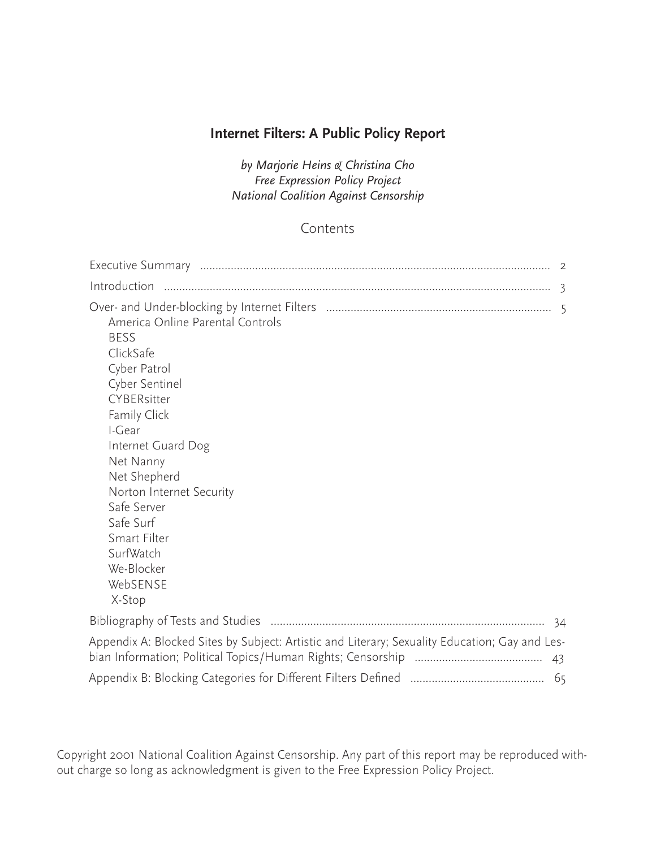# **Internet Filters: A Public Policy Report**

*by Marjorie Heins & Christina Cho Free Expression Policy Project National Coalition Against Censorship*

# Contents

| Introduction                                                                                                                                                                                                                                                                                                        |     |
|---------------------------------------------------------------------------------------------------------------------------------------------------------------------------------------------------------------------------------------------------------------------------------------------------------------------|-----|
| America Online Parental Controls<br><b>BESS</b><br>ClickSafe<br>Cyber Patrol<br>Cyber Sentinel<br>CYBERsitter<br>Family Click<br>I-Gear<br>Internet Guard Dog<br>Net Nanny<br>Net Shepherd<br>Norton Internet Security<br>Safe Server<br>Safe Surf<br>Smart Filter<br>SurfWatch<br>We-Blocker<br>WebSENSE<br>X-Stop |     |
|                                                                                                                                                                                                                                                                                                                     | -34 |
| Appendix A: Blocked Sites by Subject: Artistic and Literary; Sexuality Education; Gay and Les-                                                                                                                                                                                                                      |     |
|                                                                                                                                                                                                                                                                                                                     |     |

Copyright 2001 National Coalition Against Censorship. Any part of this report may be reproduced without charge so long as acknowledgment is given to the Free Expression Policy Project.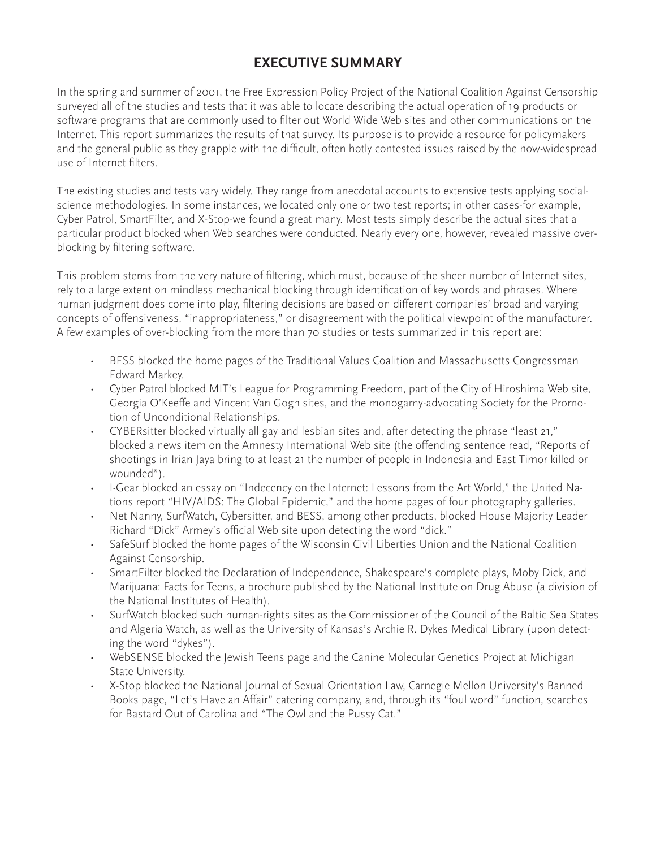# **EXECUTIVE SUMMARY**

In the spring and summer of 2001, the Free Expression Policy Project of the National Coalition Against Censorship surveyed all of the studies and tests that it was able to locate describing the actual operation of 19 products or software programs that are commonly used to filter out World Wide Web sites and other communications on the Internet. This report summarizes the results of that survey. Its purpose is to provide a resource for policymakers and the general public as they grapple with the difficult, often hotly contested issues raised by the now-widespread use of Internet filters.

The existing studies and tests vary widely. They range from anecdotal accounts to extensive tests applying socialscience methodologies. In some instances, we located only one or two test reports; in other cases-for example, Cyber Patrol, SmartFilter, and X-Stop-we found a great many. Most tests simply describe the actual sites that a particular product blocked when Web searches were conducted. Nearly every one, however, revealed massive overblocking by filtering software.

This problem stems from the very nature of filtering, which must, because of the sheer number of Internet sites, rely to a large extent on mindless mechanical blocking through identification of key words and phrases. Where human judgment does come into play, filtering decisions are based on different companies' broad and varying concepts of offensiveness, "inappropriateness," or disagreement with the political viewpoint of the manufacturer. A few examples of over-blocking from the more than 70 studies or tests summarized in this report are:

- BESS blocked the home pages of the Traditional Values Coalition and Massachusetts Congressman Edward Markey.
- Cyber Patrol blocked MIT's League for Programming Freedom, part of the City of Hiroshima Web site, Georgia O'Keeffe and Vincent Van Gogh sites, and the monogamy-advocating Society for the Promotion of Unconditional Relationships.
- CYBERsitter blocked virtually all gay and lesbian sites and, after detecting the phrase "least 21," blocked a news item on the Amnesty International Web site (the offending sentence read, "Reports of shootings in Irian Jaya bring to at least 21 the number of people in Indonesia and East Timor killed or wounded").
- I-Gear blocked an essay on "Indecency on the Internet: Lessons from the Art World," the United Nations report "HIV/AIDS: The Global Epidemic," and the home pages of four photography galleries.
- Net Nanny, SurfWatch, Cybersitter, and BESS, among other products, blocked House Majority Leader Richard "Dick" Armey's official Web site upon detecting the word "dick."
- SafeSurf blocked the home pages of the Wisconsin Civil Liberties Union and the National Coalition Against Censorship.
- SmartFilter blocked the Declaration of Independence, Shakespeare's complete plays, Moby Dick, and Marijuana: Facts for Teens, a brochure published by the National Institute on Drug Abuse (a division of the National Institutes of Health).
- SurfWatch blocked such human-rights sites as the Commissioner of the Council of the Baltic Sea States and Algeria Watch, as well as the University of Kansas's Archie R. Dykes Medical Library (upon detecting the word "dykes").
- WebSENSE blocked the Jewish Teens page and the Canine Molecular Genetics Project at Michigan State University.
- X-Stop blocked the National Journal of Sexual Orientation Law, Carnegie Mellon University's Banned Books page, "Let's Have an Affair" catering company, and, through its "foul word" function, searches for Bastard Out of Carolina and "The Owl and the Pussy Cat."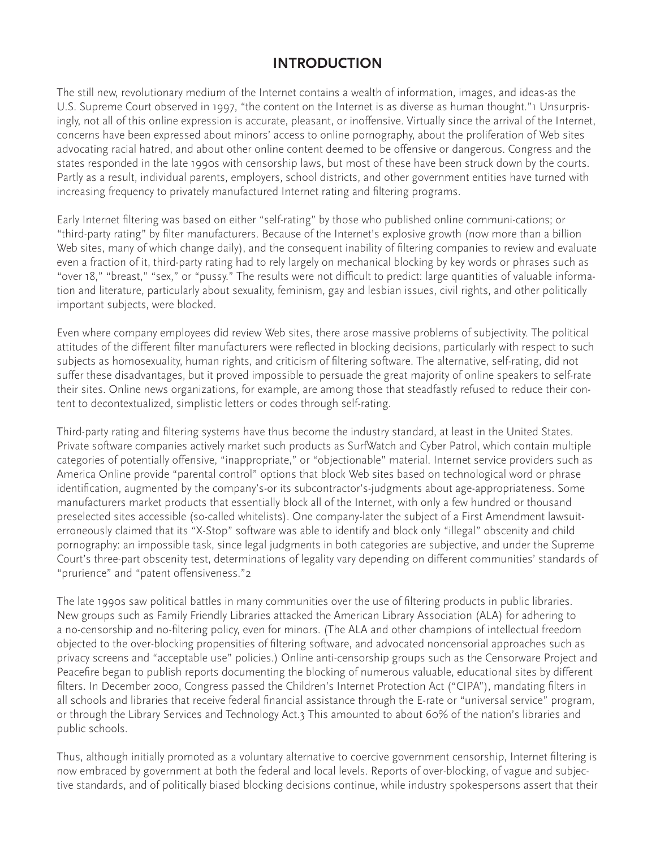## **INTRODUCTION**

The still new, revolutionary medium of the Internet contains a wealth of information, images, and ideas-as the U.S. Supreme Court observed in 1997, "the content on the Internet is as diverse as human thought."1 Unsurprisingly, not all of this online expression is accurate, pleasant, or inoffensive. Virtually since the arrival of the Internet, concerns have been expressed about minors' access to online pornography, about the proliferation of Web sites advocating racial hatred, and about other online content deemed to be offensive or dangerous. Congress and the states responded in the late 1990s with censorship laws, but most of these have been struck down by the courts. Partly as a result, individual parents, employers, school districts, and other government entities have turned with increasing frequency to privately manufactured Internet rating and filtering programs.

Early Internet filtering was based on either "self-rating" by those who published online communi-cations; or "third-party rating" by filter manufacturers. Because of the Internet's explosive growth (now more than a billion Web sites, many of which change daily), and the consequent inability of filtering companies to review and evaluate even a fraction of it, third-party rating had to rely largely on mechanical blocking by key words or phrases such as "over 18," "breast," "sex," or "pussy." The results were not difficult to predict: large quantities of valuable information and literature, particularly about sexuality, feminism, gay and lesbian issues, civil rights, and other politically important subjects, were blocked.

Even where company employees did review Web sites, there arose massive problems of subjectivity. The political attitudes of the different filter manufacturers were reflected in blocking decisions, particularly with respect to such subjects as homosexuality, human rights, and criticism of filtering software. The alternative, self-rating, did not suffer these disadvantages, but it proved impossible to persuade the great majority of online speakers to self-rate their sites. Online news organizations, for example, are among those that steadfastly refused to reduce their content to decontextualized, simplistic letters or codes through self-rating.

Third-party rating and filtering systems have thus become the industry standard, at least in the United States. Private software companies actively market such products as SurfWatch and Cyber Patrol, which contain multiple categories of potentially offensive, "inappropriate," or "objectionable" material. Internet service providers such as America Online provide "parental control" options that block Web sites based on technological word or phrase identification, augmented by the company's-or its subcontractor's-judgments about age-appropriateness. Some manufacturers market products that essentially block all of the Internet, with only a few hundred or thousand preselected sites accessible (so-called whitelists). One company-later the subject of a First Amendment lawsuiterroneously claimed that its "X-Stop" software was able to identify and block only "illegal" obscenity and child pornography: an impossible task, since legal judgments in both categories are subjective, and under the Supreme Court's three-part obscenity test, determinations of legality vary depending on different communities' standards of "prurience" and "patent offensiveness."2

The late 1990s saw political battles in many communities over the use of filtering products in public libraries. New groups such as Family Friendly Libraries attacked the American Library Association (ALA) for adhering to a no-censorship and no-filtering policy, even for minors. (The ALA and other champions of intellectual freedom objected to the over-blocking propensities of filtering software, and advocated noncensorial approaches such as privacy screens and "acceptable use" policies.) Online anti-censorship groups such as the Censorware Project and Peacefire began to publish reports documenting the blocking of numerous valuable, educational sites by different filters. In December 2000, Congress passed the Children's Internet Protection Act ("CIPA"), mandating filters in all schools and libraries that receive federal financial assistance through the E-rate or "universal service" program, or through the Library Services and Technology Act.3 This amounted to about 60% of the nation's libraries and public schools.

Thus, although initially promoted as a voluntary alternative to coercive government censorship, Internet filtering is now embraced by government at both the federal and local levels. Reports of over-blocking, of vague and subjective standards, and of politically biased blocking decisions continue, while industry spokespersons assert that their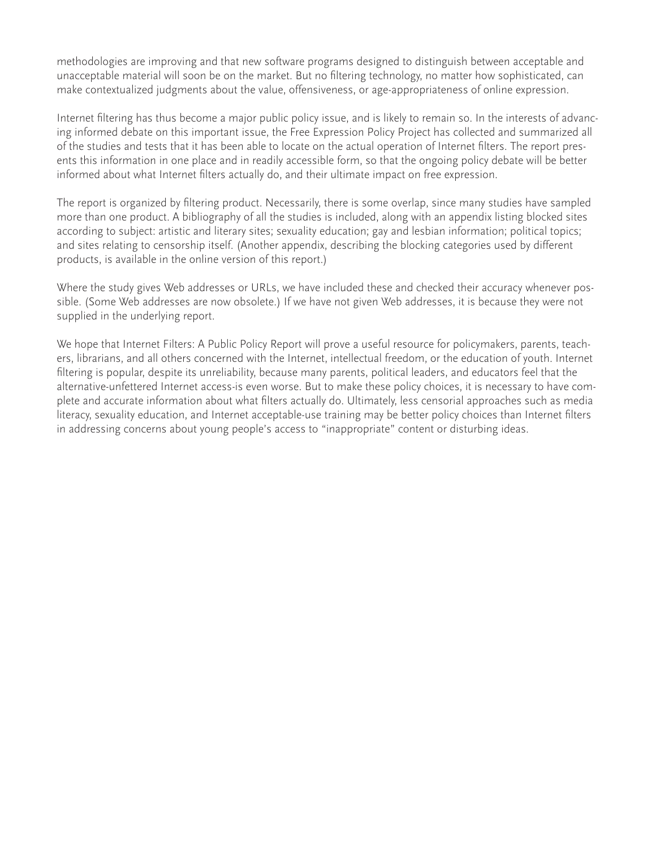methodologies are improving and that new software programs designed to distinguish between acceptable and unacceptable material will soon be on the market. But no filtering technology, no matter how sophisticated, can make contextualized judgments about the value, offensiveness, or age-appropriateness of online expression.

Internet filtering has thus become a major public policy issue, and is likely to remain so. In the interests of advancing informed debate on this important issue, the Free Expression Policy Project has collected and summarized all of the studies and tests that it has been able to locate on the actual operation of Internet filters. The report presents this information in one place and in readily accessible form, so that the ongoing policy debate will be better informed about what Internet filters actually do, and their ultimate impact on free expression.

The report is organized by filtering product. Necessarily, there is some overlap, since many studies have sampled more than one product. A bibliography of all the studies is included, along with an appendix listing blocked sites according to subject: artistic and literary sites; sexuality education; gay and lesbian information; political topics; and sites relating to censorship itself. (Another appendix, describing the blocking categories used by different products, is available in the online version of this report.)

Where the study gives Web addresses or URLs, we have included these and checked their accuracy whenever possible. (Some Web addresses are now obsolete.) If we have not given Web addresses, it is because they were not supplied in the underlying report.

We hope that Internet Filters: A Public Policy Report will prove a useful resource for policymakers, parents, teachers, librarians, and all others concerned with the Internet, intellectual freedom, or the education of youth. Internet filtering is popular, despite its unreliability, because many parents, political leaders, and educators feel that the alternative-unfettered Internet access-is even worse. But to make these policy choices, it is necessary to have complete and accurate information about what filters actually do. Ultimately, less censorial approaches such as media literacy, sexuality education, and Internet acceptable-use training may be better policy choices than Internet filters in addressing concerns about young people's access to "inappropriate" content or disturbing ideas.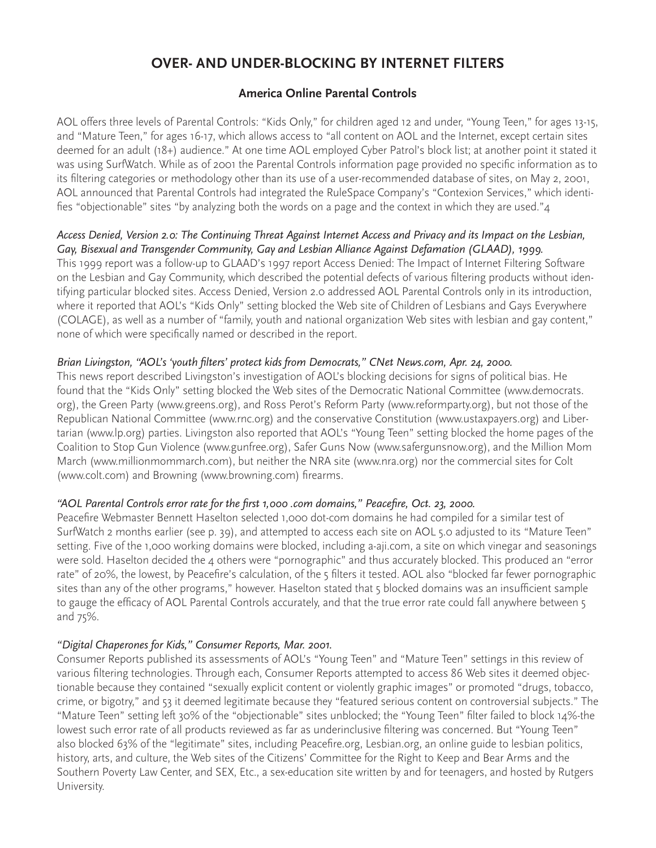# **OVER- AND UNDER-BLOCKING BY INTERNET FILTERS**

## **America Online Parental Controls**

AOL offers three levels of Parental Controls: "Kids Only," for children aged 12 and under, "Young Teen," for ages 13-15, and "Mature Teen," for ages 16-17, which allows access to "all content on AOL and the Internet, except certain sites deemed for an adult (18+) audience." At one time AOL employed Cyber Patrol's block list; at another point it stated it was using SurfWatch. While as of 2001 the Parental Controls information page provided no specific information as to its filtering categories or methodology other than its use of a user-recommended database of sites, on May 2, 2001, AOL announced that Parental Controls had integrated the RuleSpace Company's "Contexion Services," which identifies "objectionable" sites "by analyzing both the words on a page and the context in which they are used."4

#### *Access Denied, Version 2.0: The Continuing Threat Against Internet Access and Privacy and its Impact on the Lesbian, Gay, Bisexual and Transgender Community, Gay and Lesbian Alliance Against Defamation (GLAAD), 1999.*

This 1999 report was a follow-up to GLAAD's 1997 report Access Denied: The Impact of Internet Filtering Software on the Lesbian and Gay Community, which described the potential defects of various filtering products without identifying particular blocked sites. Access Denied, Version 2.0 addressed AOL Parental Controls only in its introduction, where it reported that AOL's "Kids Only" setting blocked the Web site of Children of Lesbians and Gays Everywhere (COLAGE), as well as a number of "family, youth and national organization Web sites with lesbian and gay content," none of which were specifically named or described in the report.

#### *Brian Livingston, "AOL's 'youth filters' protect kids from Democrats," CNet News.com, Apr. 24, 2000.*

This news report described Livingston's investigation of AOL's blocking decisions for signs of political bias. He found that the "Kids Only" setting blocked the Web sites of the Democratic National Committee (www.democrats. org), the Green Party (www.greens.org), and Ross Perot's Reform Party (www.reformparty.org), but not those of the Republican National Committee (www.rnc.org) and the conservative Constitution (www.ustaxpayers.org) and Libertarian (www.lp.org) parties. Livingston also reported that AOL's "Young Teen" setting blocked the home pages of the Coalition to Stop Gun Violence (www.gunfree.org), Safer Guns Now (www.safergunsnow.org), and the Million Mom March (www.millionmommarch.com), but neither the NRA site (www.nra.org) nor the commercial sites for Colt (www.colt.com) and Browning (www.browning.com) firearms.

### *"AOL Parental Controls error rate for the first 1,000 .com domains," Peacefire, Oct. 23, 2000.*

Peacefire Webmaster Bennett Haselton selected 1,000 dot-com domains he had compiled for a similar test of SurfWatch 2 months earlier (see p. 39), and attempted to access each site on AOL 5.0 adjusted to its "Mature Teen" setting. Five of the 1,000 working domains were blocked, including a-aji.com, a site on which vinegar and seasonings were sold. Haselton decided the 4 others were "pornographic" and thus accurately blocked. This produced an "error rate" of 20%, the lowest, by Peacefire's calculation, of the 5 filters it tested. AOL also "blocked far fewer pornographic sites than any of the other programs," however. Haselton stated that 5 blocked domains was an insufficient sample to gauge the efficacy of AOL Parental Controls accurately, and that the true error rate could fall anywhere between 5 and 75%.

#### *"Digital Chaperones for Kids," Consumer Reports, Mar. 2001.*

Consumer Reports published its assessments of AOL's "Young Teen" and "Mature Teen" settings in this review of various filtering technologies. Through each, Consumer Reports attempted to access 86 Web sites it deemed objectionable because they contained "sexually explicit content or violently graphic images" or promoted "drugs, tobacco, crime, or bigotry," and 53 it deemed legitimate because they "featured serious content on controversial subjects." The "Mature Teen" setting left 30% of the "objectionable" sites unblocked; the "Young Teen" filter failed to block 14%-the lowest such error rate of all products reviewed as far as underinclusive filtering was concerned. But "Young Teen" also blocked 63% of the "legitimate" sites, including Peacefire.org, Lesbian.org, an online guide to lesbian politics, history, arts, and culture, the Web sites of the Citizens' Committee for the Right to Keep and Bear Arms and the Southern Poverty Law Center, and SEX, Etc., a sex-education site written by and for teenagers, and hosted by Rutgers University.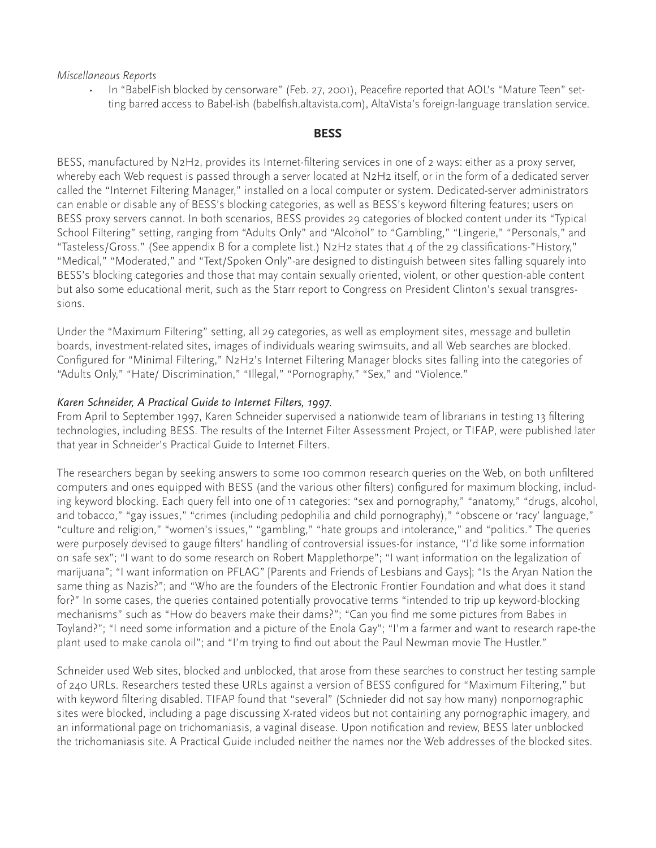#### *Miscellaneous Reports*

• In "BabelFish blocked by censorware" (Feb. 27, 2001), Peacefire reported that AOL's "Mature Teen" setting barred access to Babel-ish (babelfish.altavista.com), AltaVista's foreign-language translation service.

#### **BESS**

BESS, manufactured by N2H2, provides its Internet-filtering services in one of 2 ways: either as a proxy server, whereby each Web request is passed through a server located at N2H2 itself, or in the form of a dedicated server called the "Internet Filtering Manager," installed on a local computer or system. Dedicated-server administrators can enable or disable any of BESS's blocking categories, as well as BESS's keyword filtering features; users on BESS proxy servers cannot. In both scenarios, BESS provides 29 categories of blocked content under its "Typical School Filtering" setting, ranging from "Adults Only" and "Alcohol" to "Gambling," "Lingerie," "Personals," and "Tasteless/Gross." (See appendix B for a complete list.) N2H2 states that 4 of the 29 classifications-"History," "Medical," "Moderated," and "Text/Spoken Only"-are designed to distinguish between sites falling squarely into BESS's blocking categories and those that may contain sexually oriented, violent, or other question-able content but also some educational merit, such as the Starr report to Congress on President Clinton's sexual transgressions.

Under the "Maximum Filtering" setting, all 29 categories, as well as employment sites, message and bulletin boards, investment-related sites, images of individuals wearing swimsuits, and all Web searches are blocked. Configured for "Minimal Filtering," N2H2's Internet Filtering Manager blocks sites falling into the categories of "Adults Only," "Hate/ Discrimination," "Illegal," "Pornography," "Sex," and "Violence."

#### *Karen Schneider, A Practical Guide to Internet Filters, 1997.*

From April to September 1997, Karen Schneider supervised a nationwide team of librarians in testing 13 filtering technologies, including BESS. The results of the Internet Filter Assessment Project, or TIFAP, were published later that year in Schneider's Practical Guide to Internet Filters.

The researchers began by seeking answers to some 100 common research queries on the Web, on both unfiltered computers and ones equipped with BESS (and the various other filters) configured for maximum blocking, including keyword blocking. Each query fell into one of 11 categories: "sex and pornography," "anatomy," "drugs, alcohol, and tobacco," "gay issues," "crimes (including pedophilia and child pornography)," "obscene or 'racy' language," "culture and religion," "women's issues," "gambling," "hate groups and intolerance," and "politics." The queries were purposely devised to gauge filters' handling of controversial issues-for instance, "I'd like some information on safe sex"; "I want to do some research on Robert Mapplethorpe"; "I want information on the legalization of marijuana"; "I want information on PFLAG" [Parents and Friends of Lesbians and Gays]; "Is the Aryan Nation the same thing as Nazis?"; and "Who are the founders of the Electronic Frontier Foundation and what does it stand for?" In some cases, the queries contained potentially provocative terms "intended to trip up keyword-blocking mechanisms" such as "How do beavers make their dams?"; "Can you find me some pictures from Babes in Toyland?"; "I need some information and a picture of the Enola Gay"; "I'm a farmer and want to research rape-the plant used to make canola oil"; and "I'm trying to find out about the Paul Newman movie The Hustler."

Schneider used Web sites, blocked and unblocked, that arose from these searches to construct her testing sample of 240 URLs. Researchers tested these URLs against a version of BESS configured for "Maximum Filtering," but with keyword filtering disabled. TIFAP found that "several" (Schnieder did not say how many) nonpornographic sites were blocked, including a page discussing X-rated videos but not containing any pornographic imagery, and an informational page on trichomaniasis, a vaginal disease. Upon notification and review, BESS later unblocked the trichomaniasis site. A Practical Guide included neither the names nor the Web addresses of the blocked sites.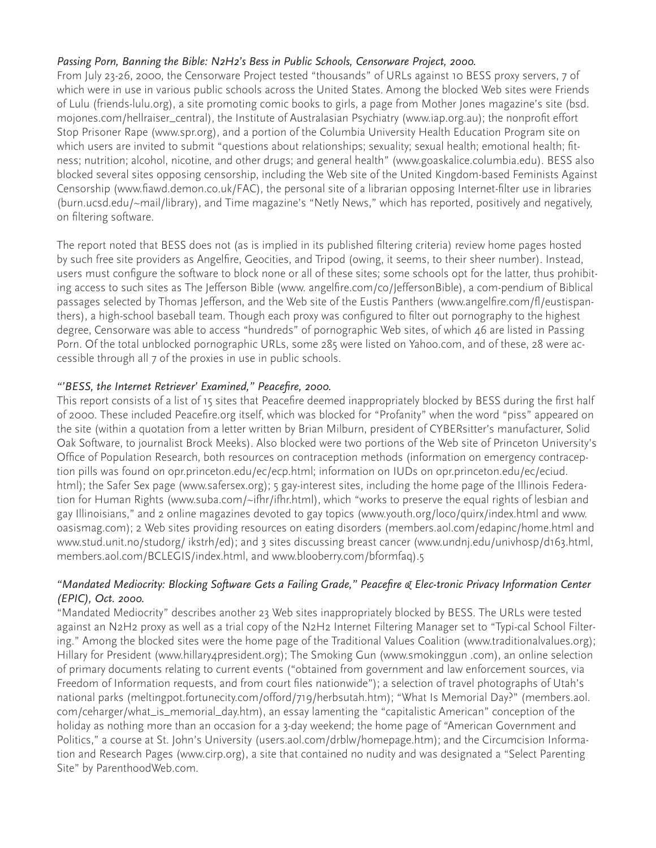## *Passing Porn, Banning the Bible: N2H2's Bess in Public Schools, Censorware Project, 2000.*

From July 23-26, 2000, the Censorware Project tested "thousands" of URLs against 10 BESS proxy servers, 7 of which were in use in various public schools across the United States. Among the blocked Web sites were Friends of Lulu (friends-lulu.org), a site promoting comic books to girls, a page from Mother Jones magazine's site (bsd. mojones.com/hellraiser\_central), the Institute of Australasian Psychiatry (www.iap.org.au); the nonprofit effort Stop Prisoner Rape (www.spr.org), and a portion of the Columbia University Health Education Program site on which users are invited to submit "questions about relationships; sexuality; sexual health; emotional health; fitness; nutrition; alcohol, nicotine, and other drugs; and general health" (www.goaskalice.columbia.edu). BESS also blocked several sites opposing censorship, including the Web site of the United Kingdom-based Feminists Against Censorship (www.fiawd.demon.co.uk/FAC), the personal site of a librarian opposing Internet-filter use in libraries (burn.ucsd.edu/~mail/library), and Time magazine's "Netly News," which has reported, positively and negatively, on filtering software.

The report noted that BESS does not (as is implied in its published filtering criteria) review home pages hosted by such free site providers as Angelfire, Geocities, and Tripod (owing, it seems, to their sheer number). Instead, users must configure the software to block none or all of these sites; some schools opt for the latter, thus prohibiting access to such sites as The Jefferson Bible (www. angelfire.com/co/JeffersonBible), a com-pendium of Biblical passages selected by Thomas Jefferson, and the Web site of the Eustis Panthers (www.angelfire.com/fl/eustispanthers), a high-school baseball team. Though each proxy was configured to filter out pornography to the highest degree, Censorware was able to access "hundreds" of pornographic Web sites, of which 46 are listed in Passing Porn. Of the total unblocked pornographic URLs, some 285 were listed on Yahoo.com, and of these, 28 were accessible through all 7 of the proxies in use in public schools.

## *"'BESS, the Internet Retriever' Examined," Peacefire, 2000.*

This report consists of a list of 15 sites that Peacefire deemed inappropriately blocked by BESS during the first half of 2000. These included Peacefire.org itself, which was blocked for "Profanity" when the word "piss" appeared on the site (within a quotation from a letter written by Brian Milburn, president of CYBERsitter's manufacturer, Solid Oak Software, to journalist Brock Meeks). Also blocked were two portions of the Web site of Princeton University's Office of Population Research, both resources on contraception methods (information on emergency contraception pills was found on opr.princeton.edu/ec/ecp.html; information on IUDs on opr.princeton.edu/ec/eciud. html); the Safer Sex page (www.safersex.org); 5 gay-interest sites, including the home page of the Illinois Federation for Human Rights (www.suba.com/~ifhr/ifhr.html), which "works to preserve the equal rights of lesbian and gay Illinoisians," and 2 online magazines devoted to gay topics (www.youth.org/loco/quirx/index.html and www. oasismag.com); 2 Web sites providing resources on eating disorders (members.aol.com/edapinc/home.html and www.stud.unit.no/studorg/ ikstrh/ed); and 3 sites discussing breast cancer (www.undnj.edu/univhosp/d163.html, members.aol.com/BCLEGIS/index.html, and www.blooberry.com/bformfaq).5

#### *"Mandated Mediocrity: Blocking Software Gets a Failing Grade," Peacefire & Elec-tronic Privacy Information Center (EPIC), Oct. 2000.*

"Mandated Mediocrity" describes another 23 Web sites inappropriately blocked by BESS. The URLs were tested against an N2H2 proxy as well as a trial copy of the N2H2 Internet Filtering Manager set to "Typi-cal School Filtering." Among the blocked sites were the home page of the Traditional Values Coalition (www.traditionalvalues.org); Hillary for President (www.hillary4president.org); The Smoking Gun (www.smokinggun .com), an online selection of primary documents relating to current events ("obtained from government and law enforcement sources, via Freedom of Information requests, and from court files nationwide"); a selection of travel photographs of Utah's national parks (meltingpot.fortunecity.com/offord/719/herbsutah.htm); "What Is Memorial Day?" (members.aol. com/ceharger/what\_is\_memorial\_day.htm), an essay lamenting the "capitalistic American" conception of the holiday as nothing more than an occasion for a 3-day weekend; the home page of "American Government and Politics," a course at St. John's University (users.aol.com/drblw/homepage.htm); and the Circumcision Information and Research Pages (www.cirp.org), a site that contained no nudity and was designated a "Select Parenting Site" by ParenthoodWeb.com.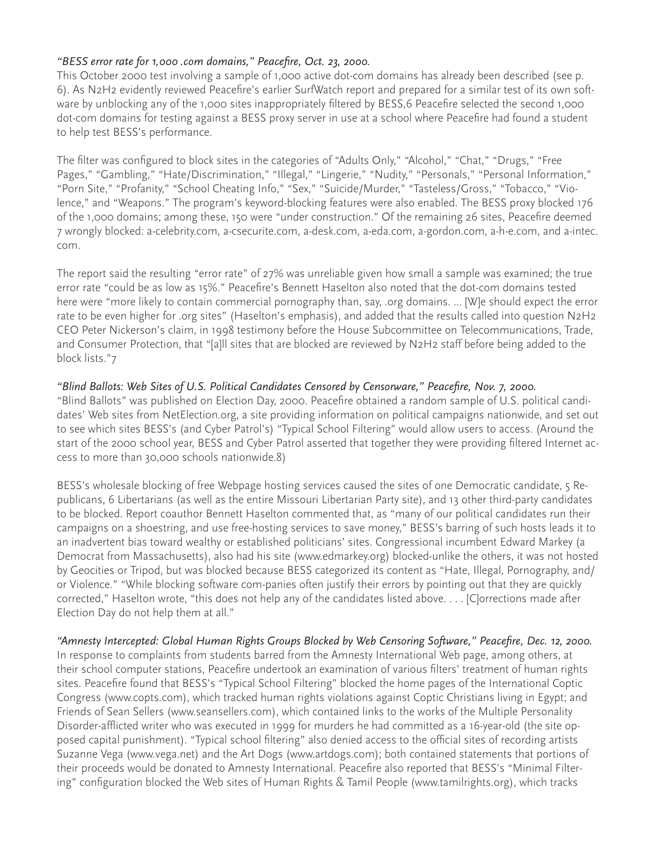### *"BESS error rate for 1,000 .com domains," Peacefire, Oct. 23, 2000.*

This October 2000 test involving a sample of 1,000 active dot-com domains has already been described (see p. 6). As N2H2 evidently reviewed Peacefire's earlier SurfWatch report and prepared for a similar test of its own software by unblocking any of the 1,000 sites inappropriately filtered by BESS,6 Peacefire selected the second 1,000 dot-com domains for testing against a BESS proxy server in use at a school where Peacefire had found a student to help test BESS's performance.

The filter was configured to block sites in the categories of "Adults Only," "Alcohol," "Chat," "Drugs," "Free Pages," "Gambling," "Hate/Discrimination," "Illegal," "Lingerie," "Nudity," "Personals," "Personal Information," "Porn Site," "Profanity," "School Cheating Info," "Sex," "Suicide/Murder," "Tasteless/Gross," "Tobacco," "Violence," and "Weapons." The program's keyword-blocking features were also enabled. The BESS proxy blocked 176 of the 1,000 domains; among these, 150 were "under construction." Of the remaining 26 sites, Peacefire deemed 7 wrongly blocked: a-celebrity.com, a-csecurite.com, a-desk.com, a-eda.com, a-gordon.com, a-h-e.com, and a-intec. com.

The report said the resulting "error rate" of 27% was unreliable given how small a sample was examined; the true error rate "could be as low as 15%." Peacefire's Bennett Haselton also noted that the dot-com domains tested here were "more likely to contain commercial pornography than, say, .org domains. ... [W]e should expect the error rate to be even higher for .org sites" (Haselton's emphasis), and added that the results called into question N2H2 CEO Peter Nickerson's claim, in 1998 testimony before the House Subcommittee on Telecommunications, Trade, and Consumer Protection, that "[a]ll sites that are blocked are reviewed by N2H2 staff before being added to the block lists."7

#### *"Blind Ballots: Web Sites of U.S. Political Candidates Censored by Censorware," Peacefire, Nov. 7, 2000.*

"Blind Ballots" was published on Election Day, 2000. Peacefire obtained a random sample of U.S. political candidates' Web sites from NetElection.org, a site providing information on political campaigns nationwide, and set out to see which sites BESS's (and Cyber Patrol's) "Typical School Filtering" would allow users to access. (Around the start of the 2000 school year, BESS and Cyber Patrol asserted that together they were providing filtered Internet access to more than 30,000 schools nationwide.8)

BESS's wholesale blocking of free Webpage hosting services caused the sites of one Democratic candidate, 5 Republicans, 6 Libertarians (as well as the entire Missouri Libertarian Party site), and 13 other third-party candidates to be blocked. Report coauthor Bennett Haselton commented that, as "many of our political candidates run their campaigns on a shoestring, and use free-hosting services to save money," BESS's barring of such hosts leads it to an inadvertent bias toward wealthy or established politicians' sites. Congressional incumbent Edward Markey (a Democrat from Massachusetts), also had his site (www.edmarkey.org) blocked-unlike the others, it was not hosted by Geocities or Tripod, but was blocked because BESS categorized its content as "Hate, Illegal, Pornography, and/ or Violence." "While blocking software com-panies often justify their errors by pointing out that they are quickly corrected," Haselton wrote, "this does not help any of the candidates listed above. . . . [C]orrections made after Election Day do not help them at all."

*"Amnesty Intercepted: Global Human Rights Groups Blocked by Web Censoring Software," Peacefire, Dec. 12, 2000.* In response to complaints from students barred from the Amnesty International Web page, among others, at their school computer stations, Peacefire undertook an examination of various filters' treatment of human rights sites. Peacefire found that BESS's "Typical School Filtering" blocked the home pages of the International Coptic Congress (www.copts.com), which tracked human rights violations against Coptic Christians living in Egypt; and Friends of Sean Sellers (www.seansellers.com), which contained links to the works of the Multiple Personality Disorder-afflicted writer who was executed in 1999 for murders he had committed as a 16-year-old (the site opposed capital punishment). "Typical school filtering" also denied access to the official sites of recording artists Suzanne Vega (www.vega.net) and the Art Dogs (www.artdogs.com); both contained statements that portions of their proceeds would be donated to Amnesty International. Peacefire also reported that BESS's "Minimal Filtering" configuration blocked the Web sites of Human Rights & Tamil People (www.tamilrights.org), which tracks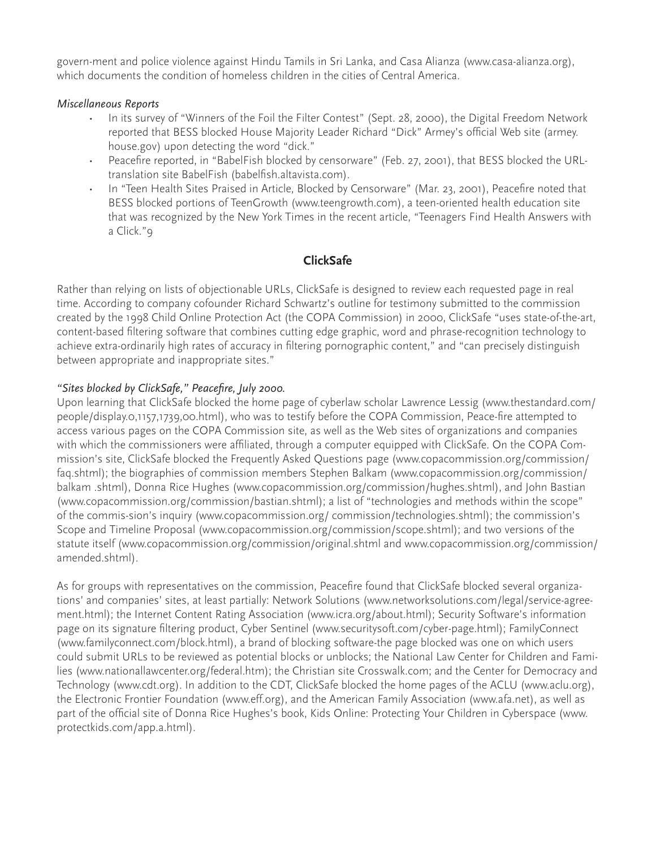govern-ment and police violence against Hindu Tamils in Sri Lanka, and Casa Alianza (www.casa-alianza.org), which documents the condition of homeless children in the cities of Central America.

#### *Miscellaneous Reports*

- In its survey of "Winners of the Foil the Filter Contest" (Sept. 28, 2000), the Digital Freedom Network reported that BESS blocked House Majority Leader Richard "Dick" Armey's official Web site (armey. house.gov) upon detecting the word "dick."
- Peacefire reported, in "BabelFish blocked by censorware" (Feb. 27, 2001), that BESS blocked the URLtranslation site BabelFish (babelfish.altavista.com).
- In "Teen Health Sites Praised in Article, Blocked by Censorware" (Mar. 23, 2001), Peacefire noted that BESS blocked portions of TeenGrowth (www.teengrowth.com), a teen-oriented health education site that was recognized by the New York Times in the recent article, "Teenagers Find Health Answers with a Click."9

## **ClickSafe**

Rather than relying on lists of objectionable URLs, ClickSafe is designed to review each requested page in real time. According to company cofounder Richard Schwartz's outline for testimony submitted to the commission created by the 1998 Child Online Protection Act (the COPA Commission) in 2000, ClickSafe "uses state-of-the-art, content-based filtering software that combines cutting edge graphic, word and phrase-recognition technology to achieve extra-ordinarily high rates of accuracy in filtering pornographic content," and "can precisely distinguish between appropriate and inappropriate sites."

#### *"Sites blocked by ClickSafe," Peacefire, July 2000.*

Upon learning that ClickSafe blocked the home page of cyberlaw scholar Lawrence Lessig (www.thestandard.com/ people/display.0,1157,1739,00.html), who was to testify before the COPA Commission, Peace-fire attempted to access various pages on the COPA Commission site, as well as the Web sites of organizations and companies with which the commissioners were affiliated, through a computer equipped with ClickSafe. On the COPA Commission's site, ClickSafe blocked the Frequently Asked Questions page (www.copacommission.org/commission/ faq.shtml); the biographies of commission members Stephen Balkam (www.copacommission.org/commission/ balkam .shtml), Donna Rice Hughes (www.copacommission.org/commission/hughes.shtml), and John Bastian (www.copacommission.org/commission/bastian.shtml); a list of "technologies and methods within the scope" of the commis-sion's inquiry (www.copacommission.org/ commission/technologies.shtml); the commission's Scope and Timeline Proposal (www.copacommission.org/commission/scope.shtml); and two versions of the statute itself (www.copacommission.org/commission/original.shtml and www.copacommission.org/commission/ amended.shtml).

As for groups with representatives on the commission, Peacefire found that ClickSafe blocked several organizations' and companies' sites, at least partially: Network Solutions (www.networksolutions.com/legal/service-agreement.html); the Internet Content Rating Association (www.icra.org/about.html); Security Software's information page on its signature filtering product, Cyber Sentinel (www.securitysoft.com/cyber-page.html); FamilyConnect (www.familyconnect.com/block.html), a brand of blocking software-the page blocked was one on which users could submit URLs to be reviewed as potential blocks or unblocks; the National Law Center for Children and Families (www.nationallawcenter.org/federal.htm); the Christian site Crosswalk.com; and the Center for Democracy and Technology (www.cdt.org). In addition to the CDT, ClickSafe blocked the home pages of the ACLU (www.aclu.org), the Electronic Frontier Foundation (www.eff.org), and the American Family Association (www.afa.net), as well as part of the official site of Donna Rice Hughes's book, Kids Online: Protecting Your Children in Cyberspace (www. protectkids.com/app.a.html).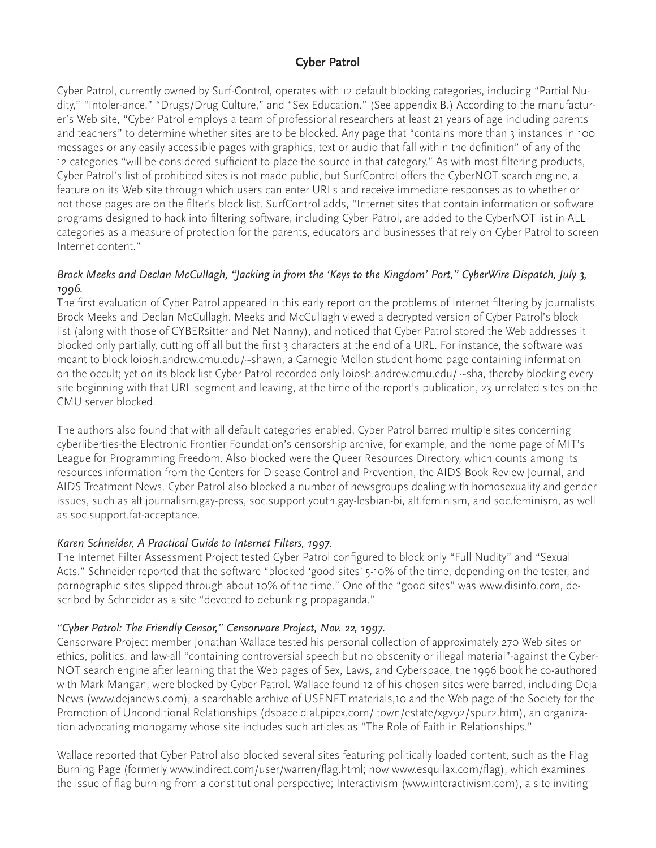## **Cyber Patrol**

Cyber Patrol, currently owned by Surf-Control, operates with 12 default blocking categories, including "Partial Nudity," "Intoler-ance," "Drugs/Drug Culture," and "Sex Education." (See appendix B.) According to the manufacturer's Web site, "Cyber Patrol employs a team of professional researchers at least 21 years of age including parents and teachers" to determine whether sites are to be blocked. Any page that "contains more than 3 instances in 100 messages or any easily accessible pages with graphics, text or audio that fall within the definition" of any of the 12 categories "will be considered sufficient to place the source in that category." As with most filtering products, Cyber Patrol's list of prohibited sites is not made public, but SurfControl offers the CyberNOT search engine, a feature on its Web site through which users can enter URLs and receive immediate responses as to whether or not those pages are on the filter's block list. SurfControl adds, "Internet sites that contain information or software programs designed to hack into filtering software, including Cyber Patrol, are added to the CyberNOT list in ALL categories as a measure of protection for the parents, educators and businesses that rely on Cyber Patrol to screen Internet content."

## *Brock Meeks and Declan McCullagh, "Jacking in from the 'Keys to the Kingdom' Port," CyberWire Dispatch, July 3, 1996.*

The first evaluation of Cyber Patrol appeared in this early report on the problems of Internet filtering by journalists Brock Meeks and Declan McCullagh. Meeks and McCullagh viewed a decrypted version of Cyber Patrol's block list (along with those of CYBERsitter and Net Nanny), and noticed that Cyber Patrol stored the Web addresses it blocked only partially, cutting off all but the first 3 characters at the end of a URL. For instance, the software was meant to block loiosh.andrew.cmu.edu/~shawn, a Carnegie Mellon student home page containing information on the occult; yet on its block list Cyber Patrol recorded only loiosh.andrew.cmu.edu/ ~sha, thereby blocking every site beginning with that URL segment and leaving, at the time of the report's publication, 23 unrelated sites on the CMU server blocked.

The authors also found that with all default categories enabled, Cyber Patrol barred multiple sites concerning cyberliberties-the Electronic Frontier Foundation's censorship archive, for example, and the home page of MIT's League for Programming Freedom. Also blocked were the Queer Resources Directory, which counts among its resources information from the Centers for Disease Control and Prevention, the AIDS Book Review Journal, and AIDS Treatment News. Cyber Patrol also blocked a number of newsgroups dealing with homosexuality and gender issues, such as alt.journalism.gay-press, soc.support.youth.gay-lesbian-bi, alt.feminism, and soc.feminism, as well as soc.support.fat-acceptance.

#### *Karen Schneider, A Practical Guide to Internet Filters, 1997.*

The Internet Filter Assessment Project tested Cyber Patrol configured to block only "Full Nudity" and "Sexual Acts." Schneider reported that the software "blocked 'good sites' 5-10% of the time, depending on the tester, and pornographic sites slipped through about 10% of the time." One of the "good sites" was www.disinfo.com, described by Schneider as a site "devoted to debunking propaganda."

#### *"Cyber Patrol: The Friendly Censor," Censorware Project, Nov. 22, 1997.*

Censorware Project member Jonathan Wallace tested his personal collection of approximately 270 Web sites on ethics, politics, and law-all "containing controversial speech but no obscenity or illegal material"-against the Cyber-NOT search engine after learning that the Web pages of Sex, Laws, and Cyberspace, the 1996 book he co-authored with Mark Mangan, were blocked by Cyber Patrol. Wallace found 12 of his chosen sites were barred, including Deja News (www.dejanews.com), a searchable archive of USENET materials,10 and the Web page of the Society for the Promotion of Unconditional Relationships (dspace.dial.pipex.com/ town/estate/xgv92/spur2.htm), an organization advocating monogamy whose site includes such articles as "The Role of Faith in Relationships."

Wallace reported that Cyber Patrol also blocked several sites featuring politically loaded content, such as the Flag Burning Page (formerly www.indirect.com/user/warren/flag.html; now www.esquilax.com/flag), which examines the issue of flag burning from a constitutional perspective; Interactivism (www.interactivism.com), a site inviting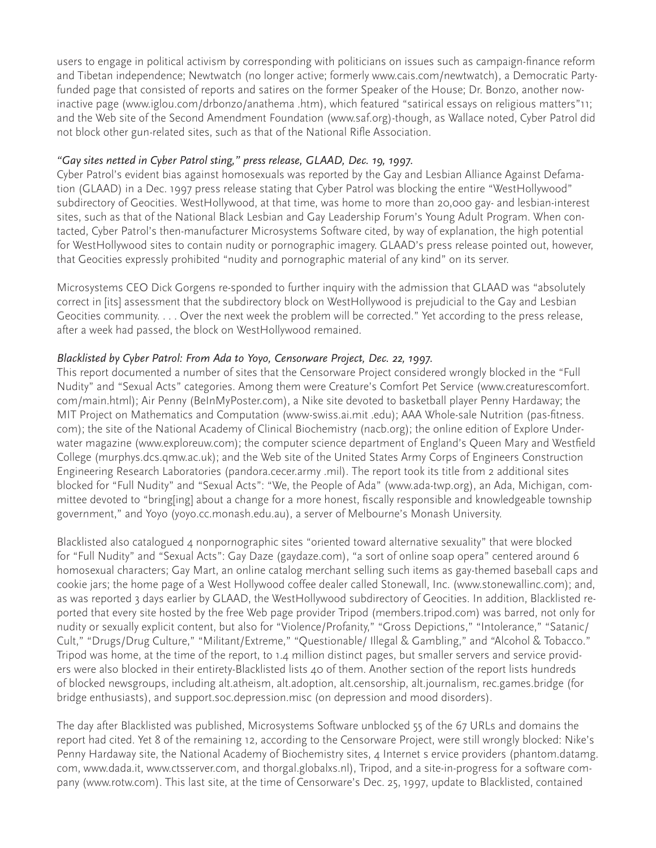users to engage in political activism by corresponding with politicians on issues such as campaign-finance reform and Tibetan independence; Newtwatch (no longer active; formerly www.cais.com/newtwatch), a Democratic Partyfunded page that consisted of reports and satires on the former Speaker of the House; Dr. Bonzo, another nowinactive page (www.iglou.com/drbonzo/anathema .htm), which featured "satirical essays on religious matters"11; and the Web site of the Second Amendment Foundation (www.saf.org)-though, as Wallace noted, Cyber Patrol did not block other gun-related sites, such as that of the National Rifle Association.

## *"Gay sites netted in Cyber Patrol sting," press release, GLAAD, Dec. 19, 1997.*

Cyber Patrol's evident bias against homosexuals was reported by the Gay and Lesbian Alliance Against Defamation (GLAAD) in a Dec. 1997 press release stating that Cyber Patrol was blocking the entire "WestHollywood" subdirectory of Geocities. WestHollywood, at that time, was home to more than 20,000 gay- and lesbian-interest sites, such as that of the National Black Lesbian and Gay Leadership Forum's Young Adult Program. When contacted, Cyber Patrol's then-manufacturer Microsystems Software cited, by way of explanation, the high potential for WestHollywood sites to contain nudity or pornographic imagery. GLAAD's press release pointed out, however, that Geocities expressly prohibited "nudity and pornographic material of any kind" on its server.

Microsystems CEO Dick Gorgens re-sponded to further inquiry with the admission that GLAAD was "absolutely correct in [its] assessment that the subdirectory block on WestHollywood is prejudicial to the Gay and Lesbian Geocities community. . . . Over the next week the problem will be corrected." Yet according to the press release, after a week had passed, the block on WestHollywood remained.

## *Blacklisted by Cyber Patrol: From Ada to Yoyo, Censorware Project, Dec. 22, 1997.*

This report documented a number of sites that the Censorware Project considered wrongly blocked in the "Full Nudity" and "Sexual Acts" categories. Among them were Creature's Comfort Pet Service (www.creaturescomfort. com/main.html); Air Penny (BeInMyPoster.com), a Nike site devoted to basketball player Penny Hardaway; the MIT Project on Mathematics and Computation (www-swiss.ai.mit .edu); AAA Whole-sale Nutrition (pas-fitness. com); the site of the National Academy of Clinical Biochemistry (nacb.org); the online edition of Explore Underwater magazine (www.exploreuw.com); the computer science department of England's Queen Mary and Westfield College (murphys.dcs.qmw.ac.uk); and the Web site of the United States Army Corps of Engineers Construction Engineering Research Laboratories (pandora.cecer.army .mil). The report took its title from 2 additional sites blocked for "Full Nudity" and "Sexual Acts": "We, the People of Ada" (www.ada-twp.org), an Ada, Michigan, committee devoted to "bring[ing] about a change for a more honest, fiscally responsible and knowledgeable township government," and Yoyo (yoyo.cc.monash.edu.au), a server of Melbourne's Monash University.

Blacklisted also catalogued 4 nonpornographic sites "oriented toward alternative sexuality" that were blocked for "Full Nudity" and "Sexual Acts": Gay Daze (gaydaze.com), "a sort of online soap opera" centered around 6 homosexual characters; Gay Mart, an online catalog merchant selling such items as gay-themed baseball caps and cookie jars; the home page of a West Hollywood coffee dealer called Stonewall, Inc. (www.stonewallinc.com); and, as was reported 3 days earlier by GLAAD, the WestHollywood subdirectory of Geocities. In addition, Blacklisted reported that every site hosted by the free Web page provider Tripod (members.tripod.com) was barred, not only for nudity or sexually explicit content, but also for "Violence/Profanity," "Gross Depictions," "Intolerance," "Satanic/ Cult," "Drugs/Drug Culture," "Militant/Extreme," "Questionable/ Illegal & Gambling," and "Alcohol & Tobacco." Tripod was home, at the time of the report, to 1.4 million distinct pages, but smaller servers and service providers were also blocked in their entirety-Blacklisted lists 40 of them. Another section of the report lists hundreds of blocked newsgroups, including alt.atheism, alt.adoption, alt.censorship, alt.journalism, rec.games.bridge (for bridge enthusiasts), and support.soc.depression.misc (on depression and mood disorders).

The day after Blacklisted was published, Microsystems Software unblocked 55 of the 67 URLs and domains the report had cited. Yet 8 of the remaining 12, according to the Censorware Project, were still wrongly blocked: Nike's Penny Hardaway site, the National Academy of Biochemistry sites, 4 Internet s ervice providers (phantom.datamg. com, www.dada.it, www.ctsserver.com, and thorgal.globalxs.nl), Tripod, and a site-in-progress for a software company (www.rotw.com). This last site, at the time of Censorware's Dec. 25, 1997, update to Blacklisted, contained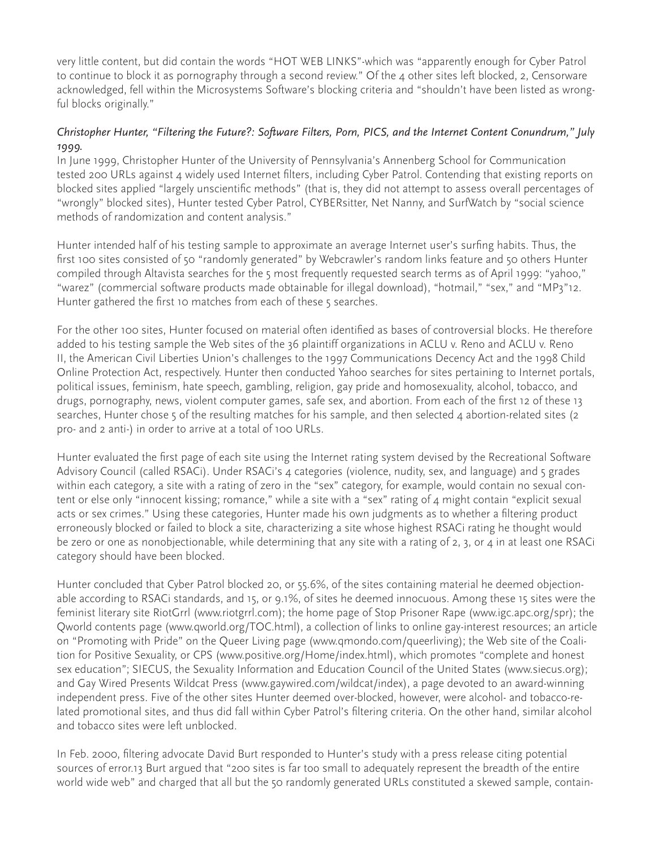very little content, but did contain the words "HOT WEB LINKS"-which was "apparently enough for Cyber Patrol to continue to block it as pornography through a second review." Of the 4 other sites left blocked, 2, Censorware acknowledged, fell within the Microsystems Software's blocking criteria and "shouldn't have been listed as wrongful blocks originally."

#### *Christopher Hunter, "Filtering the Future?: Software Filters, Porn, PICS, and the Internet Content Conundrum," July 1999.*

In June 1999, Christopher Hunter of the University of Pennsylvania's Annenberg School for Communication tested 200 URLs against 4 widely used Internet filters, including Cyber Patrol. Contending that existing reports on blocked sites applied "largely unscientific methods" (that is, they did not attempt to assess overall percentages of "wrongly" blocked sites), Hunter tested Cyber Patrol, CYBERsitter, Net Nanny, and SurfWatch by "social science methods of randomization and content analysis."

Hunter intended half of his testing sample to approximate an average Internet user's surfing habits. Thus, the first 100 sites consisted of 50 "randomly generated" by Webcrawler's random links feature and 50 others Hunter compiled through Altavista searches for the 5 most frequently requested search terms as of April 1999: "yahoo," "warez" (commercial software products made obtainable for illegal download), "hotmail," "sex," and "MP3"12. Hunter gathered the first 10 matches from each of these 5 searches.

For the other 100 sites, Hunter focused on material often identified as bases of controversial blocks. He therefore added to his testing sample the Web sites of the 36 plaintiff organizations in ACLU v. Reno and ACLU v. Reno II, the American Civil Liberties Union's challenges to the 1997 Communications Decency Act and the 1998 Child Online Protection Act, respectively. Hunter then conducted Yahoo searches for sites pertaining to Internet portals, political issues, feminism, hate speech, gambling, religion, gay pride and homosexuality, alcohol, tobacco, and drugs, pornography, news, violent computer games, safe sex, and abortion. From each of the first 12 of these 13 searches, Hunter chose 5 of the resulting matches for his sample, and then selected 4 abortion-related sites (2 pro- and 2 anti-) in order to arrive at a total of 100 URLs.

Hunter evaluated the first page of each site using the Internet rating system devised by the Recreational Software Advisory Council (called RSACi). Under RSACi's 4 categories (violence, nudity, sex, and language) and 5 grades within each category, a site with a rating of zero in the "sex" category, for example, would contain no sexual content or else only "innocent kissing; romance," while a site with a "sex" rating of 4 might contain "explicit sexual acts or sex crimes." Using these categories, Hunter made his own judgments as to whether a filtering product erroneously blocked or failed to block a site, characterizing a site whose highest RSACi rating he thought would be zero or one as nonobjectionable, while determining that any site with a rating of 2, 3, or 4 in at least one RSACi category should have been blocked.

Hunter concluded that Cyber Patrol blocked 20, or 55.6%, of the sites containing material he deemed objectionable according to RSACi standards, and 15, or 9.1%, of sites he deemed innocuous. Among these 15 sites were the feminist literary site RiotGrrl (www.riotgrrl.com); the home page of Stop Prisoner Rape (www.igc.apc.org/spr); the Qworld contents page (www.qworld.org/TOC.html), a collection of links to online gay-interest resources; an article on "Promoting with Pride" on the Queer Living page (www.qmondo.com/queerliving); the Web site of the Coalition for Positive Sexuality, or CPS (www.positive.org/Home/index.html), which promotes "complete and honest sex education"; SIECUS, the Sexuality Information and Education Council of the United States (www.siecus.org); and Gay Wired Presents Wildcat Press (www.gaywired.com/wildcat/index), a page devoted to an award-winning independent press. Five of the other sites Hunter deemed over-blocked, however, were alcohol- and tobacco-related promotional sites, and thus did fall within Cyber Patrol's filtering criteria. On the other hand, similar alcohol and tobacco sites were left unblocked.

In Feb. 2000, filtering advocate David Burt responded to Hunter's study with a press release citing potential sources of error.13 Burt argued that "200 sites is far too small to adequately represent the breadth of the entire world wide web" and charged that all but the 50 randomly generated URLs constituted a skewed sample, contain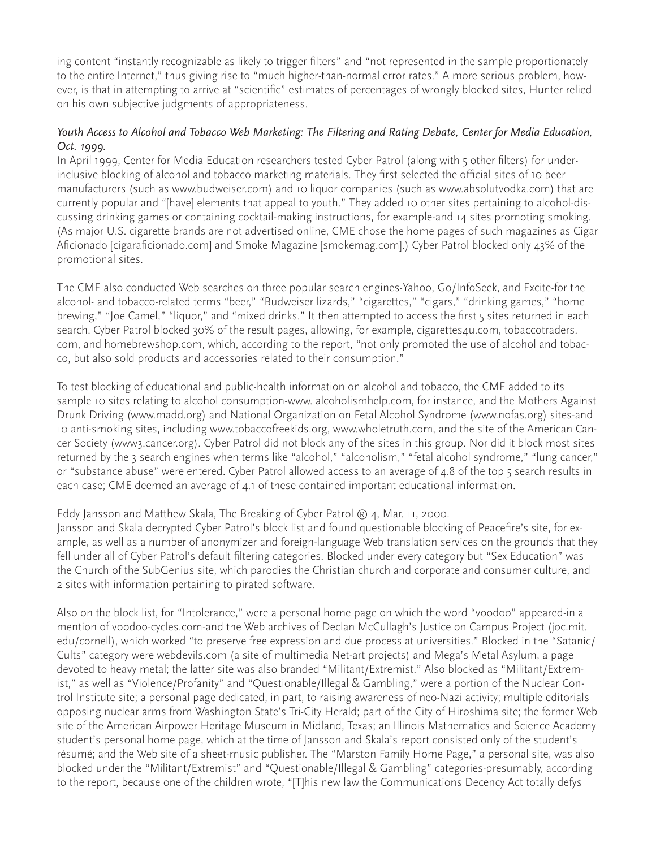ing content "instantly recognizable as likely to trigger filters" and "not represented in the sample proportionately to the entire Internet," thus giving rise to "much higher-than-normal error rates." A more serious problem, however, is that in attempting to arrive at "scientific" estimates of percentages of wrongly blocked sites, Hunter relied on his own subjective judgments of appropriateness.

#### *Youth Access to Alcohol and Tobacco Web Marketing: The Filtering and Rating Debate, Center for Media Education, Oct. 1999.*

In April 1999, Center for Media Education researchers tested Cyber Patrol (along with 5 other filters) for underinclusive blocking of alcohol and tobacco marketing materials. They first selected the official sites of 10 beer manufacturers (such as www.budweiser.com) and 10 liquor companies (such as www.absolutvodka.com) that are currently popular and "[have] elements that appeal to youth." They added 10 other sites pertaining to alcohol-discussing drinking games or containing cocktail-making instructions, for example-and 14 sites promoting smoking. (As major U.S. cigarette brands are not advertised online, CME chose the home pages of such magazines as Cigar Aficionado [cigaraficionado.com] and Smoke Magazine [smokemag.com].) Cyber Patrol blocked only 43% of the promotional sites.

The CME also conducted Web searches on three popular search engines-Yahoo, Go/InfoSeek, and Excite-for the alcohol- and tobacco-related terms "beer," "Budweiser lizards," "cigarettes," "cigars," "drinking games," "home brewing," "Joe Camel," "liquor," and "mixed drinks." It then attempted to access the first 5 sites returned in each search. Cyber Patrol blocked 30% of the result pages, allowing, for example, cigarettes4u.com, tobaccotraders. com, and homebrewshop.com, which, according to the report, "not only promoted the use of alcohol and tobacco, but also sold products and accessories related to their consumption."

To test blocking of educational and public-health information on alcohol and tobacco, the CME added to its sample 10 sites relating to alcohol consumption-www. alcoholismhelp.com, for instance, and the Mothers Against Drunk Driving (www.madd.org) and National Organization on Fetal Alcohol Syndrome (www.nofas.org) sites-and 10 anti-smoking sites, including www.tobaccofreekids.org, www.wholetruth.com, and the site of the American Cancer Society (www3.cancer.org). Cyber Patrol did not block any of the sites in this group. Nor did it block most sites returned by the 3 search engines when terms like "alcohol," "alcoholism," "fetal alcohol syndrome," "lung cancer," or "substance abuse" were entered. Cyber Patrol allowed access to an average of 4.8 of the top 5 search results in each case; CME deemed an average of 4.1 of these contained important educational information.

#### Eddy Jansson and Matthew Skala, The Breaking of Cyber Patrol  $\Re$  4, Mar. 11, 2000.

Jansson and Skala decrypted Cyber Patrol's block list and found questionable blocking of Peacefire's site, for example, as well as a number of anonymizer and foreign-language Web translation services on the grounds that they fell under all of Cyber Patrol's default filtering categories. Blocked under every category but "Sex Education" was the Church of the SubGenius site, which parodies the Christian church and corporate and consumer culture, and 2 sites with information pertaining to pirated software.

Also on the block list, for "Intolerance," were a personal home page on which the word "voodoo" appeared-in a mention of voodoo-cycles.com-and the Web archives of Declan McCullagh's Justice on Campus Project (joc.mit. edu/cornell), which worked "to preserve free expression and due process at universities." Blocked in the "Satanic/ Cults" category were webdevils.com (a site of multimedia Net-art projects) and Mega's Metal Asylum, a page devoted to heavy metal; the latter site was also branded "Militant/Extremist." Also blocked as "Militant/Extremist," as well as "Violence/Profanity" and "Questionable/Illegal & Gambling," were a portion of the Nuclear Control Institute site; a personal page dedicated, in part, to raising awareness of neo-Nazi activity; multiple editorials opposing nuclear arms from Washington State's Tri-City Herald; part of the City of Hiroshima site; the former Web site of the American Airpower Heritage Museum in Midland, Texas; an Illinois Mathematics and Science Academy student's personal home page, which at the time of Jansson and Skala's report consisted only of the student's résumé; and the Web site of a sheet-music publisher. The "Marston Family Home Page," a personal site, was also blocked under the "Militant/Extremist" and "Questionable/Illegal & Gambling" categories-presumably, according to the report, because one of the children wrote, "[T]his new law the Communications Decency Act totally defys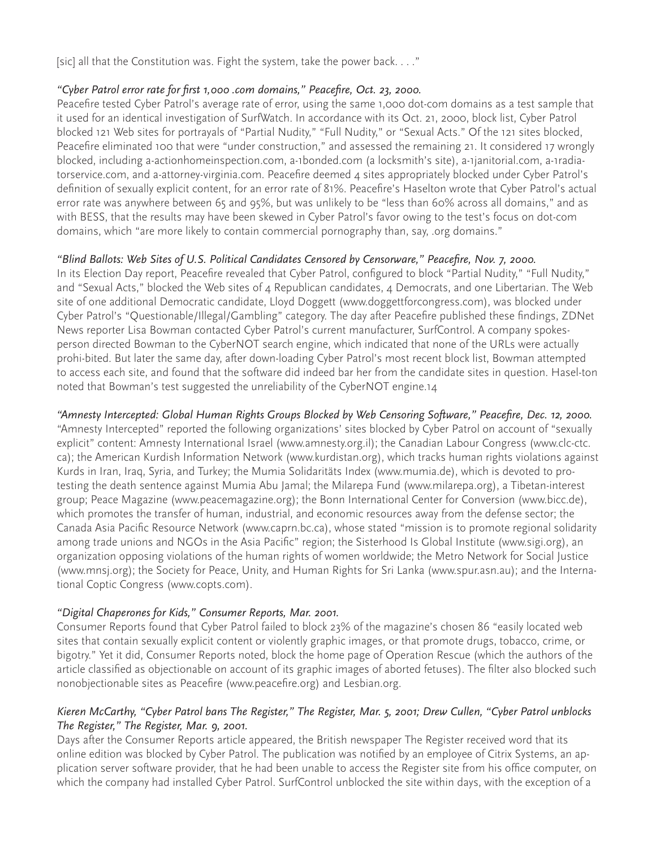[sic] all that the Constitution was. Fight the system, take the power back. . . ."

#### *"Cyber Patrol error rate for first 1,000 .com domains," Peacefire, Oct. 23, 2000.*

Peacefire tested Cyber Patrol's average rate of error, using the same 1,000 dot-com domains as a test sample that it used for an identical investigation of SurfWatch. In accordance with its Oct. 21, 2000, block list, Cyber Patrol blocked 121 Web sites for portrayals of "Partial Nudity," "Full Nudity," or "Sexual Acts." Of the 121 sites blocked, Peacefire eliminated 100 that were "under construction," and assessed the remaining 21. It considered 17 wrongly blocked, including a-actionhomeinspection.com, a-1bonded.com (a locksmith's site), a-1janitorial.com, a-1radiatorservice.com, and a-attorney-virginia.com. Peacefire deemed 4 sites appropriately blocked under Cyber Patrol's definition of sexually explicit content, for an error rate of 81%. Peacefire's Haselton wrote that Cyber Patrol's actual error rate was anywhere between 65 and 95%, but was unlikely to be "less than 60% across all domains," and as with BESS, that the results may have been skewed in Cyber Patrol's favor owing to the test's focus on dot-com domains, which "are more likely to contain commercial pornography than, say, .org domains."

## *"Blind Ballots: Web Sites of U.S. Political Candidates Censored by Censorware," Peacefire, Nov. 7, 2000.*

In its Election Day report, Peacefire revealed that Cyber Patrol, configured to block "Partial Nudity," "Full Nudity," and "Sexual Acts," blocked the Web sites of 4 Republican candidates, 4 Democrats, and one Libertarian. The Web site of one additional Democratic candidate, Lloyd Doggett (www.doggettforcongress.com), was blocked under Cyber Patrol's "Questionable/Illegal/Gambling" category. The day after Peacefire published these findings, ZDNet News reporter Lisa Bowman contacted Cyber Patrol's current manufacturer, SurfControl. A company spokesperson directed Bowman to the CyberNOT search engine, which indicated that none of the URLs were actually prohi-bited. But later the same day, after down-loading Cyber Patrol's most recent block list, Bowman attempted to access each site, and found that the software did indeed bar her from the candidate sites in question. Hasel-ton noted that Bowman's test suggested the unreliability of the CyberNOT engine.14

#### *"Amnesty Intercepted: Global Human Rights Groups Blocked by Web Censoring Software," Peacefire, Dec. 12, 2000.*

"Amnesty Intercepted" reported the following organizations' sites blocked by Cyber Patrol on account of "sexually explicit" content: Amnesty International Israel (www.amnesty.org.il); the Canadian Labour Congress (www.clc-ctc. ca); the American Kurdish Information Network (www.kurdistan.org), which tracks human rights violations against Kurds in Iran, Iraq, Syria, and Turkey; the Mumia Solidaritäts Index (www.mumia.de), which is devoted to protesting the death sentence against Mumia Abu Jamal; the Milarepa Fund (www.milarepa.org), a Tibetan-interest group; Peace Magazine (www.peacemagazine.org); the Bonn International Center for Conversion (www.bicc.de), which promotes the transfer of human, industrial, and economic resources away from the defense sector; the Canada Asia Pacific Resource Network (www.caprn.bc.ca), whose stated "mission is to promote regional solidarity among trade unions and NGOs in the Asia Pacific" region; the Sisterhood Is Global Institute (www.sigi.org), an organization opposing violations of the human rights of women worldwide; the Metro Network for Social Justice (www.mnsj.org); the Society for Peace, Unity, and Human Rights for Sri Lanka (www.spur.asn.au); and the International Coptic Congress (www.copts.com).

#### *"Digital Chaperones for Kids," Consumer Reports, Mar. 2001.*

Consumer Reports found that Cyber Patrol failed to block 23% of the magazine's chosen 86 "easily located web sites that contain sexually explicit content or violently graphic images, or that promote drugs, tobacco, crime, or bigotry." Yet it did, Consumer Reports noted, block the home page of Operation Rescue (which the authors of the article classified as objectionable on account of its graphic images of aborted fetuses). The filter also blocked such nonobjectionable sites as Peacefire (www.peacefire.org) and Lesbian.org.

#### *Kieren McCarthy, "Cyber Patrol bans The Register," The Register, Mar. 5, 2001; Drew Cullen, "Cyber Patrol unblocks The Register," The Register, Mar. 9, 2001.*

Days after the Consumer Reports article appeared, the British newspaper The Register received word that its online edition was blocked by Cyber Patrol. The publication was notified by an employee of Citrix Systems, an application server software provider, that he had been unable to access the Register site from his office computer, on which the company had installed Cyber Patrol. SurfControl unblocked the site within days, with the exception of a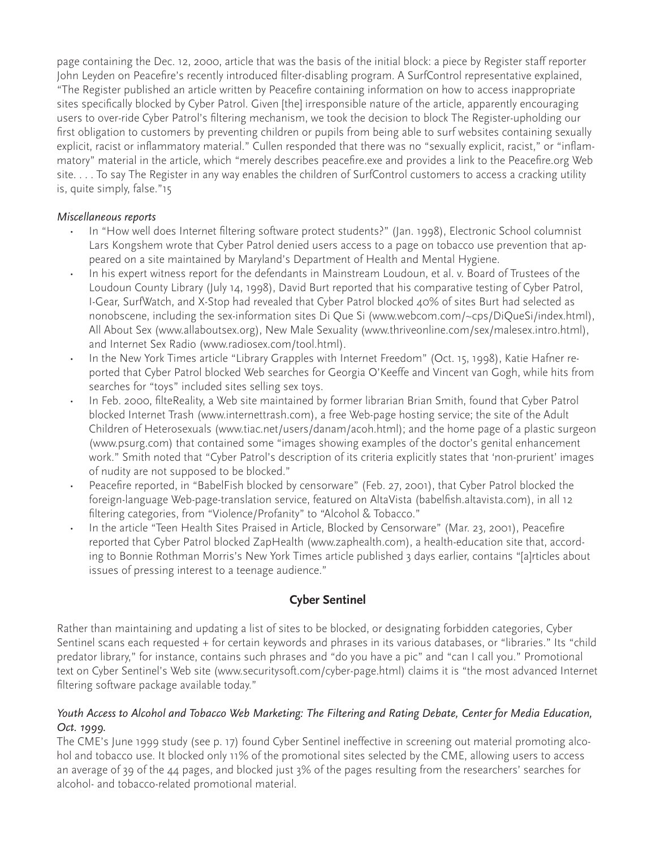page containing the Dec. 12, 2000, article that was the basis of the initial block: a piece by Register staff reporter John Leyden on Peacefire's recently introduced filter-disabling program. A SurfControl representative explained, "The Register published an article written by Peacefire containing information on how to access inappropriate sites specifically blocked by Cyber Patrol. Given [the] irresponsible nature of the article, apparently encouraging users to over-ride Cyber Patrol's filtering mechanism, we took the decision to block The Register-upholding our first obligation to customers by preventing children or pupils from being able to surf websites containing sexually explicit, racist or inflammatory material." Cullen responded that there was no "sexually explicit, racist," or "inflammatory" material in the article, which "merely describes peacefire.exe and provides a link to the Peacefire.org Web site. . . . To say The Register in any way enables the children of SurfControl customers to access a cracking utility is, quite simply, false."15

#### *Miscellaneous reports*

- In "How well does Internet filtering software protect students?" (Jan. 1998), Electronic School columnist Lars Kongshem wrote that Cyber Patrol denied users access to a page on tobacco use prevention that appeared on a site maintained by Maryland's Department of Health and Mental Hygiene.
- In his expert witness report for the defendants in Mainstream Loudoun, et al. v. Board of Trustees of the Loudoun County Library (July 14, 1998), David Burt reported that his comparative testing of Cyber Patrol, I-Gear, SurfWatch, and X-Stop had revealed that Cyber Patrol blocked 40% of sites Burt had selected as nonobscene, including the sex-information sites Di Que Si (www.webcom.com/~cps/DiQueSi/index.html), All About Sex (www.allaboutsex.org), New Male Sexuality (www.thriveonline.com/sex/malesex.intro.html), and Internet Sex Radio (www.radiosex.com/tool.html).
- In the New York Times article "Library Grapples with Internet Freedom" (Oct. 15, 1998), Katie Hafner reported that Cyber Patrol blocked Web searches for Georgia O'Keeffe and Vincent van Gogh, while hits from searches for "toys" included sites selling sex toys.
- In Feb. 2000, filteReality, a Web site maintained by former librarian Brian Smith, found that Cyber Patrol blocked Internet Trash (www.internettrash.com), a free Web-page hosting service; the site of the Adult Children of Heterosexuals (www.tiac.net/users/danam/acoh.html); and the home page of a plastic surgeon (www.psurg.com) that contained some "images showing examples of the doctor's genital enhancement work." Smith noted that "Cyber Patrol's description of its criteria explicitly states that 'non-prurient' images of nudity are not supposed to be blocked."
- Peacefire reported, in "BabelFish blocked by censorware" (Feb. 27, 2001), that Cyber Patrol blocked the foreign-language Web-page-translation service, featured on AltaVista (babelfish.altavista.com), in all 12 filtering categories, from "Violence/Profanity" to "Alcohol & Tobacco."
- In the article "Teen Health Sites Praised in Article, Blocked by Censorware" (Mar. 23, 2001), Peacefire reported that Cyber Patrol blocked ZapHealth (www.zaphealth.com), a health-education site that, according to Bonnie Rothman Morris's New York Times article published 3 days earlier, contains "[a]rticles about issues of pressing interest to a teenage audience."

## **Cyber Sentinel**

Rather than maintaining and updating a list of sites to be blocked, or designating forbidden categories, Cyber Sentinel scans each requested + for certain keywords and phrases in its various databases, or "libraries." Its "child predator library," for instance, contains such phrases and "do you have a pic" and "can I call you." Promotional text on Cyber Sentinel's Web site (www.securitysoft.com/cyber-page.html) claims it is "the most advanced Internet filtering software package available today."

#### *Youth Access to Alcohol and Tobacco Web Marketing: The Filtering and Rating Debate, Center for Media Education, Oct. 1999.*

The CME's June 1999 study (see p. 17) found Cyber Sentinel ineffective in screening out material promoting alcohol and tobacco use. It blocked only 11% of the promotional sites selected by the CME, allowing users to access an average of 39 of the 44 pages, and blocked just 3% of the pages resulting from the researchers' searches for alcohol- and tobacco-related promotional material.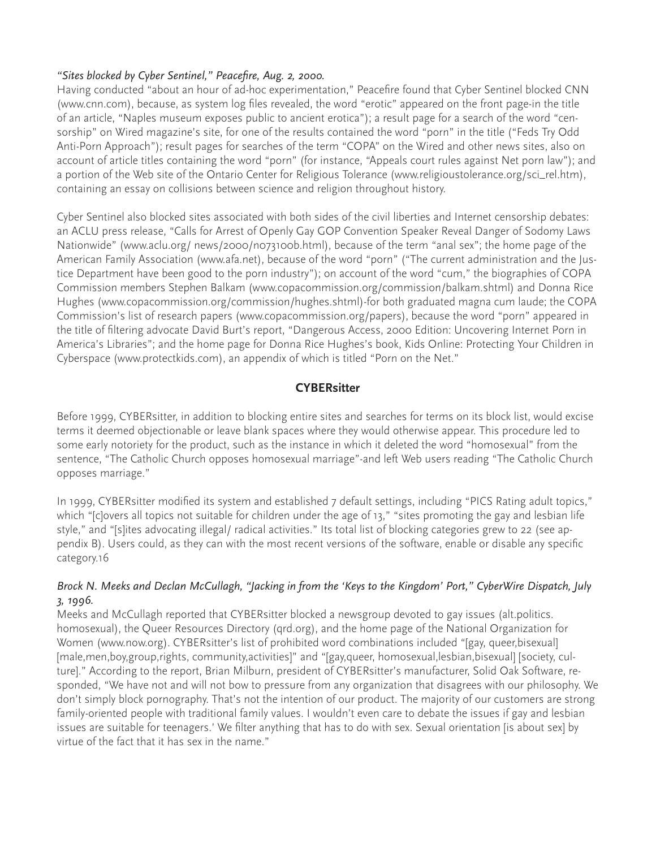#### *"Sites blocked by Cyber Sentinel," Peacefire, Aug. 2, 2000.*

Having conducted "about an hour of ad-hoc experimentation," Peacefire found that Cyber Sentinel blocked CNN (www.cnn.com), because, as system log files revealed, the word "erotic" appeared on the front page-in the title of an article, "Naples museum exposes public to ancient erotica"); a result page for a search of the word "censorship" on Wired magazine's site, for one of the results contained the word "porn" in the title ("Feds Try Odd Anti-Porn Approach"); result pages for searches of the term "COPA" on the Wired and other news sites, also on account of article titles containing the word "porn" (for instance, "Appeals court rules against Net porn law"); and a portion of the Web site of the Ontario Center for Religious Tolerance (www.religioustolerance.org/sci\_rel.htm), containing an essay on collisions between science and religion throughout history.

Cyber Sentinel also blocked sites associated with both sides of the civil liberties and Internet censorship debates: an ACLU press release, "Calls for Arrest of Openly Gay GOP Convention Speaker Reveal Danger of Sodomy Laws Nationwide" (www.aclu.org/ news/2000/n073100b.html), because of the term "anal sex"; the home page of the American Family Association (www.afa.net), because of the word "porn" ("The current administration and the Justice Department have been good to the porn industry"); on account of the word "cum," the biographies of COPA Commission members Stephen Balkam (www.copacommission.org/commission/balkam.shtml) and Donna Rice Hughes (www.copacommission.org/commission/hughes.shtml)-for both graduated magna cum laude; the COPA Commission's list of research papers (www.copacommission.org/papers), because the word "porn" appeared in the title of filtering advocate David Burt's report, "Dangerous Access, 2000 Edition: Uncovering Internet Porn in America's Libraries"; and the home page for Donna Rice Hughes's book, Kids Online: Protecting Your Children in Cyberspace (www.protectkids.com), an appendix of which is titled "Porn on the Net."

## **CYBERsitter**

Before 1999, CYBERsitter, in addition to blocking entire sites and searches for terms on its block list, would excise terms it deemed objectionable or leave blank spaces where they would otherwise appear. This procedure led to some early notoriety for the product, such as the instance in which it deleted the word "homosexual" from the sentence, "The Catholic Church opposes homosexual marriage"-and left Web users reading "The Catholic Church opposes marriage."

In 1999, CYBERsitter modified its system and established 7 default settings, including "PICS Rating adult topics," which "[c]overs all topics not suitable for children under the age of 13," "sites promoting the gay and lesbian life style," and "[s]ites advocating illegal/ radical activities." Its total list of blocking categories grew to 22 (see appendix B). Users could, as they can with the most recent versions of the software, enable or disable any specific category.16

## *Brock N. Meeks and Declan McCullagh, "Jacking in from the 'Keys to the Kingdom' Port," CyberWire Dispatch, July 3, 1996.*

Meeks and McCullagh reported that CYBERsitter blocked a newsgroup devoted to gay issues (alt.politics. homosexual), the Queer Resources Directory (qrd.org), and the home page of the National Organization for Women (www.now.org). CYBERsitter's list of prohibited word combinations included "[gay, queer,bisexual] [male,men,boy,group,rights, community,activities]" and "[gay,queer, homosexual,lesbian,bisexual] [society, culture]." According to the report, Brian Milburn, president of CYBERsitter's manufacturer, Solid Oak Software, responded, "We have not and will not bow to pressure from any organization that disagrees with our philosophy. We don't simply block pornography. That's not the intention of our product. The majority of our customers are strong family-oriented people with traditional family values. I wouldn't even care to debate the issues if gay and lesbian issues are suitable for teenagers.' We filter anything that has to do with sex. Sexual orientation [is about sex] by virtue of the fact that it has sex in the name."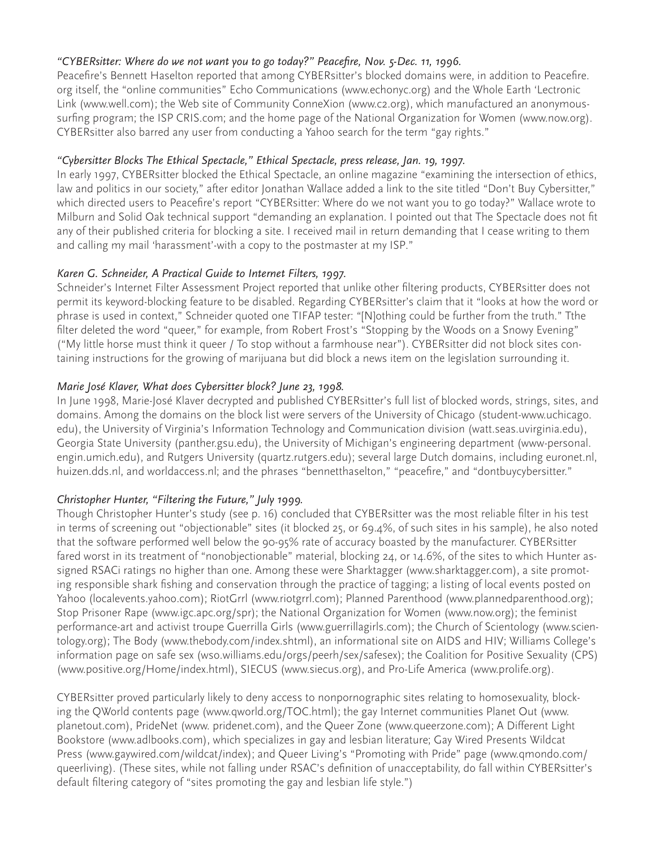## *"CYBERsitter: Where do we not want you to go today?" Peacefire, Nov. 5-Dec. 11, 1996.*

Peacefire's Bennett Haselton reported that among CYBERsitter's blocked domains were, in addition to Peacefire. org itself, the "online communities" Echo Communications (www.echonyc.org) and the Whole Earth 'Lectronic Link (www.well.com); the Web site of Community ConneXion (www.c2.org), which manufactured an anonymoussurfing program; the ISP CRIS.com; and the home page of the National Organization for Women (www.now.org). CYBERsitter also barred any user from conducting a Yahoo search for the term "gay rights."

### *"Cybersitter Blocks The Ethical Spectacle," Ethical Spectacle, press release, Jan. 19, 1997.*

In early 1997, CYBERsitter blocked the Ethical Spectacle, an online magazine "examining the intersection of ethics, law and politics in our society," after editor Jonathan Wallace added a link to the site titled "Don't Buy Cybersitter," which directed users to Peacefire's report "CYBERsitter: Where do we not want you to go today?" Wallace wrote to Milburn and Solid Oak technical support "demanding an explanation. I pointed out that The Spectacle does not fit any of their published criteria for blocking a site. I received mail in return demanding that I cease writing to them and calling my mail 'harassment'-with a copy to the postmaster at my ISP."

## *Karen G. Schneider, A Practical Guide to Internet Filters, 1997.*

Schneider's Internet Filter Assessment Project reported that unlike other filtering products, CYBERsitter does not permit its keyword-blocking feature to be disabled. Regarding CYBERsitter's claim that it "looks at how the word or phrase is used in context," Schneider quoted one TIFAP tester: "[N]othing could be further from the truth." Tthe filter deleted the word "queer," for example, from Robert Frost's "Stopping by the Woods on a Snowy Evening" ("My little horse must think it queer / To stop without a farmhouse near"). CYBERsitter did not block sites containing instructions for the growing of marijuana but did block a news item on the legislation surrounding it.

## *Marie José Klaver, What does Cybersitter block? June 23, 1998.*

In June 1998, Marie-José Klaver decrypted and published CYBERsitter's full list of blocked words, strings, sites, and domains. Among the domains on the block list were servers of the University of Chicago (student-www.uchicago. edu), the University of Virginia's Information Technology and Communication division (watt.seas.uvirginia.edu), Georgia State University (panther.gsu.edu), the University of Michigan's engineering department (www-personal. engin.umich.edu), and Rutgers University (quartz.rutgers.edu); several large Dutch domains, including euronet.nl, huizen.dds.nl, and worldaccess.nl; and the phrases "bennetthaselton," "peacefire," and "dontbuycybersitter."

## *Christopher Hunter, "Filtering the Future," July 1999.*

Though Christopher Hunter's study (see p. 16) concluded that CYBERsitter was the most reliable filter in his test in terms of screening out "objectionable" sites (it blocked 25, or 69.4%, of such sites in his sample), he also noted that the software performed well below the 90-95% rate of accuracy boasted by the manufacturer. CYBERsitter fared worst in its treatment of "nonobjectionable" material, blocking 24, or 14.6%, of the sites to which Hunter assigned RSACi ratings no higher than one. Among these were Sharktagger (www.sharktagger.com), a site promoting responsible shark fishing and conservation through the practice of tagging; a listing of local events posted on Yahoo (localevents.yahoo.com); RiotGrrl (www.riotgrrl.com); Planned Parenthood (www.plannedparenthood.org); Stop Prisoner Rape (www.igc.apc.org/spr); the National Organization for Women (www.now.org); the feminist performance-art and activist troupe Guerrilla Girls (www.guerrillagirls.com); the Church of Scientology (www.scientology.org); The Body (www.thebody.com/index.shtml), an informational site on AIDS and HIV; Williams College's information page on safe sex (wso.williams.edu/orgs/peerh/sex/safesex); the Coalition for Positive Sexuality (CPS) (www.positive.org/Home/index.html), SIECUS (www.siecus.org), and Pro-Life America (www.prolife.org).

CYBERsitter proved particularly likely to deny access to nonpornographic sites relating to homosexuality, blocking the QWorld contents page (www.qworld.org/TOC.html); the gay Internet communities Planet Out (www. planetout.com), PrideNet (www. pridenet.com), and the Queer Zone (www.queerzone.com); A Different Light Bookstore (www.adlbooks.com), which specializes in gay and lesbian literature; Gay Wired Presents Wildcat Press (www.gaywired.com/wildcat/index); and Queer Living's "Promoting with Pride" page (www.qmondo.com/ queerliving). (These sites, while not falling under RSAC's definition of unacceptability, do fall within CYBERsitter's default filtering category of "sites promoting the gay and lesbian life style.")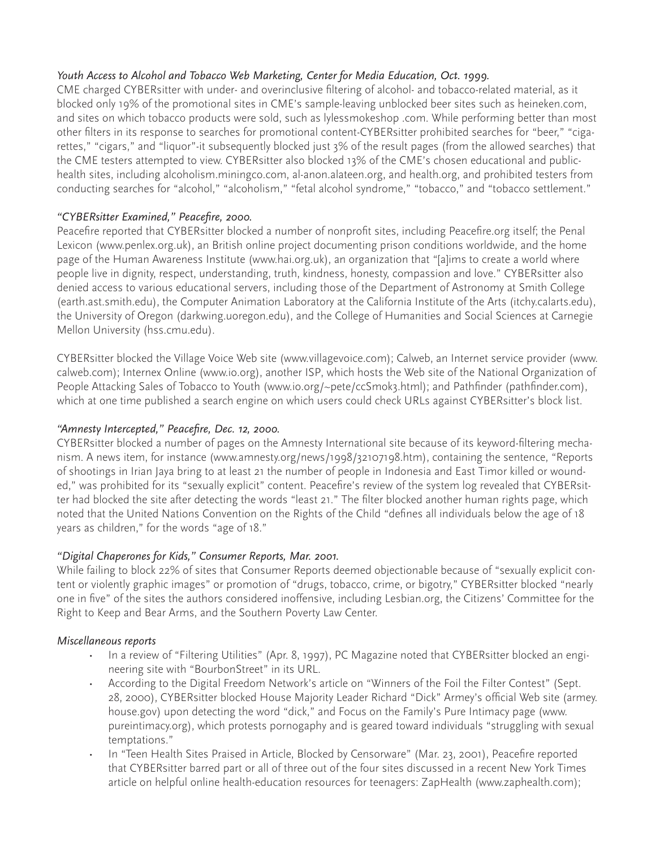## *Youth Access to Alcohol and Tobacco Web Marketing, Center for Media Education, Oct. 1999.*

CME charged CYBERsitter with under- and overinclusive filtering of alcohol- and tobacco-related material, as it blocked only 19% of the promotional sites in CME's sample-leaving unblocked beer sites such as heineken.com, and sites on which tobacco products were sold, such as lylessmokeshop .com. While performing better than most other filters in its response to searches for promotional content-CYBERsitter prohibited searches for "beer," "cigarettes," "cigars," and "liquor"-it subsequently blocked just 3% of the result pages (from the allowed searches) that the CME testers attempted to view. CYBERsitter also blocked 13% of the CME's chosen educational and publichealth sites, including alcoholism.miningco.com, al-anon.alateen.org, and health.org, and prohibited testers from conducting searches for "alcohol," "alcoholism," "fetal alcohol syndrome," "tobacco," and "tobacco settlement."

## *"CYBERsitter Examined," Peacefire, 2000.*

Peacefire reported that CYBERsitter blocked a number of nonprofit sites, including Peacefire.org itself; the Penal Lexicon (www.penlex.org.uk), an British online project documenting prison conditions worldwide, and the home page of the Human Awareness Institute (www.hai.org.uk), an organization that "[a]ims to create a world where people live in dignity, respect, understanding, truth, kindness, honesty, compassion and love." CYBERsitter also denied access to various educational servers, including those of the Department of Astronomy at Smith College (earth.ast.smith.edu), the Computer Animation Laboratory at the California Institute of the Arts (itchy.calarts.edu), the University of Oregon (darkwing.uoregon.edu), and the College of Humanities and Social Sciences at Carnegie Mellon University (hss.cmu.edu).

CYBERsitter blocked the Village Voice Web site (www.villagevoice.com); Calweb, an Internet service provider (www. calweb.com); Internex Online (www.io.org), another ISP, which hosts the Web site of the National Organization of People Attacking Sales of Tobacco to Youth (www.io.org/~pete/ccSmok3.html); and Pathfinder (pathfinder.com), which at one time published a search engine on which users could check URLs against CYBERsitter's block list.

## *"Amnesty Intercepted," Peacefire, Dec. 12, 2000.*

CYBERsitter blocked a number of pages on the Amnesty International site because of its keyword-filtering mechanism. A news item, for instance (www.amnesty.org/news/1998/32107198.htm), containing the sentence, "Reports of shootings in Irian Jaya bring to at least 21 the number of people in Indonesia and East Timor killed or wounded," was prohibited for its "sexually explicit" content. Peacefire's review of the system log revealed that CYBERsitter had blocked the site after detecting the words "least 21." The filter blocked another human rights page, which noted that the United Nations Convention on the Rights of the Child "defines all individuals below the age of 18 years as children," for the words "age of 18."

## *"Digital Chaperones for Kids," Consumer Reports, Mar. 2001.*

While failing to block 22% of sites that Consumer Reports deemed objectionable because of "sexually explicit content or violently graphic images" or promotion of "drugs, tobacco, crime, or bigotry," CYBERsitter blocked "nearly one in five" of the sites the authors considered inoffensive, including Lesbian.org, the Citizens' Committee for the Right to Keep and Bear Arms, and the Southern Poverty Law Center.

#### *Miscellaneous reports*

- In a review of "Filtering Utilities" (Apr. 8, 1997), PC Magazine noted that CYBERsitter blocked an engineering site with "BourbonStreet" in its URL.
- According to the Digital Freedom Network's article on "Winners of the Foil the Filter Contest" (Sept. 28, 2000), CYBERsitter blocked House Majority Leader Richard "Dick" Armey's official Web site (armey. house.gov) upon detecting the word "dick," and Focus on the Family's Pure Intimacy page (www. pureintimacy.org), which protests pornogaphy and is geared toward individuals "struggling with sexual temptations."
- In "Teen Health Sites Praised in Article, Blocked by Censorware" (Mar. 23, 2001), Peacefire reported that CYBERsitter barred part or all of three out of the four sites discussed in a recent New York Times article on helpful online health-education resources for teenagers: ZapHealth (www.zaphealth.com);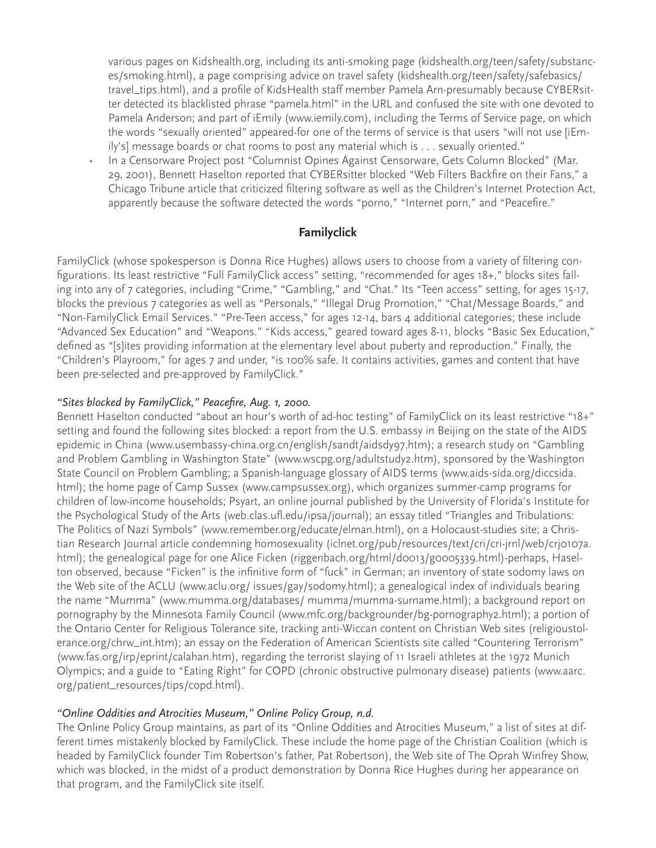various pages on Kidshealth.org, including its anti-smoking page (kidshealth.org/teen/safety/substances/smoking.html), a page comprising advice on travel safety (kidshealth.org/teen/safety/safebasics/ travel\_tips.html), and a profile of KidsHealth staff member Pamela Arn-presumably because CYBERsitter detected its blacklisted phrase "pamela.html" in the URL and confused the site with one devoted to Pamela Anderson; and part of iEmily (www.iemily.com), including the Terms of Service page, on which the words "sexually oriented" appeared-for one of the terms of service is that users "will not use [iEmily's] message boards or chat rooms to post any material which is . . . sexually oriented."

• In a Censorware Project post "Columnist Opines Against Censorware, Gets Column Blocked" (Mar. 29, 2001), Bennett Haselton reported that CYBERsitter blocked "Web Filters Backfire on their Fans," a Chicago Tribune article that criticized filtering software as well as the Children's Internet Protection Act, apparently because the software detected the words "porno," "Internet porn," and "Peacefire."

## **Familyclick**

FamilyClick (whose spokesperson is Donna Rice Hughes) allows users to choose from a variety of filtering configurations. Its least restrictive "Full FamilyClick access" setting, "recommended for ages 18+," blocks sites falling into any of 7 categories, including "Crime," "Gambling," and "Chat." Its "Teen access" setting, for ages 15-17, blocks the previous 7 categories as well as "Personals," "Illegal Drug Promotion," "Chat/Message Boards," and "Non-FamilyClick Email Services." "Pre-Teen access," for ages 12-14, bars 4 additional categories; these include "Advanced Sex Education" and "Weapons." "Kids access," geared toward ages 8-11, blocks "Basic Sex Education," defined as "[s]ites providing information at the elementary level about puberty and reproduction." Finally, the "Children's Playroom," for ages 7 and under, "is 100% safe. It contains activities, games and content that have been pre-selected and pre-approved by FamilyClick."

#### *"Sites blocked by FamilyClick," Peacefire, Aug. 1, 2000.*

Bennett Haselton conducted "about an hour's worth of ad-hoc testing" of FamilyClick on its least restrictive "18+" setting and found the following sites blocked: a report from the U.S. embassy in Beijing on the state of the AIDS epidemic in China (www.usembassy-china.org.cn/english/sandt/aidsdy97.htm); a research study on "Gambling and Problem Gambling in Washington State" (www.wscpg.org/adultstudy2.htm), sponsored by the Washington State Council on Problem Gambling; a Spanish-language glossary of AIDS terms (www.aids-sida.org/diccsida. html); the home page of Camp Sussex (www.campsussex.org), which organizes summer-camp programs for children of low-income households; Psyart, an online journal published by the University of Florida's Institute for the Psychological Study of the Arts (web.clas.ufl.edu/ipsa/journal); an essay titled "Triangles and Tribulations: The Politics of Nazi Symbols" (www.remember.org/educate/elman.html), on a Holocaust-studies site; a Christian Research Journal article condemning homosexuality (iclnet.org/pub/resources/text/cri/cri-jrnl/web/crj0107a. html); the genealogical page for one Alice Ficken (riggenbach.org/html/d0013/g0005339.html)-perhaps, Haselton observed, because "Ficken" is the infinitive form of "fuck" in German; an inventory of state sodomy laws on the Web site of the ACLU (www.aclu.org/ issues/gay/sodomy.html); a genealogical index of individuals bearing the name "Mumma" (www.mumma.org/databases/ mumma/mumma-surname.html); a background report on pornography by the Minnesota Family Council (www.mfc.org/backgrounder/bg-pornography2.html); a portion of the Ontario Center for Religious Tolerance site, tracking anti-Wiccan content on Christian Web sites (religioustolerance.org/chrw\_int.htm); an essay on the Federation of American Scientists site called "Countering Terrorism" (www.fas.org/irp/eprint/calahan.htm), regarding the terrorist slaying of 11 Israeli athletes at the 1972 Munich Olympics; and a guide to "Eating Right" for COPD (chronic obstructive pulmonary disease) patients (www.aarc. org/patient\_resources/tips/copd.html).

#### *"Online Oddities and Atrocities Museum," Online Policy Group, n.d.*

The Online Policy Group maintains, as part of its "Online Oddities and Atrocities Museum," a list of sites at different times mistakenly blocked by FamilyClick. These include the home page of the Christian Coalition (which is headed by FamilyClick founder Tim Robertson's father, Pat Robertson), the Web site of The Oprah Winfrey Show, which was blocked, in the midst of a product demonstration by Donna Rice Hughes during her appearance on that program, and the FamilyClick site itself.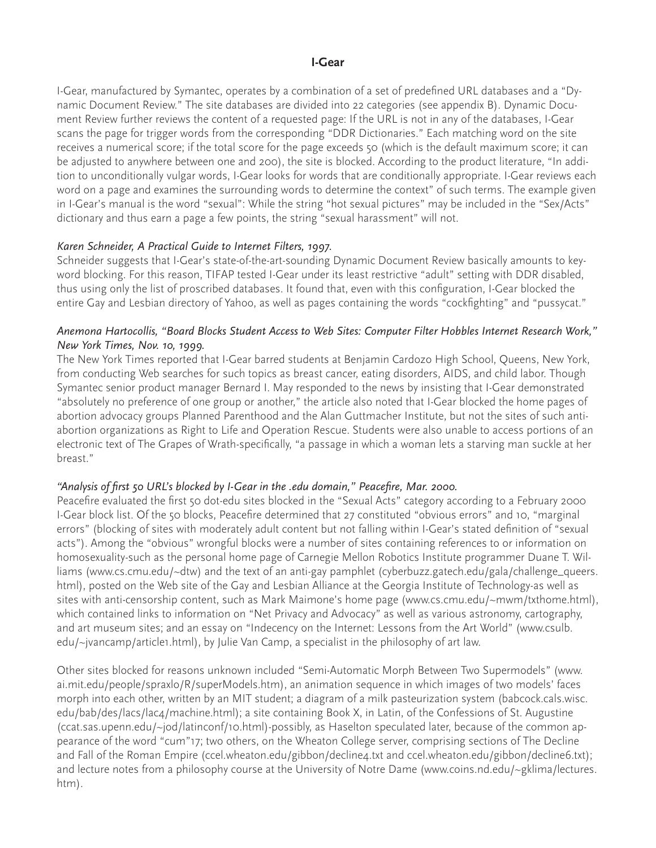#### **I-Gear**

I-Gear, manufactured by Symantec, operates by a combination of a set of predefined URL databases and a "Dynamic Document Review." The site databases are divided into 22 categories (see appendix B). Dynamic Document Review further reviews the content of a requested page: If the URL is not in any of the databases, I-Gear scans the page for trigger words from the corresponding "DDR Dictionaries." Each matching word on the site receives a numerical score; if the total score for the page exceeds 50 (which is the default maximum score; it can be adjusted to anywhere between one and 200), the site is blocked. According to the product literature, "In addition to unconditionally vulgar words, I-Gear looks for words that are conditionally appropriate. I-Gear reviews each word on a page and examines the surrounding words to determine the context" of such terms. The example given in I-Gear's manual is the word "sexual": While the string "hot sexual pictures" may be included in the "Sex/Acts" dictionary and thus earn a page a few points, the string "sexual harassment" will not.

#### *Karen Schneider, A Practical Guide to Internet Filters, 1997.*

Schneider suggests that I-Gear's state-of-the-art-sounding Dynamic Document Review basically amounts to keyword blocking. For this reason, TIFAP tested I-Gear under its least restrictive "adult" setting with DDR disabled, thus using only the list of proscribed databases. It found that, even with this configuration, I-Gear blocked the entire Gay and Lesbian directory of Yahoo, as well as pages containing the words "cockfighting" and "pussycat."

#### *Anemona Hartocollis, "Board Blocks Student Access to Web Sites: Computer Filter Hobbles Internet Research Work," New York Times, Nov. 10, 1999.*

The New York Times reported that I-Gear barred students at Benjamin Cardozo High School, Queens, New York, from conducting Web searches for such topics as breast cancer, eating disorders, AIDS, and child labor. Though Symantec senior product manager Bernard I. May responded to the news by insisting that I-Gear demonstrated "absolutely no preference of one group or another," the article also noted that I-Gear blocked the home pages of abortion advocacy groups Planned Parenthood and the Alan Guttmacher Institute, but not the sites of such antiabortion organizations as Right to Life and Operation Rescue. Students were also unable to access portions of an electronic text of The Grapes of Wrath-specifically, "a passage in which a woman lets a starving man suckle at her breast."

#### *"Analysis of first 50 URL's blocked by I-Gear in the .edu domain," Peacefire, Mar. 2000.*

Peacefire evaluated the first 50 dot-edu sites blocked in the "Sexual Acts" category according to a February 2000 I-Gear block list. Of the 50 blocks, Peacefire determined that 27 constituted "obvious errors" and 10, "marginal errors" (blocking of sites with moderately adult content but not falling within I-Gear's stated definition of "sexual acts"). Among the "obvious" wrongful blocks were a number of sites containing references to or information on homosexuality-such as the personal home page of Carnegie Mellon Robotics Institute programmer Duane T. Williams (www.cs.cmu.edu/~dtw) and the text of an anti-gay pamphlet (cyberbuzz.gatech.edu/gala/challenge\_queers. html), posted on the Web site of the Gay and Lesbian Alliance at the Georgia Institute of Technology-as well as sites with anti-censorship content, such as Mark Maimone's home page (www.cs.cmu.edu/~mwm/txthome.html), which contained links to information on "Net Privacy and Advocacy" as well as various astronomy, cartography, and art museum sites; and an essay on "Indecency on the Internet: Lessons from the Art World" (www.csulb. edu/~jvancamp/article1.html), by Julie Van Camp, a specialist in the philosophy of art law.

Other sites blocked for reasons unknown included "Semi-Automatic Morph Between Two Supermodels" (www. ai.mit.edu/people/spraxlo/R/superModels.htm), an animation sequence in which images of two models' faces morph into each other, written by an MIT student; a diagram of a milk pasteurization system (babcock.cals.wisc. edu/bab/des/lacs/lac4/machine.html); a site containing Book X, in Latin, of the Confessions of St. Augustine (ccat.sas.upenn.edu/~jod/latinconf/10.html)-possibly, as Haselton speculated later, because of the common appearance of the word "cum"17; two others, on the Wheaton College server, comprising sections of The Decline and Fall of the Roman Empire (ccel.wheaton.edu/gibbon/decline4.txt and ccel.wheaton.edu/gibbon/decline6.txt); and lecture notes from a philosophy course at the University of Notre Dame (www.coins.nd.edu/~gklima/lectures. htm).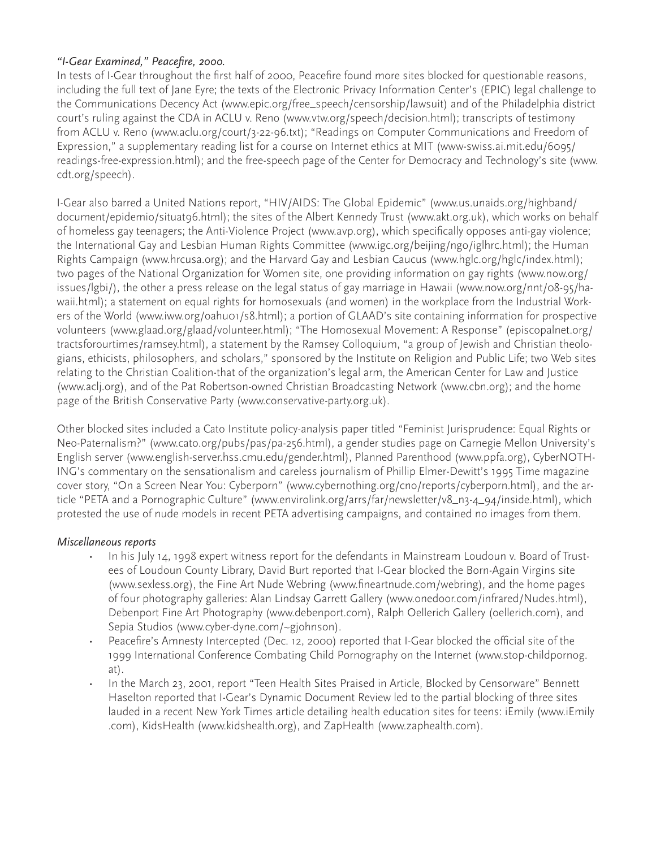## *"I-Gear Examined," Peacefire, 2000.*

In tests of I-Gear throughout the first half of 2000, Peacefire found more sites blocked for questionable reasons, including the full text of Jane Eyre; the texts of the Electronic Privacy Information Center's (EPIC) legal challenge to the Communications Decency Act (www.epic.org/free\_speech/censorship/lawsuit) and of the Philadelphia district court's ruling against the CDA in ACLU v. Reno (www.vtw.org/speech/decision.html); transcripts of testimony from ACLU v. Reno (www.aclu.org/court/3-22-96.txt); "Readings on Computer Communications and Freedom of Expression," a supplementary reading list for a course on Internet ethics at MIT (www-swiss.ai.mit.edu/6095/ readings-free-expression.html); and the free-speech page of the Center for Democracy and Technology's site (www. cdt.org/speech).

I-Gear also barred a United Nations report, "HIV/AIDS: The Global Epidemic" (www.us.unaids.org/highband/ document/epidemio/situat96.html); the sites of the Albert Kennedy Trust (www.akt.org.uk), which works on behalf of homeless gay teenagers; the Anti-Violence Project (www.avp.org), which specifically opposes anti-gay violence; the International Gay and Lesbian Human Rights Committee (www.igc.org/beijing/ngo/iglhrc.html); the Human Rights Campaign (www.hrcusa.org); and the Harvard Gay and Lesbian Caucus (www.hglc.org/hglc/index.html); two pages of the National Organization for Women site, one providing information on gay rights (www.now.org/ issues/lgbi/), the other a press release on the legal status of gay marriage in Hawaii (www.now.org/nnt/08-95/hawaii.html); a statement on equal rights for homosexuals (and women) in the workplace from the Industrial Workers of the World (www.iww.org/oahu01/s8.html); a portion of GLAAD's site containing information for prospective volunteers (www.glaad.org/glaad/volunteer.html); "The Homosexual Movement: A Response" (episcopalnet.org/ tractsforourtimes/ramsey.html), a statement by the Ramsey Colloquium, "a group of Jewish and Christian theologians, ethicists, philosophers, and scholars," sponsored by the Institute on Religion and Public Life; two Web sites relating to the Christian Coalition-that of the organization's legal arm, the American Center for Law and Justice (www.aclj.org), and of the Pat Robertson-owned Christian Broadcasting Network (www.cbn.org); and the home page of the British Conservative Party (www.conservative-party.org.uk).

Other blocked sites included a Cato Institute policy-analysis paper titled "Feminist Jurisprudence: Equal Rights or Neo-Paternalism?" (www.cato.org/pubs/pas/pa-256.html), a gender studies page on Carnegie Mellon University's English server (www.english-server.hss.cmu.edu/gender.html), Planned Parenthood (www.ppfa.org), CyberNOTH-ING's commentary on the sensationalism and careless journalism of Phillip Elmer-Dewitt's 1995 Time magazine cover story, "On a Screen Near You: Cyberporn" (www.cybernothing.org/cno/reports/cyberporn.html), and the article "PETA and a Pornographic Culture" (www.envirolink.org/arrs/far/newsletter/v8\_n3-4\_94/inside.html), which protested the use of nude models in recent PETA advertising campaigns, and contained no images from them.

#### *Miscellaneous reports*

- In his July 14, 1998 expert witness report for the defendants in Mainstream Loudoun v. Board of Trustees of Loudoun County Library, David Burt reported that I-Gear blocked the Born-Again Virgins site (www.sexless.org), the Fine Art Nude Webring (www.fineartnude.com/webring), and the home pages of four photography galleries: Alan Lindsay Garrett Gallery (www.onedoor.com/infrared/Nudes.html), Debenport Fine Art Photography (www.debenport.com), Ralph Oellerich Gallery (oellerich.com), and Sepia Studios (www.cyber-dyne.com/~gjohnson).
- Peacefire's Amnesty Intercepted (Dec. 12, 2000) reported that I-Gear blocked the official site of the 1999 International Conference Combating Child Pornography on the Internet (www.stop-childpornog. at).
- In the March 23, 2001, report "Teen Health Sites Praised in Article, Blocked by Censorware" Bennett Haselton reported that I-Gear's Dynamic Document Review led to the partial blocking of three sites lauded in a recent New York Times article detailing health education sites for teens: iEmily (www.iEmily .com), KidsHealth (www.kidshealth.org), and ZapHealth (www.zaphealth.com).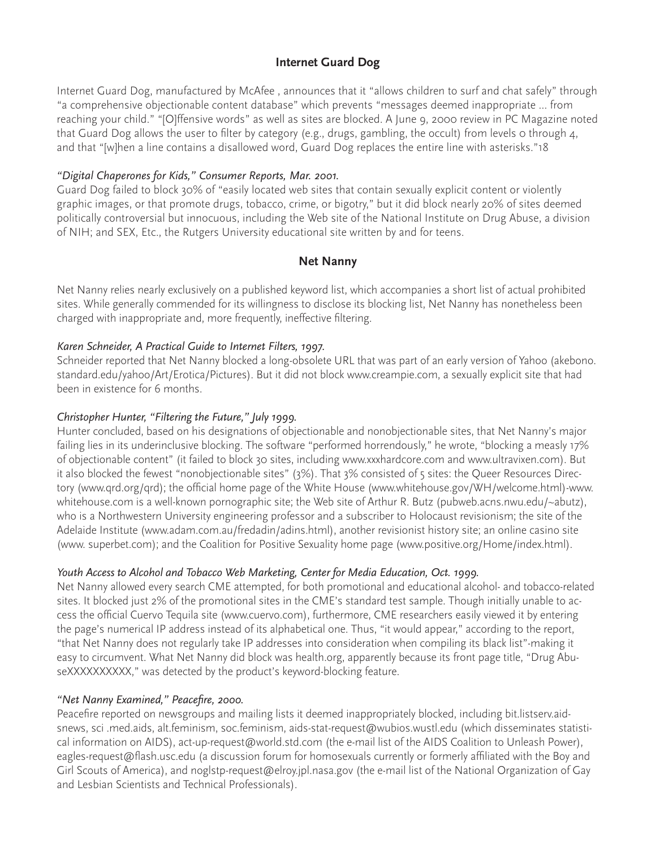## **Internet Guard Dog**

Internet Guard Dog, manufactured by McAfee , announces that it "allows children to surf and chat safely" through "a comprehensive objectionable content database" which prevents "messages deemed inappropriate ... from reaching your child." "[O]ffensive words" as well as sites are blocked. A June 9, 2000 review in PC Magazine noted that Guard Dog allows the user to filter by category (e.g., drugs, gambling, the occult) from levels o through 4, and that "[w]hen a line contains a disallowed word, Guard Dog replaces the entire line with asterisks."18

#### *"Digital Chaperones for Kids," Consumer Reports, Mar. 2001.*

Guard Dog failed to block 30% of "easily located web sites that contain sexually explicit content or violently graphic images, or that promote drugs, tobacco, crime, or bigotry," but it did block nearly 20% of sites deemed politically controversial but innocuous, including the Web site of the National Institute on Drug Abuse, a division of NIH; and SEX, Etc., the Rutgers University educational site written by and for teens.

## **Net Nanny**

Net Nanny relies nearly exclusively on a published keyword list, which accompanies a short list of actual prohibited sites. While generally commended for its willingness to disclose its blocking list, Net Nanny has nonetheless been charged with inappropriate and, more frequently, ineffective filtering.

#### *Karen Schneider, A Practical Guide to Internet Filters, 1997.*

Schneider reported that Net Nanny blocked a long-obsolete URL that was part of an early version of Yahoo (akebono. standard.edu/yahoo/Art/Erotica/Pictures). But it did not block www.creampie.com, a sexually explicit site that had been in existence for 6 months.

#### *Christopher Hunter, "Filtering the Future," July 1999.*

Hunter concluded, based on his designations of objectionable and nonobjectionable sites, that Net Nanny's major failing lies in its underinclusive blocking. The software "performed horrendously," he wrote, "blocking a measly 17% of objectionable content" (it failed to block 30 sites, including www.xxxhardcore.com and www.ultravixen.com). But it also blocked the fewest "nonobjectionable sites" (3%). That 3% consisted of 5 sites: the Queer Resources Directory (www.qrd.org/qrd); the official home page of the White House (www.whitehouse.gov/WH/welcome.html)-www. whitehouse.com is a well-known pornographic site; the Web site of Arthur R. Butz (pubweb.acns.nwu.edu/~abutz), who is a Northwestern University engineering professor and a subscriber to Holocaust revisionism; the site of the Adelaide Institute (www.adam.com.au/fredadin/adins.html), another revisionist history site; an online casino site (www. superbet.com); and the Coalition for Positive Sexuality home page (www.positive.org/Home/index.html).

#### *Youth Access to Alcohol and Tobacco Web Marketing, Center for Media Education, Oct. 1999.*

Net Nanny allowed every search CME attempted, for both promotional and educational alcohol- and tobacco-related sites. It blocked just 2% of the promotional sites in the CME's standard test sample. Though initially unable to access the official Cuervo Tequila site (www.cuervo.com), furthermore, CME researchers easily viewed it by entering the page's numerical IP address instead of its alphabetical one. Thus, "it would appear," according to the report, "that Net Nanny does not regularly take IP addresses into consideration when compiling its black list"-making it easy to circumvent. What Net Nanny did block was health.org, apparently because its front page title, "Drug AbuseXXXXXXXXX," was detected by the product's keyword-blocking feature.

#### *"Net Nanny Examined," Peacefire, 2000.*

Peacefire reported on newsgroups and mailing lists it deemed inappropriately blocked, including bit.listserv.aidsnews, sci .med.aids, alt.feminism, soc.feminism, aids-stat-request@wubios.wustl.edu (which disseminates statistical information on AIDS), act-up-request@world.std.com (the e-mail list of the AIDS Coalition to Unleash Power), eagles-request@flash.usc.edu (a discussion forum for homosexuals currently or formerly affiliated with the Boy and Girl Scouts of America), and noglstp-request@elroy.jpl.nasa.gov (the e-mail list of the National Organization of Gay and Lesbian Scientists and Technical Professionals).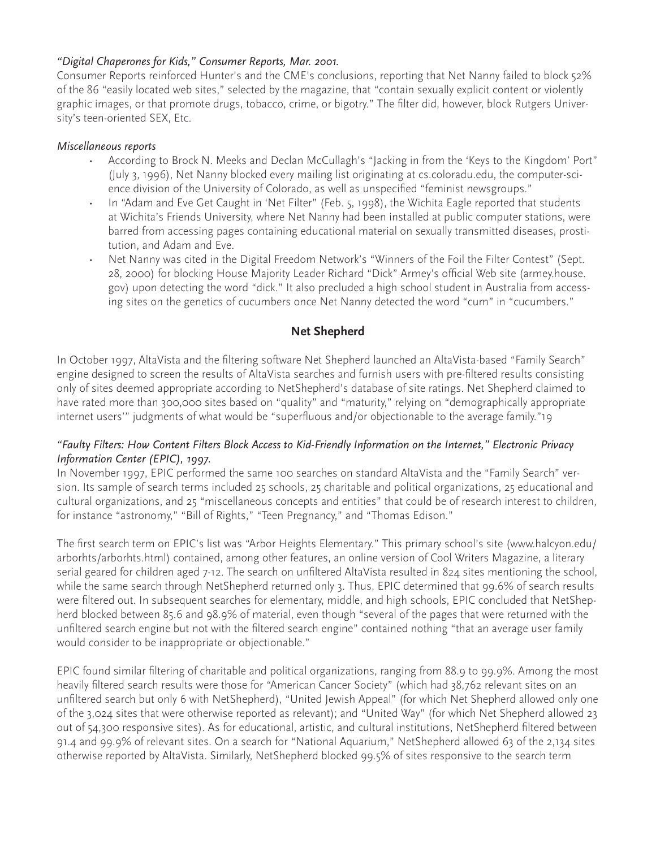### *"Digital Chaperones for Kids," Consumer Reports, Mar. 2001.*

Consumer Reports reinforced Hunter's and the CME's conclusions, reporting that Net Nanny failed to block 52% of the 86 "easily located web sites," selected by the magazine, that "contain sexually explicit content or violently graphic images, or that promote drugs, tobacco, crime, or bigotry." The filter did, however, block Rutgers University's teen-oriented SEX, Etc.

#### *Miscellaneous reports*

- According to Brock N. Meeks and Declan McCullagh's "Jacking in from the 'Keys to the Kingdom' Port" (July 3, 1996), Net Nanny blocked every mailing list originating at cs.coloradu.edu, the computer-science division of the University of Colorado, as well as unspecified "feminist newsgroups."
- In "Adam and Eve Get Caught in 'Net Filter" (Feb. 5, 1998), the Wichita Eagle reported that students at Wichita's Friends University, where Net Nanny had been installed at public computer stations, were barred from accessing pages containing educational material on sexually transmitted diseases, prostitution, and Adam and Eve.
- Net Nanny was cited in the Digital Freedom Network's "Winners of the Foil the Filter Contest" (Sept. 28, 2000) for blocking House Majority Leader Richard "Dick" Armey's official Web site (armey.house. gov) upon detecting the word "dick." It also precluded a high school student in Australia from accessing sites on the genetics of cucumbers once Net Nanny detected the word "cum" in "cucumbers."

## **Net Shepherd**

In October 1997, AltaVista and the filtering software Net Shepherd launched an AltaVista-based "Family Search" engine designed to screen the results of AltaVista searches and furnish users with pre-filtered results consisting only of sites deemed appropriate according to NetShepherd's database of site ratings. Net Shepherd claimed to have rated more than 300,000 sites based on "quality" and "maturity," relying on "demographically appropriate internet users'" judgments of what would be "superfluous and/or objectionable to the average family."19

## *"Faulty Filters: How Content Filters Block Access to Kid-Friendly Information on the Internet," Electronic Privacy Information Center (EPIC), 1997.*

In November 1997, EPIC performed the same 100 searches on standard AltaVista and the "Family Search" version. Its sample of search terms included 25 schools, 25 charitable and political organizations, 25 educational and cultural organizations, and 25 "miscellaneous concepts and entities" that could be of research interest to children, for instance "astronomy," "Bill of Rights," "Teen Pregnancy," and "Thomas Edison."

The first search term on EPIC's list was "Arbor Heights Elementary." This primary school's site (www.halcyon.edu/ arborhts/arborhts.html) contained, among other features, an online version of Cool Writers Magazine, a literary serial geared for children aged 7-12. The search on unfiltered AltaVista resulted in 824 sites mentioning the school, while the same search through NetShepherd returned only 3. Thus, EPIC determined that 99.6% of search results were filtered out. In subsequent searches for elementary, middle, and high schools, EPIC concluded that NetShepherd blocked between 85.6 and 98.9% of material, even though "several of the pages that were returned with the unfiltered search engine but not with the filtered search engine" contained nothing "that an average user family would consider to be inappropriate or objectionable."

EPIC found similar filtering of charitable and political organizations, ranging from 88.9 to 99.9%. Among the most heavily filtered search results were those for "American Cancer Society" (which had 38,762 relevant sites on an unfiltered search but only 6 with NetShepherd), "United Jewish Appeal" (for which Net Shepherd allowed only one of the 3,024 sites that were otherwise reported as relevant); and "United Way" (for which Net Shepherd allowed 23 out of 54,300 responsive sites). As for educational, artistic, and cultural institutions, NetShepherd filtered between 91.4 and 99.9% of relevant sites. On a search for "National Aquarium," NetShepherd allowed 63 of the 2,134 sites otherwise reported by AltaVista. Similarly, NetShepherd blocked 99.5% of sites responsive to the search term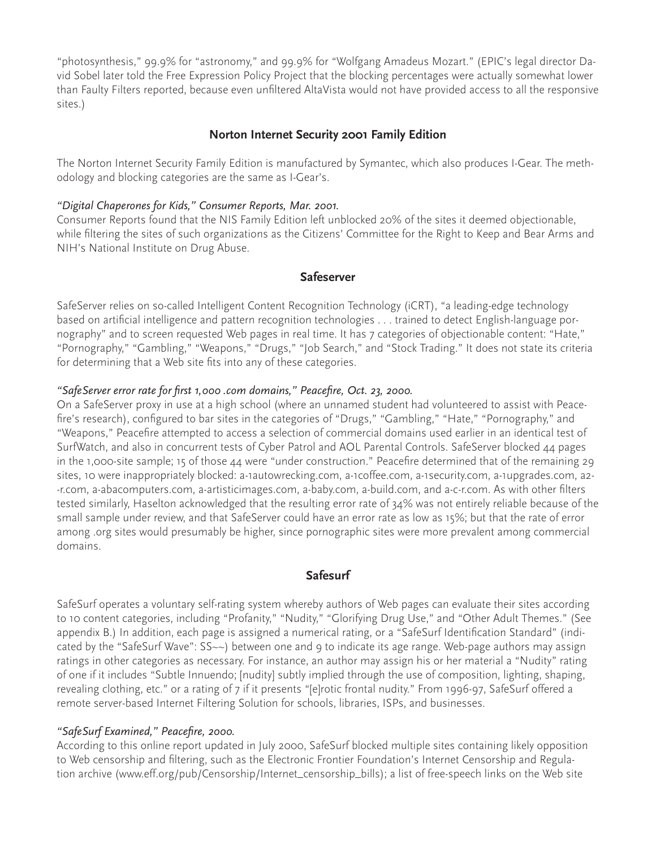"photosynthesis," 99.9% for "astronomy," and 99.9% for "Wolfgang Amadeus Mozart." (EPIC's legal director David Sobel later told the Free Expression Policy Project that the blocking percentages were actually somewhat lower than Faulty Filters reported, because even unfiltered AltaVista would not have provided access to all the responsive sites.)

## **Norton Internet Security 2001 Family Edition**

The Norton Internet Security Family Edition is manufactured by Symantec, which also produces I-Gear. The methodology and blocking categories are the same as I-Gear's.

#### *"Digital Chaperones for Kids," Consumer Reports, Mar. 2001.*

Consumer Reports found that the NIS Family Edition left unblocked 20% of the sites it deemed objectionable, while filtering the sites of such organizations as the Citizens' Committee for the Right to Keep and Bear Arms and NIH's National Institute on Drug Abuse.

#### **Safeserver**

SafeServer relies on so-called Intelligent Content Recognition Technology (iCRT), "a leading-edge technology based on artificial intelligence and pattern recognition technologies . . . trained to detect English-language pornography" and to screen requested Web pages in real time. It has 7 categories of objectionable content: "Hate," "Pornography," "Gambling," "Weapons," "Drugs," "Job Search," and "Stock Trading." It does not state its criteria for determining that a Web site fits into any of these categories.

#### *"SafeServer error rate for first 1,000 .com domains," Peacefire, Oct. 23, 2000.*

On a SafeServer proxy in use at a high school (where an unnamed student had volunteered to assist with Peacefire's research), configured to bar sites in the categories of "Drugs," "Gambling," "Hate," "Pornography," and "Weapons," Peacefire attempted to access a selection of commercial domains used earlier in an identical test of SurfWatch, and also in concurrent tests of Cyber Patrol and AOL Parental Controls. SafeServer blocked 44 pages in the 1,000-site sample; 15 of those 44 were "under construction." Peacefire determined that of the remaining 29 sites, 10 were inappropriately blocked: a-1autowrecking.com, a-1coffee.com, a-1security.com, a-1upgrades.com, a-2 -r.com, a-abacomputers.com, a-artisticimages.com, a-baby.com, a-build.com, and a-c-r.com. As with other filters tested similarly, Haselton acknowledged that the resulting error rate of 34% was not entirely reliable because of the small sample under review, and that SafeServer could have an error rate as low as 15%; but that the rate of error among .org sites would presumably be higher, since pornographic sites were more prevalent among commercial domains.

#### **Safesurf**

SafeSurf operates a voluntary self-rating system whereby authors of Web pages can evaluate their sites according to 10 content categories, including "Profanity," "Nudity," "Glorifying Drug Use," and "Other Adult Themes." (See appendix B.) In addition, each page is assigned a numerical rating, or a "SafeSurf Identification Standard" (indicated by the "SafeSurf Wave": SS~~) between one and 9 to indicate its age range. Web-page authors may assign ratings in other categories as necessary. For instance, an author may assign his or her material a "Nudity" rating of one if it includes "Subtle Innuendo; [nudity] subtly implied through the use of composition, lighting, shaping, revealing clothing, etc." or a rating of 7 if it presents "[e]rotic frontal nudity." From 1996-97, SafeSurf offered a remote server-based Internet Filtering Solution for schools, libraries, ISPs, and businesses.

#### *"SafeSurf Examined," Peacefire, 2000.*

According to this online report updated in July 2000, SafeSurf blocked multiple sites containing likely opposition to Web censorship and filtering, such as the Electronic Frontier Foundation's Internet Censorship and Regulation archive (www.eff.org/pub/Censorship/Internet\_censorship\_bills); a list of free-speech links on the Web site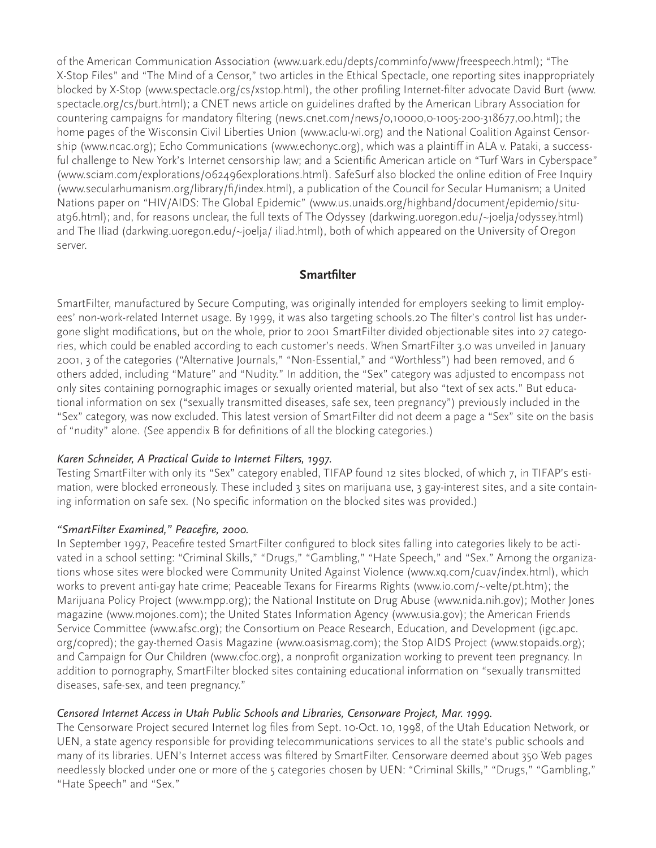of the American Communication Association (www.uark.edu/depts/comminfo/www/freespeech.html); "The X-Stop Files" and "The Mind of a Censor," two articles in the Ethical Spectacle, one reporting sites inappropriately blocked by X-Stop (www.spectacle.org/cs/xstop.html), the other profiling Internet-filter advocate David Burt (www. spectacle.org/cs/burt.html); a CNET news article on guidelines drafted by the American Library Association for countering campaigns for mandatory filtering (news.cnet.com/news/0,10000,0-1005-200-318677,00.html); the home pages of the Wisconsin Civil Liberties Union (www.aclu-wi.org) and the National Coalition Against Censorship (www.ncac.org); Echo Communications (www.echonyc.org), which was a plaintiff in ALA v. Pataki, a successful challenge to New York's Internet censorship law; and a Scientific American article on "Turf Wars in Cyberspace" (www.sciam.com/explorations/062496explorations.html). SafeSurf also blocked the online edition of Free Inquiry (www.secularhumanism.org/library/fi/index.html), a publication of the Council for Secular Humanism; a United Nations paper on "HIV/AIDS: The Global Epidemic" (www.us.unaids.org/highband/document/epidemio/situat96.html); and, for reasons unclear, the full texts of The Odyssey (darkwing.uoregon.edu/~joelja/odyssey.html) and The Iliad (darkwing.uoregon.edu/~joelja/ iliad.html), both of which appeared on the University of Oregon server.

## **Smartfilter**

SmartFilter, manufactured by Secure Computing, was originally intended for employers seeking to limit employees' non-work-related Internet usage. By 1999, it was also targeting schools.20 The filter's control list has undergone slight modifications, but on the whole, prior to 2001 SmartFilter divided objectionable sites into 27 categories, which could be enabled according to each customer's needs. When SmartFilter 3.0 was unveiled in January 2001, 3 of the categories ("Alternative Journals," "Non-Essential," and "Worthless") had been removed, and 6 others added, including "Mature" and "Nudity." In addition, the "Sex" category was adjusted to encompass not only sites containing pornographic images or sexually oriented material, but also "text of sex acts." But educational information on sex ("sexually transmitted diseases, safe sex, teen pregnancy") previously included in the "Sex" category, was now excluded. This latest version of SmartFilter did not deem a page a "Sex" site on the basis of "nudity" alone. (See appendix B for definitions of all the blocking categories.)

#### *Karen Schneider, A Practical Guide to Internet Filters, 1997.*

Testing SmartFilter with only its "Sex" category enabled, TIFAP found 12 sites blocked, of which 7, in TIFAP's estimation, were blocked erroneously. These included 3 sites on marijuana use, 3 gay-interest sites, and a site containing information on safe sex. (No specific information on the blocked sites was provided.)

#### *"SmartFilter Examined," Peacefire, 2000.*

In September 1997, Peacefire tested SmartFilter configured to block sites falling into categories likely to be activated in a school setting: "Criminal Skills," "Drugs," "Gambling," "Hate Speech," and "Sex." Among the organizations whose sites were blocked were Community United Against Violence (www.xq.com/cuav/index.html), which works to prevent anti-gay hate crime; Peaceable Texans for Firearms Rights (www.io.com/~velte/pt.htm); the Marijuana Policy Project (www.mpp.org); the National Institute on Drug Abuse (www.nida.nih.gov); Mother Jones magazine (www.mojones.com); the United States Information Agency (www.usia.gov); the American Friends Service Committee (www.afsc.org); the Consortium on Peace Research, Education, and Development (igc.apc. org/copred); the gay-themed Oasis Magazine (www.oasismag.com); the Stop AIDS Project (www.stopaids.org); and Campaign for Our Children (www.cfoc.org), a nonprofit organization working to prevent teen pregnancy. In addition to pornography, SmartFilter blocked sites containing educational information on "sexually transmitted diseases, safe-sex, and teen pregnancy."

#### *Censored Internet Access in Utah Public Schools and Libraries, Censorware Project, Mar. 1999.*

The Censorware Project secured Internet log files from Sept. 10-Oct. 10, 1998, of the Utah Education Network, or UEN, a state agency responsible for providing telecommunications services to all the state's public schools and many of its libraries. UEN's Internet access was filtered by SmartFilter. Censorware deemed about 350 Web pages needlessly blocked under one or more of the 5 categories chosen by UEN: "Criminal Skills," "Drugs," "Gambling," "Hate Speech" and "Sex."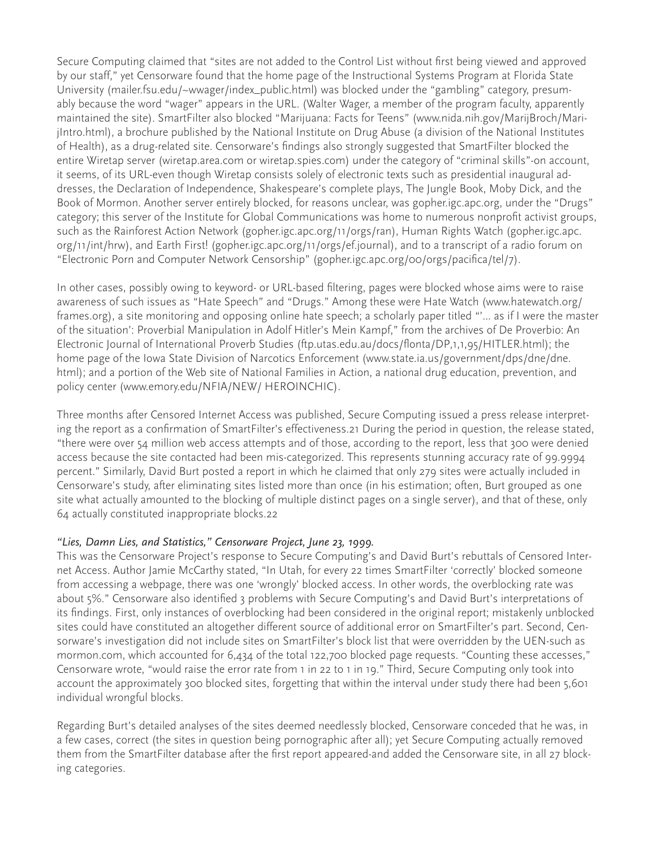Secure Computing claimed that "sites are not added to the Control List without first being viewed and approved by our staff," yet Censorware found that the home page of the Instructional Systems Program at Florida State University (mailer.fsu.edu/~wwager/index\_public.html) was blocked under the "gambling" category, presumably because the word "wager" appears in the URL. (Walter Wager, a member of the program faculty, apparently maintained the site). SmartFilter also blocked "Marijuana: Facts for Teens" (www.nida.nih.gov/MarijBroch/MarijIntro.html), a brochure published by the National Institute on Drug Abuse (a division of the National Institutes of Health), as a drug-related site. Censorware's findings also strongly suggested that SmartFilter blocked the entire Wiretap server (wiretap.area.com or wiretap.spies.com) under the category of "criminal skills"-on account, it seems, of its URL-even though Wiretap consists solely of electronic texts such as presidential inaugural addresses, the Declaration of Independence, Shakespeare's complete plays, The Jungle Book, Moby Dick, and the Book of Mormon. Another server entirely blocked, for reasons unclear, was gopher.igc.apc.org, under the "Drugs" category; this server of the Institute for Global Communications was home to numerous nonprofit activist groups, such as the Rainforest Action Network (gopher.igc.apc.org/11/orgs/ran), Human Rights Watch (gopher.igc.apc. org/11/int/hrw), and Earth First! (gopher.igc.apc.org/11/orgs/ef.journal), and to a transcript of a radio forum on "Electronic Porn and Computer Network Censorship" (gopher.igc.apc.org/00/orgs/pacifica/tel/7).

In other cases, possibly owing to keyword- or URL-based filtering, pages were blocked whose aims were to raise awareness of such issues as "Hate Speech" and "Drugs." Among these were Hate Watch (www.hatewatch.org/ frames.org), a site monitoring and opposing online hate speech; a scholarly paper titled "'... as if I were the master of the situation': Proverbial Manipulation in Adolf Hitler's Mein Kampf," from the archives of De Proverbio: An Electronic Journal of International Proverb Studies (ftp.utas.edu.au/docs/flonta/DP,1,1,95/HITLER.html); the home page of the Iowa State Division of Narcotics Enforcement (www.state.ia.us/government/dps/dne/dne. html); and a portion of the Web site of National Families in Action, a national drug education, prevention, and policy center (www.emory.edu/NFIA/NEW/ HEROINCHIC).

Three months after Censored Internet Access was published, Secure Computing issued a press release interpreting the report as a confirmation of SmartFilter's effectiveness.21 During the period in question, the release stated, "there were over 54 million web access attempts and of those, according to the report, less that 300 were denied access because the site contacted had been mis-categorized. This represents stunning accuracy rate of 99.9994 percent." Similarly, David Burt posted a report in which he claimed that only 279 sites were actually included in Censorware's study, after eliminating sites listed more than once (in his estimation; often, Burt grouped as one site what actually amounted to the blocking of multiple distinct pages on a single server), and that of these, only 64 actually constituted inappropriate blocks.22

## *"Lies, Damn Lies, and Statistics," Censorware Project, June 23, 1999.*

This was the Censorware Project's response to Secure Computing's and David Burt's rebuttals of Censored Internet Access. Author Jamie McCarthy stated, "In Utah, for every 22 times SmartFilter 'correctly' blocked someone from accessing a webpage, there was one 'wrongly' blocked access. In other words, the overblocking rate was about 5%." Censorware also identified 3 problems with Secure Computing's and David Burt's interpretations of its findings. First, only instances of overblocking had been considered in the original report; mistakenly unblocked sites could have constituted an altogether different source of additional error on SmartFilter's part. Second, Censorware's investigation did not include sites on SmartFilter's block list that were overridden by the UEN-such as mormon.com, which accounted for 6,434 of the total 122,700 blocked page requests. "Counting these accesses," Censorware wrote, "would raise the error rate from 1 in 22 to 1 in 19." Third, Secure Computing only took into account the approximately 300 blocked sites, forgetting that within the interval under study there had been 5,601 individual wrongful blocks.

Regarding Burt's detailed analyses of the sites deemed needlessly blocked, Censorware conceded that he was, in a few cases, correct (the sites in question being pornographic after all); yet Secure Computing actually removed them from the SmartFilter database after the first report appeared-and added the Censorware site, in all 27 blocking categories.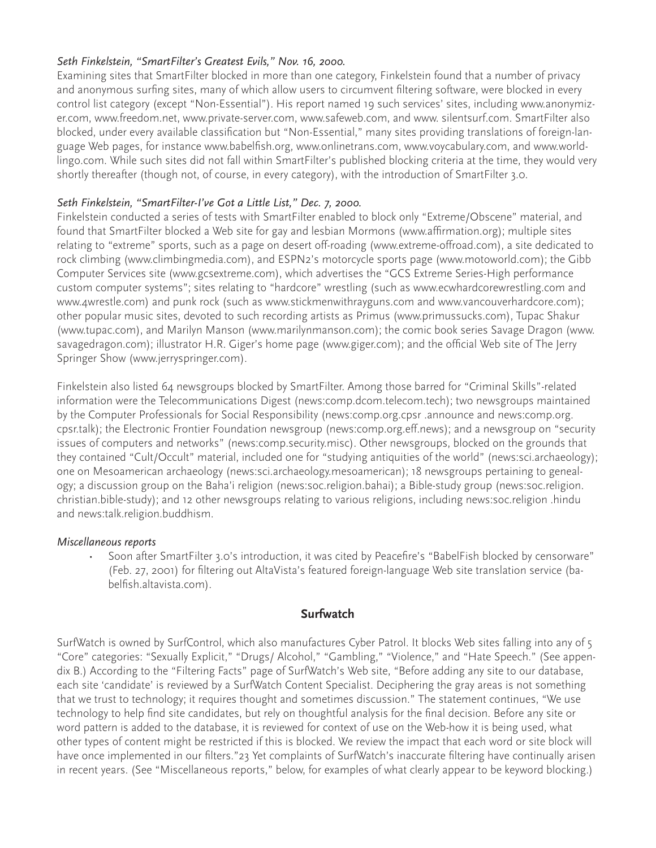### *Seth Finkelstein, "SmartFilter's Greatest Evils," Nov. 16, 2000.*

Examining sites that SmartFilter blocked in more than one category, Finkelstein found that a number of privacy and anonymous surfing sites, many of which allow users to circumvent filtering software, were blocked in every control list category (except "Non-Essential"). His report named 19 such services' sites, including www.anonymizer.com, www.freedom.net, www.private-server.com, www.safeweb.com, and www. silentsurf.com. SmartFilter also blocked, under every available classification but "Non-Essential," many sites providing translations of foreign-language Web pages, for instance www.babelfish.org, www.onlinetrans.com, www.voycabulary.com, and www.worldlingo.com. While such sites did not fall within SmartFilter's published blocking criteria at the time, they would very shortly thereafter (though not, of course, in every category), with the introduction of SmartFilter 3.0.

## *Seth Finkelstein, "SmartFilter-I've Got a Little List," Dec. 7, 2000.*

Finkelstein conducted a series of tests with SmartFilter enabled to block only "Extreme/Obscene" material, and found that SmartFilter blocked a Web site for gay and lesbian Mormons (www.affirmation.org); multiple sites relating to "extreme" sports, such as a page on desert off-roading (www.extreme-offroad.com), a site dedicated to rock climbing (www.climbingmedia.com), and ESPN2's motorcycle sports page (www.motoworld.com); the Gibb Computer Services site (www.gcsextreme.com), which advertises the "GCS Extreme Series-High performance custom computer systems"; sites relating to "hardcore" wrestling (such as www.ecwhardcorewrestling.com and www.4wrestle.com) and punk rock (such as www.stickmenwithrayguns.com and www.vancouverhardcore.com); other popular music sites, devoted to such recording artists as Primus (www.primussucks.com), Tupac Shakur (www.tupac.com), and Marilyn Manson (www.marilynmanson.com); the comic book series Savage Dragon (www. savagedragon.com); illustrator H.R. Giger's home page (www.giger.com); and the official Web site of The Jerry Springer Show (www.jerryspringer.com).

Finkelstein also listed 64 newsgroups blocked by SmartFilter. Among those barred for "Criminal Skills"-related information were the Telecommunications Digest (news:comp.dcom.telecom.tech); two newsgroups maintained by the Computer Professionals for Social Responsibility (news:comp.org.cpsr .announce and news:comp.org. cpsr.talk); the Electronic Frontier Foundation newsgroup (news:comp.org.eff.news); and a newsgroup on "security issues of computers and networks" (news:comp.security.misc). Other newsgroups, blocked on the grounds that they contained "Cult/Occult" material, included one for "studying antiquities of the world" (news:sci.archaeology); one on Mesoamerican archaeology (news:sci.archaeology.mesoamerican); 18 newsgroups pertaining to genealogy; a discussion group on the Baha'i religion (news:soc.religion.bahai); a Bible-study group (news:soc.religion. christian.bible-study); and 12 other newsgroups relating to various religions, including news:soc.religion .hindu and news:talk.religion.buddhism.

#### *Miscellaneous reports*

• Soon after SmartFilter 3.0's introduction, it was cited by Peacefire's "BabelFish blocked by censorware" (Feb. 27, 2001) for filtering out AltaVista's featured foreign-language Web site translation service (babelfish.altavista.com).

#### **Surfwatch**

SurfWatch is owned by SurfControl, which also manufactures Cyber Patrol. It blocks Web sites falling into any of 5 "Core" categories: "Sexually Explicit," "Drugs/ Alcohol," "Gambling," "Violence," and "Hate Speech." (See appendix B.) According to the "Filtering Facts" page of SurfWatch's Web site, "Before adding any site to our database, each site 'candidate' is reviewed by a SurfWatch Content Specialist. Deciphering the gray areas is not something that we trust to technology; it requires thought and sometimes discussion." The statement continues, "We use technology to help find site candidates, but rely on thoughtful analysis for the final decision. Before any site or word pattern is added to the database, it is reviewed for context of use on the Web-how it is being used, what other types of content might be restricted if this is blocked. We review the impact that each word or site block will have once implemented in our filters."23 Yet complaints of SurfWatch's inaccurate filtering have continually arisen in recent years. (See "Miscellaneous reports," below, for examples of what clearly appear to be keyword blocking.)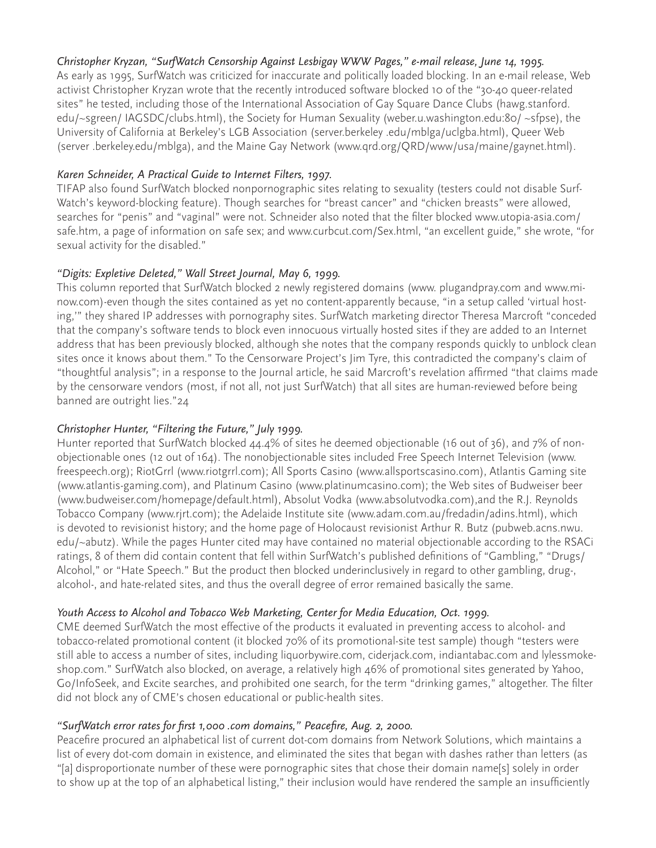## *Christopher Kryzan, "SurfWatch Censorship Against Lesbigay WWW Pages," e-mail release, June 14, 1995.*

As early as 1995, SurfWatch was criticized for inaccurate and politically loaded blocking. In an e-mail release, Web activist Christopher Kryzan wrote that the recently introduced software blocked 10 of the "30-40 queer-related sites" he tested, including those of the International Association of Gay Square Dance Clubs (hawg.stanford. edu/~sgreen/ IAGSDC/clubs.html), the Society for Human Sexuality (weber.u.washington.edu:80/ ~sfpse), the University of California at Berkeley's LGB Association (server.berkeley .edu/mblga/uclgba.html), Queer Web (server .berkeley.edu/mblga), and the Maine Gay Network (www.qrd.org/QRD/www/usa/maine/gaynet.html).

## *Karen Schneider, A Practical Guide to Internet Filters, 1997.*

TIFAP also found SurfWatch blocked nonpornographic sites relating to sexuality (testers could not disable Surf-Watch's keyword-blocking feature). Though searches for "breast cancer" and "chicken breasts" were allowed, searches for "penis" and "vaginal" were not. Schneider also noted that the filter blocked www.utopia-asia.com/ safe.htm, a page of information on safe sex; and www.curbcut.com/Sex.html, "an excellent guide," she wrote, "for sexual activity for the disabled."

## *"Digits: Expletive Deleted," Wall Street Journal, May 6, 1999.*

This column reported that SurfWatch blocked 2 newly registered domains (www. plugandpray.com and www.minow.com)-even though the sites contained as yet no content-apparently because, "in a setup called 'virtual hosting,'" they shared IP addresses with pornography sites. SurfWatch marketing director Theresa Marcroft "conceded that the company's software tends to block even innocuous virtually hosted sites if they are added to an Internet address that has been previously blocked, although she notes that the company responds quickly to unblock clean sites once it knows about them." To the Censorware Project's Jim Tyre, this contradicted the company's claim of "thoughtful analysis"; in a response to the Journal article, he said Marcroft's revelation affirmed "that claims made by the censorware vendors (most, if not all, not just SurfWatch) that all sites are human-reviewed before being banned are outright lies."24

#### *Christopher Hunter, "Filtering the Future," July 1999.*

Hunter reported that SurfWatch blocked 44.4% of sites he deemed objectionable (16 out of 36), and 7% of nonobjectionable ones (12 out of 164). The nonobjectionable sites included Free Speech Internet Television (www. freespeech.org); RiotGrrl (www.riotgrrl.com); All Sports Casino (www.allsportscasino.com), Atlantis Gaming site (www.atlantis-gaming.com), and Platinum Casino (www.platinumcasino.com); the Web sites of Budweiser beer (www.budweiser.com/homepage/default.html), Absolut Vodka (www.absolutvodka.com),and the R.J. Reynolds Tobacco Company (www.rjrt.com); the Adelaide Institute site (www.adam.com.au/fredadin/adins.html), which is devoted to revisionist history; and the home page of Holocaust revisionist Arthur R. Butz (pubweb.acns.nwu. edu/~abutz). While the pages Hunter cited may have contained no material objectionable according to the RSACi ratings, 8 of them did contain content that fell within SurfWatch's published definitions of "Gambling," "Drugs/ Alcohol," or "Hate Speech." But the product then blocked underinclusively in regard to other gambling, drug-, alcohol-, and hate-related sites, and thus the overall degree of error remained basically the same.

#### *Youth Access to Alcohol and Tobacco Web Marketing, Center for Media Education, Oct. 1999.*

CME deemed SurfWatch the most effective of the products it evaluated in preventing access to alcohol- and tobacco-related promotional content (it blocked 70% of its promotional-site test sample) though "testers were still able to access a number of sites, including liquorbywire.com, ciderjack.com, indiantabac.com and lylessmokeshop.com." SurfWatch also blocked, on average, a relatively high 46% of promotional sites generated by Yahoo, Go/InfoSeek, and Excite searches, and prohibited one search, for the term "drinking games," altogether. The filter did not block any of CME's chosen educational or public-health sites.

#### *"SurfWatch error rates for first 1,000 .com domains," Peacefire, Aug. 2, 2000.*

Peacefire procured an alphabetical list of current dot-com domains from Network Solutions, which maintains a list of every dot-com domain in existence, and eliminated the sites that began with dashes rather than letters (as "[a] disproportionate number of these were pornographic sites that chose their domain name[s] solely in order to show up at the top of an alphabetical listing," their inclusion would have rendered the sample an insufficiently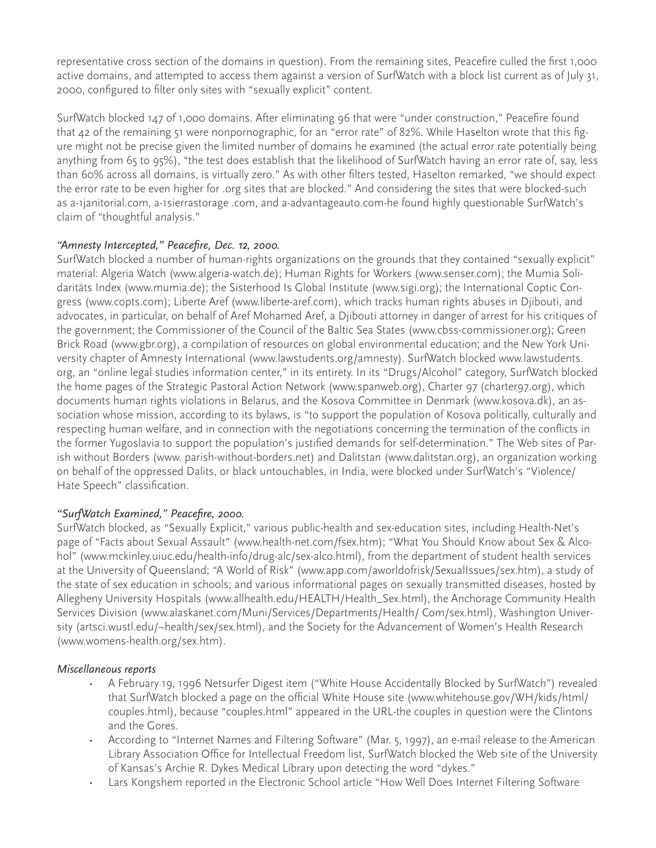representative cross section of the domains in question). From the remaining sites, Peacefire culled the first 1,000 active domains, and attempted to access them against a version of SurfWatch with a block list current as of July 31, 2000, configured to filter only sites with "sexually explicit" content.

SurfWatch blocked 147 of 1,000 domains. After eliminating 96 that were "under construction," Peacefire found that 42 of the remaining 51 were nonpornographic, for an "error rate" of 82%. While Haselton wrote that this figure might not be precise given the limited number of domains he examined (the actual error rate potentially being anything from 65 to 95%), "the test does establish that the likelihood of SurfWatch having an error rate of, say, less than 60% across all domains, is virtually zero." As with other filters tested, Haselton remarked, "we should expect the error rate to be even higher for .org sites that are blocked." And considering the sites that were blocked-such as a-1janitorial.com, a-1sierrastorage .com, and a-advantageauto.com-he found highly questionable SurfWatch's claim of "thoughtful analysis."

## *"Amnesty Intercepted," Peacefire, Dec. 12, 2000.*

SurfWatch blocked a number of human-rights organizations on the grounds that they contained "sexually explicit" material: Algeria Watch (www.algeria-watch.de); Human Rights for Workers (www.senser.com); the Mumia Solidaritäts Index (www.mumia.de); the Sisterhood Is Global Institute (www.sigi.org); the International Coptic Congress (www.copts.com); Liberte Aref (www.liberte-aref.com), which tracks human rights abuses in Djibouti, and advocates, in particular, on behalf of Aref Mohamed Aref, a Djibouti attorney in danger of arrest for his critiques of the government; the Commissioner of the Council of the Baltic Sea States (www.cbss-commissioner.org); Green Brick Road (www.gbr.org), a compilation of resources on global environmental education; and the New York University chapter of Amnesty International (www.lawstudents.org/amnesty). SurfWatch blocked www.lawstudents. org, an "online legal studies information center," in its entirety. In its "Drugs/Alcohol" category, SurfWatch blocked the home pages of the Strategic Pastoral Action Network (www.spanweb.org), Charter 97 (charter97.org), which documents human rights violations in Belarus, and the Kosova Committee in Denmark (www.kosova.dk), an association whose mission, according to its bylaws, is "to support the population of Kosova politically, culturally and respecting human welfare, and in connection with the negotiations concerning the termination of the conflicts in the former Yugoslavia to support the population's justified demands for self-determination." The Web sites of Parish without Borders (www. parish-without-borders.net) and Dalitstan (www.dalitstan.org), an organization working on behalf of the oppressed Dalits, or black untouchables, in India, were blocked under SurfWatch's "Violence/ Hate Speech" classification.

#### *"SurfWatch Examined," Peacefire, 2000.*

SurfWatch blocked, as "Sexually Explicit," various public-health and sex-education sites, including Health-Net's page of "Facts about Sexual Assault" (www.health-net.com/fsex.htm); "What You Should Know about Sex & Alcohol" (www.mckinley.uiuc.edu/health-info/drug-alc/sex-alco.html), from the department of student health services at the University of Queensland; "A World of Risk" (www.app.com/aworldofrisk/SexualIssues/sex.htm), a study of the state of sex education in schools; and various informational pages on sexually transmitted diseases, hosted by Allegheny University Hospitals (www.allhealth.edu/HEALTH/Health\_Sex.html), the Anchorage Community Health Services Division (www.alaskanet.com/Muni/Services/Departments/Health/ Com/sex.html), Washington University (artsci.wustl.edu/~health/sex/sex.html), and the Society for the Advancement of Women's Health Research (www.womens-health.org/sex.htm).

#### *Miscellaneous reports*

- A February 19, 1996 Netsurfer Digest item ("White House Accidentally Blocked by SurfWatch") revealed that SurfWatch blocked a page on the official White House site (www.whitehouse.gov/WH/kids/html/ couples.html), because "couples.html" appeared in the URL-the couples in question were the Clintons and the Gores.
- According to "Internet Names and Filtering Software" (Mar. 5, 1997), an e-mail release to the American Library Association Office for Intellectual Freedom list, SurfWatch blocked the Web site of the University of Kansas's Archie R. Dykes Medical Library upon detecting the word "dykes."
- Lars Kongshem reported in the Electronic School article "How Well Does Internet Filtering Software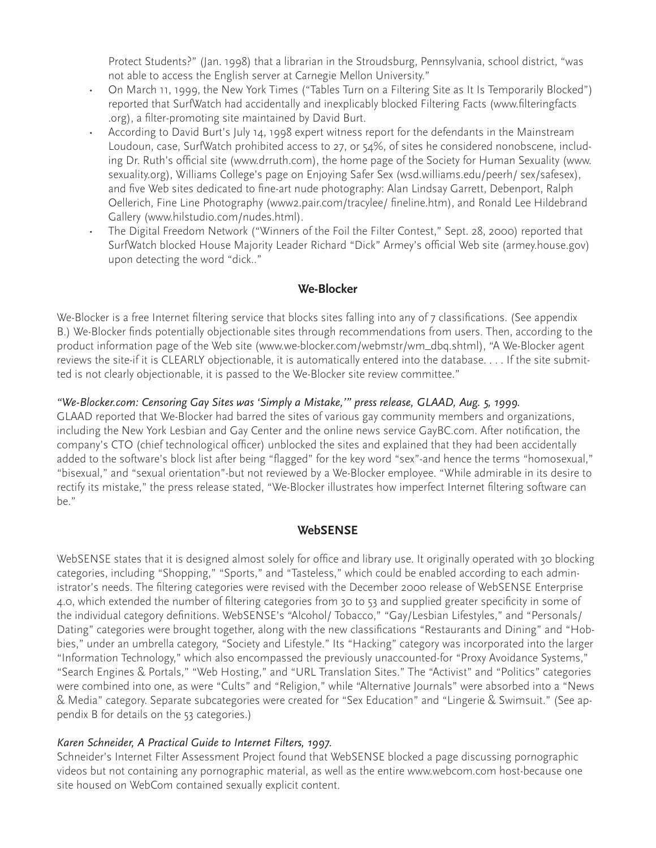Protect Students?" (Jan. 1998) that a librarian in the Stroudsburg, Pennsylvania, school district, "was not able to access the English server at Carnegie Mellon University."

- On March 11, 1999, the New York Times ("Tables Turn on a Filtering Site as It Is Temporarily Blocked") reported that SurfWatch had accidentally and inexplicably blocked Filtering Facts (www.filteringfacts .org), a filter-promoting site maintained by David Burt.
- According to David Burt's July 14, 1998 expert witness report for the defendants in the Mainstream Loudoun, case, SurfWatch prohibited access to 27, or 54%, of sites he considered nonobscene, including Dr. Ruth's official site (www.drruth.com), the home page of the Society for Human Sexuality (www. sexuality.org), Williams College's page on Enjoying Safer Sex (wsd.williams.edu/peerh/ sex/safesex), and five Web sites dedicated to fine-art nude photography: Alan Lindsay Garrett, Debenport, Ralph Oellerich, Fine Line Photography (www2.pair.com/tracylee/ fineline.htm), and Ronald Lee Hildebrand Gallery (www.hilstudio.com/nudes.html).
- The Digital Freedom Network ("Winners of the Foil the Filter Contest," Sept. 28, 2000) reported that SurfWatch blocked House Majority Leader Richard "Dick" Armey's official Web site (armey.house.gov) upon detecting the word "dick.."

## **We-Blocker**

We-Blocker is a free Internet filtering service that blocks sites falling into any of 7 classifications. (See appendix B.) We-Blocker finds potentially objectionable sites through recommendations from users. Then, according to the product information page of the Web site (www.we-blocker.com/webmstr/wm\_dbq.shtml), "A We-Blocker agent reviews the site-if it is CLEARLY objectionable, it is automatically entered into the database. . . . If the site submitted is not clearly objectionable, it is passed to the We-Blocker site review committee."

#### *"We-Blocker.com: Censoring Gay Sites was 'Simply a Mistake,'" press release, GLAAD, Aug. 5, 1999.*

GLAAD reported that We-Blocker had barred the sites of various gay community members and organizations, including the New York Lesbian and Gay Center and the online news service GayBC.com. After notification, the company's CTO (chief technological officer) unblocked the sites and explained that they had been accidentally added to the software's block list after being "flagged" for the key word "sex"-and hence the terms "homosexual," "bisexual," and "sexual orientation"-but not reviewed by a We-Blocker employee. "While admirable in its desire to rectify its mistake," the press release stated, "We-Blocker illustrates how imperfect Internet filtering software can be."

## **WebSENSE**

WebSENSE states that it is designed almost solely for office and library use. It originally operated with 30 blocking categories, including "Shopping," "Sports," and "Tasteless," which could be enabled according to each administrator's needs. The filtering categories were revised with the December 2000 release of WebSENSE Enterprise 4.0, which extended the number of filtering categories from 30 to 53 and supplied greater specificity in some of the individual category definitions. WebSENSE's "Alcohol/ Tobacco," "Gay/Lesbian Lifestyles," and "Personals/ Dating" categories were brought together, along with the new classifications "Restaurants and Dining" and "Hobbies," under an umbrella category, "Society and Lifestyle." Its "Hacking" category was incorporated into the larger "Information Technology," which also encompassed the previously unaccounted-for "Proxy Avoidance Systems," "Search Engines & Portals," "Web Hosting," and "URL Translation Sites." The "Activist" and "Politics" categories were combined into one, as were "Cults" and "Religion," while "Alternative Journals" were absorbed into a "News & Media" category. Separate subcategories were created for "Sex Education" and "Lingerie & Swimsuit." (See appendix B for details on the 53 categories.)

#### *Karen Schneider, A Practical Guide to Internet Filters, 1997.*

Schneider's Internet Filter Assessment Project found that WebSENSE blocked a page discussing pornographic videos but not containing any pornographic material, as well as the entire www.webcom.com host-because one site housed on WebCom contained sexually explicit content.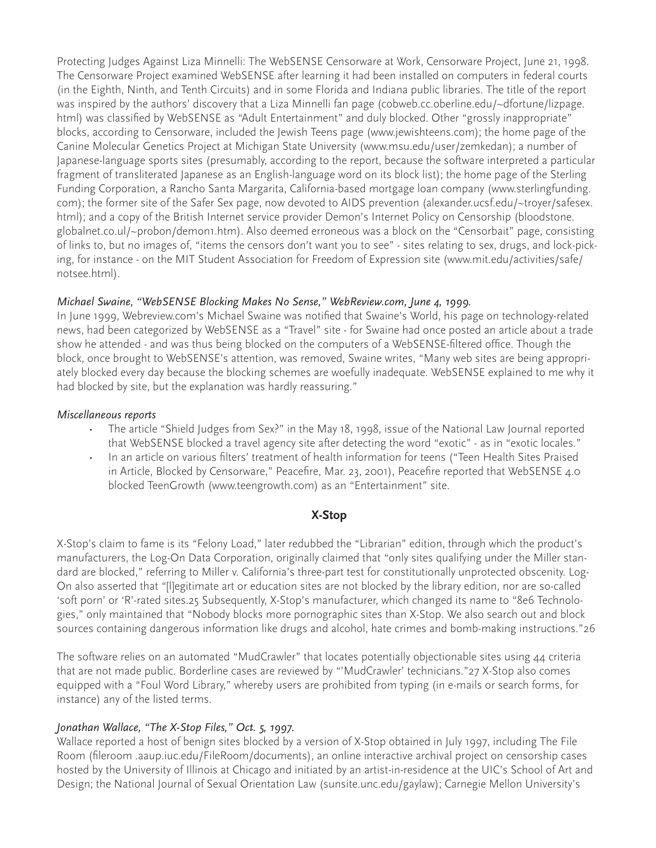Protecting Judges Against Liza Minnelli: The WebSENSE Censorware at Work, Censorware Project, June 21, 1998. The Censorware Project examined WebSENSE after learning it had been installed on computers in federal courts (in the Eighth, Ninth, and Tenth Circuits) and in some Florida and Indiana public libraries. The title of the report was inspired by the authors' discovery that a Liza Minnelli fan page (cobweb.cc.oberline.edu/~dfortune/lizpage. html) was classified by WebSENSE as "Adult Entertainment" and duly blocked. Other "grossly inappropriate" blocks, according to Censorware, included the Jewish Teens page (www.jewishteens.com); the home page of the Canine Molecular Genetics Project at Michigan State University (www.msu.edu/user/zemkedan); a number of Japanese-language sports sites (presumably, according to the report, because the software interpreted a particular fragment of transliterated Japanese as an English-language word on its block list); the home page of the Sterling Funding Corporation, a Rancho Santa Margarita, California-based mortgage loan company (www.sterlingfunding. com); the former site of the Safer Sex page, now devoted to AIDS prevention (alexander.ucsf.edu/~troyer/safesex. html); and a copy of the British Internet service provider Demon's Internet Policy on Censorship (bloodstone. globalnet.co.ul/~probon/demon1.htm). Also deemed erroneous was a block on the "Censorbait" page, consisting of links to, but no images of, "items the censors don't want you to see" - sites relating to sex, drugs, and lock-picking, for instance - on the MIT Student Association for Freedom of Expression site (www.mit.edu/activities/safe/ notsee.html).

#### *Michael Swaine, "WebSENSE Blocking Makes No Sense," WebReview.com, June 4, 1999.*

In June 1999, Webreview.com's Michael Swaine was notified that Swaine's World, his page on technology-related news, had been categorized by WebSENSE as a "Travel" site - for Swaine had once posted an article about a trade show he attended - and was thus being blocked on the computers of a WebSENSE-filtered office. Though the block, once brought to WebSENSE's attention, was removed, Swaine writes, "Many web sites are being appropriately blocked every day because the blocking schemes are woefully inadequate. WebSENSE explained to me why it had blocked by site, but the explanation was hardly reassuring."

#### *Miscellaneous reports*

- The article "Shield Judges from Sex?" in the May 18, 1998, issue of the National Law Journal reported that WebSENSE blocked a travel agency site after detecting the word "exotic" - as in "exotic locales."
- In an article on various filters' treatment of health information for teens ("Teen Health Sites Praised in Article, Blocked by Censorware," Peacefire, Mar. 23, 2001), Peacefire reported that WebSENSE 4.0 blocked TeenGrowth (www.teengrowth.com) as an "Entertainment" site.

#### **X-Stop**

X-Stop's claim to fame is its "Felony Load," later redubbed the "Librarian" edition, through which the product's manufacturers, the Log-On Data Corporation, originally claimed that "only sites qualifying under the Miller standard are blocked," referring to Miller v. California's three-part test for constitutionally unprotected obscenity. Log-On also asserted that "[l]egitimate art or education sites are not blocked by the library edition, nor are so-called 'soft porn' or 'R'-rated sites.25 Subsequently, X-Stop's manufacturer, which changed its name to "8e6 Technologies," only maintained that "Nobody blocks more pornographic sites than X-Stop. We also search out and block sources containing dangerous information like drugs and alcohol, hate crimes and bomb-making instructions."26

The software relies on an automated "MudCrawler" that locates potentially objectionable sites using 44 criteria that are not made public. Borderline cases are reviewed by "'MudCrawler' technicians."27 X-Stop also comes equipped with a "Foul Word Library," whereby users are prohibited from typing (in e-mails or search forms, for instance) any of the listed terms.

#### *Jonathan Wallace, "The X-Stop Files," Oct. 5, 1997.*

Wallace reported a host of benign sites blocked by a version of X-Stop obtained in July 1997, including The File Room (fileroom .aaup.iuc.edu/FileRoom/documents), an online interactive archival project on censorship cases hosted by the University of Illinois at Chicago and initiated by an artist-in-residence at the UIC's School of Art and Design; the National Journal of Sexual Orientation Law (sunsite.unc.edu/gaylaw); Carnegie Mellon University's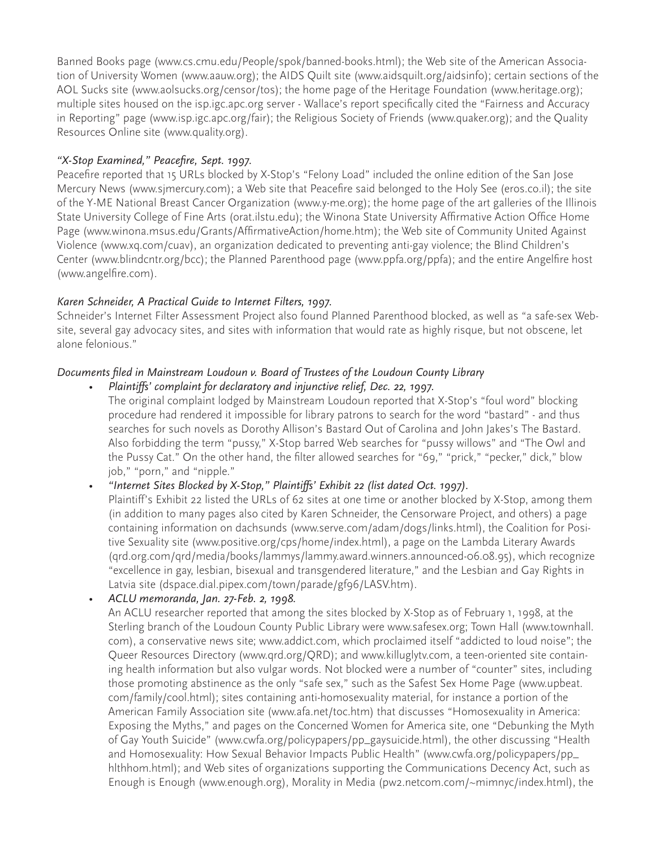Banned Books page (www.cs.cmu.edu/People/spok/banned-books.html); the Web site of the American Association of University Women (www.aauw.org); the AIDS Quilt site (www.aidsquilt.org/aidsinfo); certain sections of the AOL Sucks site (www.aolsucks.org/censor/tos); the home page of the Heritage Foundation (www.heritage.org); multiple sites housed on the isp.igc.apc.org server - Wallace's report specifically cited the "Fairness and Accuracy in Reporting" page (www.isp.igc.apc.org/fair); the Religious Society of Friends (www.quaker.org); and the Quality Resources Online site (www.quality.org).

## *"X-Stop Examined," Peacefire, Sept. 1997.*

Peacefire reported that 15 URLs blocked by X-Stop's "Felony Load" included the online edition of the San Jose Mercury News (www.sjmercury.com); a Web site that Peacefire said belonged to the Holy See (eros.co.il); the site of the Y-ME National Breast Cancer Organization (www.y-me.org); the home page of the art galleries of the Illinois State University College of Fine Arts (orat.ilstu.edu); the Winona State University Affirmative Action Office Home Page (www.winona.msus.edu/Grants/AffirmativeAction/home.htm); the Web site of Community United Against Violence (www.xq.com/cuav), an organization dedicated to preventing anti-gay violence; the Blind Children's Center (www.blindcntr.org/bcc); the Planned Parenthood page (www.ppfa.org/ppfa); and the entire Angelfire host (www.angelfire.com).

## *Karen Schneider, A Practical Guide to Internet Filters, 1997.*

Schneider's Internet Filter Assessment Project also found Planned Parenthood blocked, as well as "a safe-sex Website, several gay advocacy sites, and sites with information that would rate as highly risque, but not obscene, let alone felonious."

## *Documents filed in Mainstream Loudoun v. Board of Trustees of the Loudoun County Library*

*• Plaintiffs' complaint for declaratory and injunctive relief, Dec. 22, 1997.* The original complaint lodged by Mainstream Loudoun reported that X-Stop's "foul word" blocking procedure had rendered it impossible for library patrons to search for the word "bastard" - and thus searches for such novels as Dorothy Allison's Bastard Out of Carolina and John Jakes's The Bastard. Also forbidding the term "pussy," X-Stop barred Web searches for "pussy willows" and "The Owl and the Pussy Cat." On the other hand, the filter allowed searches for "69," "prick," "pecker," dick," blow job," "porn," and "nipple."

*• "Internet Sites Blocked by X-Stop," Plaintiffs' Exhibit 22 (list dated Oct. 1997).*

Plaintiff's Exhibit 22 listed the URLs of 62 sites at one time or another blocked by X-Stop, among them (in addition to many pages also cited by Karen Schneider, the Censorware Project, and others) a page containing information on dachsunds (www.serve.com/adam/dogs/links.html), the Coalition for Positive Sexuality site (www.positive.org/cps/home/index.html), a page on the Lambda Literary Awards (qrd.org.com/qrd/media/books/lammys/lammy.award.winners.announced-06.08.95), which recognize "excellence in gay, lesbian, bisexual and transgendered literature," and the Lesbian and Gay Rights in Latvia site (dspace.dial.pipex.com/town/parade/gf96/LASV.htm).

## *• ACLU memoranda, Jan. 27-Feb. 2, 1998.*

An ACLU researcher reported that among the sites blocked by X-Stop as of February 1, 1998, at the Sterling branch of the Loudoun County Public Library were www.safesex.org; Town Hall (www.townhall. com), a conservative news site; www.addict.com, which proclaimed itself "addicted to loud noise"; the Queer Resources Directory (www.qrd.org/QRD); and www.killuglytv.com, a teen-oriented site containing health information but also vulgar words. Not blocked were a number of "counter" sites, including those promoting abstinence as the only "safe sex," such as the Safest Sex Home Page (www.upbeat. com/family/cool.html); sites containing anti-homosexuality material, for instance a portion of the American Family Association site (www.afa.net/toc.htm) that discusses "Homosexuality in America: Exposing the Myths," and pages on the Concerned Women for America site, one "Debunking the Myth of Gay Youth Suicide" (www.cwfa.org/policypapers/pp\_gaysuicide.html), the other discussing "Health and Homosexuality: How Sexual Behavior Impacts Public Health" (www.cwfa.org/policypapers/pp\_ hlthhom.html); and Web sites of organizations supporting the Communications Decency Act, such as Enough is Enough (www.enough.org), Morality in Media (pw2.netcom.com/~mimnyc/index.html), the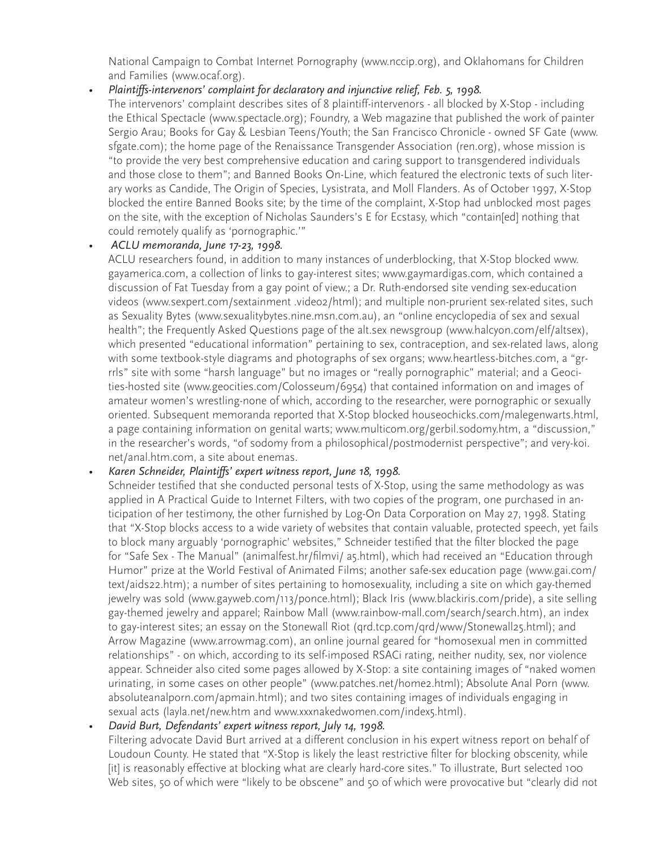National Campaign to Combat Internet Pornography (www.nccip.org), and Oklahomans for Children and Families (www.ocaf.org).

*• Plaintiffs-intervenors' complaint for declaratory and injunctive relief, Feb. 5, 1998.*

The intervenors' complaint describes sites of 8 plaintiff-intervenors - all blocked by X-Stop - including the Ethical Spectacle (www.spectacle.org); Foundry, a Web magazine that published the work of painter Sergio Arau; Books for Gay & Lesbian Teens/Youth; the San Francisco Chronicle - owned SF Gate (www. sfgate.com); the home page of the Renaissance Transgender Association (ren.org), whose mission is "to provide the very best comprehensive education and caring support to transgendered individuals and those close to them"; and Banned Books On-Line, which featured the electronic texts of such literary works as Candide, The Origin of Species, Lysistrata, and Moll Flanders. As of October 1997, X-Stop blocked the entire Banned Books site; by the time of the complaint, X-Stop had unblocked most pages on the site, with the exception of Nicholas Saunders's E for Ecstasy, which "contain[ed] nothing that could remotely qualify as 'pornographic.'"

#### *• ACLU memoranda, June 17-23, 1998.*

ACLU researchers found, in addition to many instances of underblocking, that X-Stop blocked www. gayamerica.com, a collection of links to gay-interest sites; www.gaymardigas.com, which contained a discussion of Fat Tuesday from a gay point of view.; a Dr. Ruth-endorsed site vending sex-education videos (www.sexpert.com/sextainment .video2/html); and multiple non-prurient sex-related sites, such as Sexuality Bytes (www.sexualitybytes.nine.msn.com.au), an "online encyclopedia of sex and sexual health"; the Frequently Asked Questions page of the alt.sex newsgroup (www.halcyon.com/elf/altsex), which presented "educational information" pertaining to sex, contraception, and sex-related laws, along with some textbook-style diagrams and photographs of sex organs; www.heartless-bitches.com, a "grrrls" site with some "harsh language" but no images or "really pornographic" material; and a Geocities-hosted site (www.geocities.com/Colosseum/6954) that contained information on and images of amateur women's wrestling-none of which, according to the researcher, were pornographic or sexually oriented. Subsequent memoranda reported that X-Stop blocked houseochicks.com/malegenwarts.html, a page containing information on genital warts; www.multicom.org/gerbil.sodomy.htm, a "discussion," in the researcher's words, "of sodomy from a philosophical/postmodernist perspective"; and very-koi. net/anal.htm.com, a site about enemas.

#### *• Karen Schneider, Plaintiffs' expert witness report, June 18, 1998.*

Schneider testified that she conducted personal tests of X-Stop, using the same methodology as was applied in A Practical Guide to Internet Filters, with two copies of the program, one purchased in anticipation of her testimony, the other furnished by Log-On Data Corporation on May 27, 1998. Stating that "X-Stop blocks access to a wide variety of websites that contain valuable, protected speech, yet fails to block many arguably 'pornographic' websites," Schneider testified that the filter blocked the page for "Safe Sex - The Manual" (animalfest.hr/filmvi/ a5.html), which had received an "Education through Humor" prize at the World Festival of Animated Films; another safe-sex education page (www.gai.com/ text/aids22.htm); a number of sites pertaining to homosexuality, including a site on which gay-themed jewelry was sold (www.gayweb.com/113/ponce.html); Black Iris (www.blackiris.com/pride), a site selling gay-themed jewelry and apparel; Rainbow Mall (www.rainbow-mall.com/search/search.htm), an index to gay-interest sites; an essay on the Stonewall Riot (qrd.tcp.com/qrd/www/Stonewall25.html); and Arrow Magazine (www.arrowmag.com), an online journal geared for "homosexual men in committed relationships" - on which, according to its self-imposed RSACi rating, neither nudity, sex, nor violence appear. Schneider also cited some pages allowed by X-Stop: a site containing images of "naked women urinating, in some cases on other people" (www.patches.net/home2.html); Absolute Anal Porn (www. absoluteanalporn.com/apmain.html); and two sites containing images of individuals engaging in sexual acts (layla.net/new.htm and www.xxxnakedwomen.com/index5.html).

#### *• David Burt, Defendants' expert witness report, July 14, 1998.*

Filtering advocate David Burt arrived at a different conclusion in his expert witness report on behalf of Loudoun County. He stated that "X-Stop is likely the least restrictive filter for blocking obscenity, while [it] is reasonably effective at blocking what are clearly hard-core sites." To illustrate, Burt selected 100 Web sites, 50 of which were "likely to be obscene" and 50 of which were provocative but "clearly did not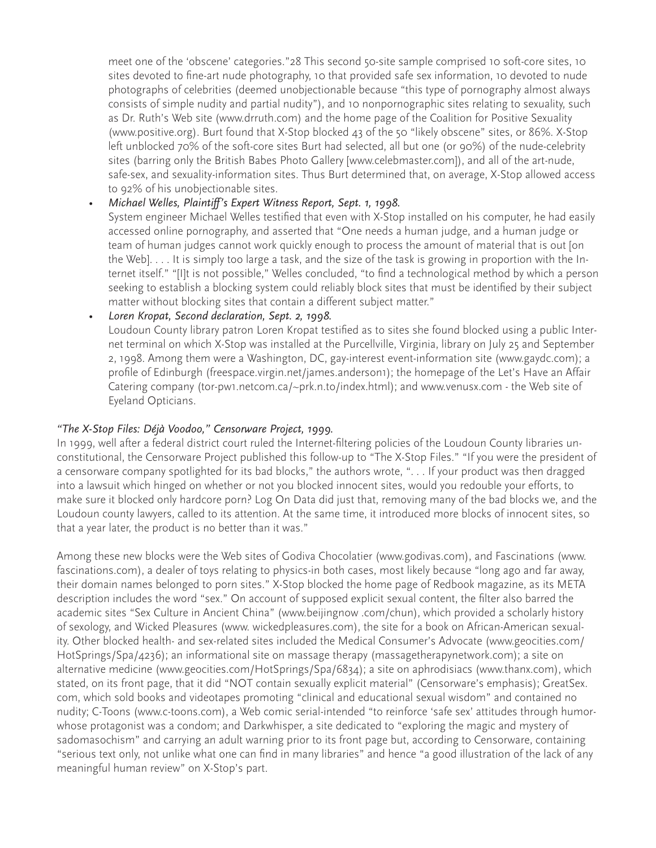meet one of the 'obscene' categories."28 This second 50-site sample comprised 10 soft-core sites, 10 sites devoted to fine-art nude photography, 10 that provided safe sex information, 10 devoted to nude photographs of celebrities (deemed unobjectionable because "this type of pornography almost always consists of simple nudity and partial nudity"), and 10 nonpornographic sites relating to sexuality, such as Dr. Ruth's Web site (www.drruth.com) and the home page of the Coalition for Positive Sexuality (www.positive.org). Burt found that X-Stop blocked 43 of the 50 "likely obscene" sites, or 86%. X-Stop left unblocked 70% of the soft-core sites Burt had selected, all but one (or 90%) of the nude-celebrity sites (barring only the British Babes Photo Gallery [www.celebmaster.com]), and all of the art-nude, safe-sex, and sexuality-information sites. Thus Burt determined that, on average, X-Stop allowed access to 92% of his unobjectionable sites.

#### *• Michael Welles, Plaintiff's Expert Witness Report, Sept. 1, 1998.*

System engineer Michael Welles testified that even with X-Stop installed on his computer, he had easily accessed online pornography, and asserted that "One needs a human judge, and a human judge or team of human judges cannot work quickly enough to process the amount of material that is out [on the Web]. . . . It is simply too large a task, and the size of the task is growing in proportion with the Internet itself." "[I]t is not possible," Welles concluded, "to find a technological method by which a person seeking to establish a blocking system could reliably block sites that must be identified by their subject matter without blocking sites that contain a different subject matter."

#### *• Loren Kropat, Second declaration, Sept. 2, 1998.*

Loudoun County library patron Loren Kropat testified as to sites she found blocked using a public Internet terminal on which X-Stop was installed at the Purcellville, Virginia, library on July 25 and September 2, 1998. Among them were a Washington, DC, gay-interest event-information site (www.gaydc.com); a profile of Edinburgh (freespace.virgin.net/james.anderson1); the homepage of the Let's Have an Affair Catering company (tor-pw1.netcom.ca/~prk.n.to/index.html); and www.venusx.com - the Web site of Eyeland Opticians.

#### *"The X-Stop Files: Déjà Voodoo," Censorware Project, 1999.*

In 1999, well after a federal district court ruled the Internet-filtering policies of the Loudoun County libraries unconstitutional, the Censorware Project published this follow-up to "The X-Stop Files." "If you were the president of a censorware company spotlighted for its bad blocks," the authors wrote, ". . . If your product was then dragged into a lawsuit which hinged on whether or not you blocked innocent sites, would you redouble your efforts, to make sure it blocked only hardcore porn? Log On Data did just that, removing many of the bad blocks we, and the Loudoun county lawyers, called to its attention. At the same time, it introduced more blocks of innocent sites, so that a year later, the product is no better than it was."

Among these new blocks were the Web sites of Godiva Chocolatier (www.godivas.com), and Fascinations (www. fascinations.com), a dealer of toys relating to physics-in both cases, most likely because "long ago and far away, their domain names belonged to porn sites." X-Stop blocked the home page of Redbook magazine, as its META description includes the word "sex." On account of supposed explicit sexual content, the filter also barred the academic sites "Sex Culture in Ancient China" (www.beijingnow .com/chun), which provided a scholarly history of sexology, and Wicked Pleasures (www. wickedpleasures.com), the site for a book on African-American sexuality. Other blocked health- and sex-related sites included the Medical Consumer's Advocate (www.geocities.com/ HotSprings/Spa/4236); an informational site on massage therapy (massagetherapynetwork.com); a site on alternative medicine (www.geocities.com/HotSprings/Spa/6834); a site on aphrodisiacs (www.thanx.com), which stated, on its front page, that it did "NOT contain sexually explicit material" (Censorware's emphasis); GreatSex. com, which sold books and videotapes promoting "clinical and educational sexual wisdom" and contained no nudity; C-Toons (www.c-toons.com), a Web comic serial-intended "to reinforce 'safe sex' attitudes through humorwhose protagonist was a condom; and Darkwhisper, a site dedicated to "exploring the magic and mystery of sadomasochism" and carrying an adult warning prior to its front page but, according to Censorware, containing "serious text only, not unlike what one can find in many libraries" and hence "a good illustration of the lack of any meaningful human review" on X-Stop's part.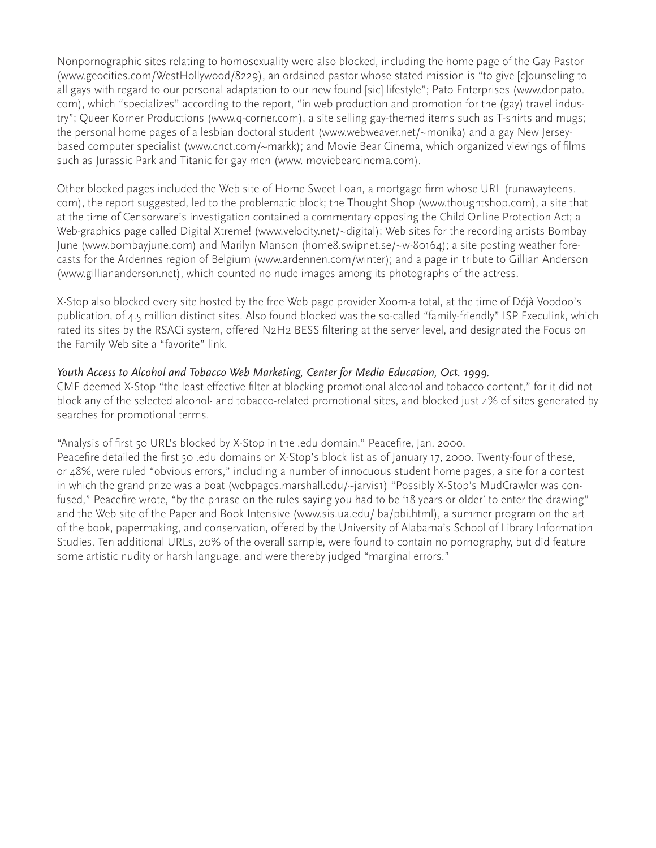Nonpornographic sites relating to homosexuality were also blocked, including the home page of the Gay Pastor (www.geocities.com/WestHollywood/8229), an ordained pastor whose stated mission is "to give [c]ounseling to all gays with regard to our personal adaptation to our new found [sic] lifestyle"; Pato Enterprises (www.donpato. com), which "specializes" according to the report, "in web production and promotion for the (gay) travel industry"; Queer Korner Productions (www.q-corner.com), a site selling gay-themed items such as T-shirts and mugs; the personal home pages of a lesbian doctoral student (www.webweaver.net/~monika) and a gay New Jerseybased computer specialist (www.cnct.com/~markk); and Movie Bear Cinema, which organized viewings of films such as Jurassic Park and Titanic for gay men (www. moviebearcinema.com).

Other blocked pages included the Web site of Home Sweet Loan, a mortgage firm whose URL (runawayteens. com), the report suggested, led to the problematic block; the Thought Shop (www.thoughtshop.com), a site that at the time of Censorware's investigation contained a commentary opposing the Child Online Protection Act; a Web-graphics page called Digital Xtreme! (www.velocity.net/~digital); Web sites for the recording artists Bombay June (www.bombayjune.com) and Marilyn Manson (home8.swipnet.se/~w-80164); a site posting weather forecasts for the Ardennes region of Belgium (www.ardennen.com/winter); and a page in tribute to Gillian Anderson (www.gilliananderson.net), which counted no nude images among its photographs of the actress.

X-Stop also blocked every site hosted by the free Web page provider Xoom-a total, at the time of Déjà Voodoo's publication, of 4.5 million distinct sites. Also found blocked was the so-called "family-friendly" ISP Execulink, which rated its sites by the RSACi system, offered N2H2 BESS filtering at the server level, and designated the Focus on the Family Web site a "favorite" link.

#### *Youth Access to Alcohol and Tobacco Web Marketing, Center for Media Education, Oct. 1999.*

CME deemed X-Stop "the least effective filter at blocking promotional alcohol and tobacco content," for it did not block any of the selected alcohol- and tobacco-related promotional sites, and blocked just 4% of sites generated by searches for promotional terms.

#### "Analysis of first 50 URL's blocked by X-Stop in the .edu domain," Peacefire, Jan. 2000.

Peacefire detailed the first 50 .edu domains on X-Stop's block list as of January 17, 2000. Twenty-four of these, or 48%, were ruled "obvious errors," including a number of innocuous student home pages, a site for a contest in which the grand prize was a boat (webpages.marshall.edu/~jarvis1) "Possibly X-Stop's MudCrawler was confused," Peacefire wrote, "by the phrase on the rules saying you had to be '18 years or older' to enter the drawing" and the Web site of the Paper and Book Intensive (www.sis.ua.edu/ ba/pbi.html), a summer program on the art of the book, papermaking, and conservation, offered by the University of Alabama's School of Library Information Studies. Ten additional URLs, 20% of the overall sample, were found to contain no pornography, but did feature some artistic nudity or harsh language, and were thereby judged "marginal errors."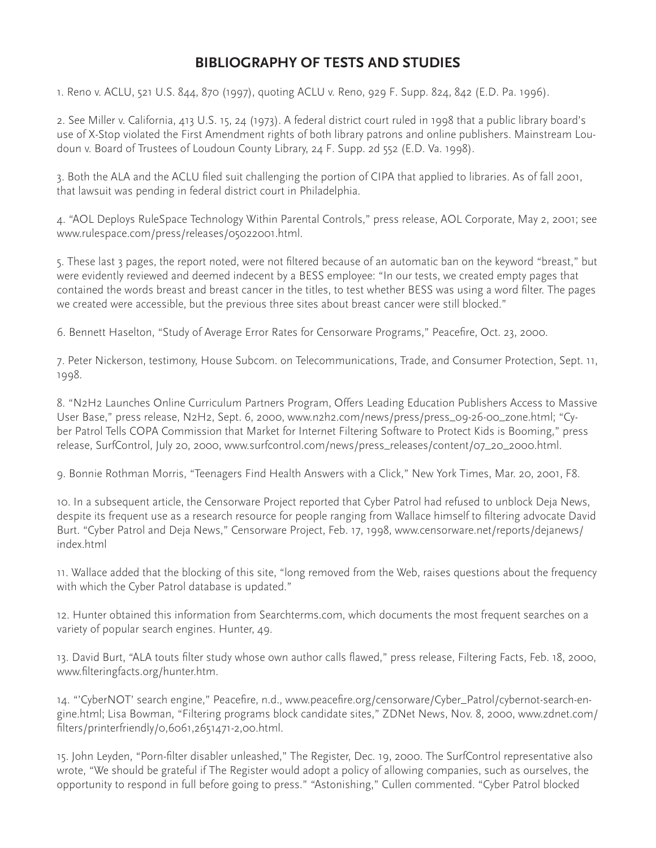# **BIBLIOGRAPHY OF TESTS AND STUDIES**

1. Reno v. ACLU, 521 U.S. 844, 870 (1997), quoting ACLU v. Reno, 929 F. Supp. 824, 842 (E.D. Pa. 1996).

2. See Miller v. California, 413 U.S. 15, 24 (1973). A federal district court ruled in 1998 that a public library board's use of X-Stop violated the First Amendment rights of both library patrons and online publishers. Mainstream Loudoun v. Board of Trustees of Loudoun County Library, 24 F. Supp. 2d 552 (E.D. Va. 1998).

3. Both the ALA and the ACLU filed suit challenging the portion of CIPA that applied to libraries. As of fall 2001, that lawsuit was pending in federal district court in Philadelphia.

4. "AOL Deploys RuleSpace Technology Within Parental Controls," press release, AOL Corporate, May 2, 2001; see www.rulespace.com/press/releases/05022001.html.

5. These last 3 pages, the report noted, were not filtered because of an automatic ban on the keyword "breast," but were evidently reviewed and deemed indecent by a BESS employee: "In our tests, we created empty pages that contained the words breast and breast cancer in the titles, to test whether BESS was using a word filter. The pages we created were accessible, but the previous three sites about breast cancer were still blocked."

6. Bennett Haselton, "Study of Average Error Rates for Censorware Programs," Peacefire, Oct. 23, 2000.

7. Peter Nickerson, testimony, House Subcom. on Telecommunications, Trade, and Consumer Protection, Sept. 11, 1998.

8. "N2H2 Launches Online Curriculum Partners Program, Offers Leading Education Publishers Access to Massive User Base," press release, N2H2, Sept. 6, 2000, www.n2h2.com/news/press/press\_09-26-00\_zone.html; "Cyber Patrol Tells COPA Commission that Market for Internet Filtering Software to Protect Kids is Booming," press release, SurfControl, July 20, 2000, www.surfcontrol.com/news/press\_releases/content/07\_20\_2000.html.

9. Bonnie Rothman Morris, "Teenagers Find Health Answers with a Click," New York Times, Mar. 20, 2001, F8.

10. In a subsequent article, the Censorware Project reported that Cyber Patrol had refused to unblock Deja News, despite its frequent use as a research resource for people ranging from Wallace himself to filtering advocate David Burt. "Cyber Patrol and Deja News," Censorware Project, Feb. 17, 1998, www.censorware.net/reports/dejanews/ index.html

11. Wallace added that the blocking of this site, "long removed from the Web, raises questions about the frequency with which the Cyber Patrol database is updated."

12. Hunter obtained this information from Searchterms.com, which documents the most frequent searches on a variety of popular search engines. Hunter, 49.

13. David Burt, "ALA touts filter study whose own author calls flawed," press release, Filtering Facts, Feb. 18, 2000, www.filteringfacts.org/hunter.htm.

14. "'CyberNOT' search engine," Peacefire, n.d., www.peacefire.org/censorware/Cyber\_Patrol/cybernot-search-engine.html; Lisa Bowman, "Filtering programs block candidate sites," ZDNet News, Nov. 8, 2000, www.zdnet.com/ filters/printerfriendly/0,6061,2651471-2,00.html.

15. John Leyden, "Porn-filter disabler unleashed," The Register, Dec. 19, 2000. The SurfControl representative also wrote, "We should be grateful if The Register would adopt a policy of allowing companies, such as ourselves, the opportunity to respond in full before going to press." "Astonishing," Cullen commented. "Cyber Patrol blocked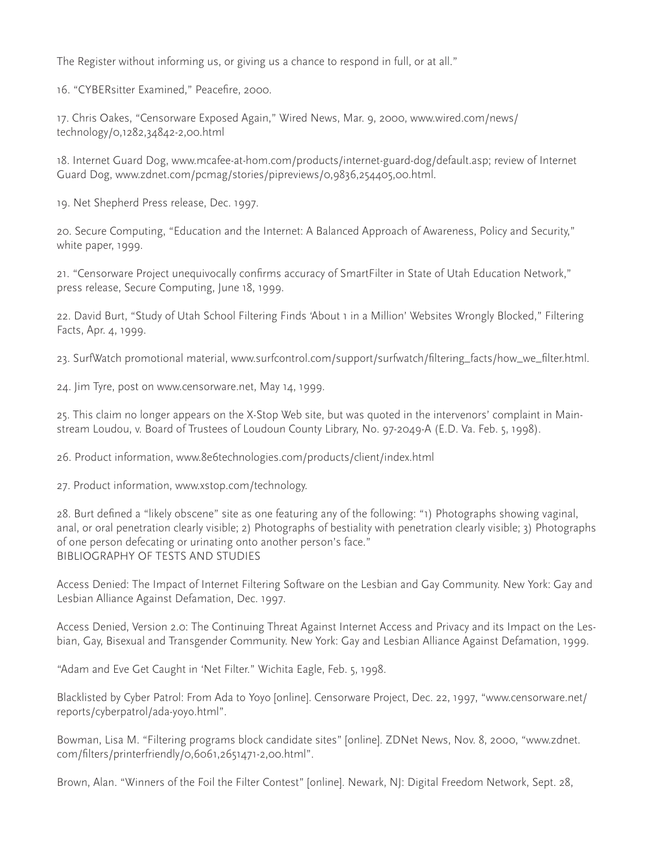The Register without informing us, or giving us a chance to respond in full, or at all."

16. "CYBERsitter Examined," Peacefire, 2000.

17. Chris Oakes, "Censorware Exposed Again," Wired News, Mar. 9, 2000, www.wired.com/news/ technology/0,1282,34842-2,00.html

18. Internet Guard Dog, www.mcafee-at-hom.com/products/internet-guard-dog/default.asp; review of Internet Guard Dog, www.zdnet.com/pcmag/stories/pipreviews/0,9836,254405,00.html.

19. Net Shepherd Press release, Dec. 1997.

20. Secure Computing, "Education and the Internet: A Balanced Approach of Awareness, Policy and Security," white paper, 1999.

21. "Censorware Project unequivocally confirms accuracy of SmartFilter in State of Utah Education Network," press release, Secure Computing, June 18, 1999.

22. David Burt, "Study of Utah School Filtering Finds 'About 1 in a Million' Websites Wrongly Blocked," Filtering Facts, Apr. 4, 1999.

23. SurfWatch promotional material, www.surfcontrol.com/support/surfwatch/filtering\_facts/how\_we\_filter.html.

24. Jim Tyre, post on www.censorware.net, May 14, 1999.

25. This claim no longer appears on the X-Stop Web site, but was quoted in the intervenors' complaint in Mainstream Loudou, v. Board of Trustees of Loudoun County Library, No. 97-2049-A (E.D. Va. Feb. 5, 1998).

26. Product information, www.8e6technologies.com/products/client/index.html

27. Product information, www.xstop.com/technology.

28. Burt defined a "likely obscene" site as one featuring any of the following: "1) Photographs showing vaginal, anal, or oral penetration clearly visible; 2) Photographs of bestiality with penetration clearly visible; 3) Photographs of one person defecating or urinating onto another person's face." BIBLIOGRAPHY OF TESTS AND STUDIES

Access Denied: The Impact of Internet Filtering Software on the Lesbian and Gay Community. New York: Gay and Lesbian Alliance Against Defamation, Dec. 1997.

Access Denied, Version 2.0: The Continuing Threat Against Internet Access and Privacy and its Impact on the Lesbian, Gay, Bisexual and Transgender Community. New York: Gay and Lesbian Alliance Against Defamation, 1999.

"Adam and Eve Get Caught in 'Net Filter." Wichita Eagle, Feb. 5, 1998.

Blacklisted by Cyber Patrol: From Ada to Yoyo [online]. Censorware Project, Dec. 22, 1997, "www.censorware.net/ reports/cyberpatrol/ada-yoyo.html".

Bowman, Lisa M. "Filtering programs block candidate sites" [online]. ZDNet News, Nov. 8, 2000, "www.zdnet. com/filters/printerfriendly/0,6061,2651471-2,00.html".

Brown, Alan. "Winners of the Foil the Filter Contest" [online]. Newark, NJ: Digital Freedom Network, Sept. 28,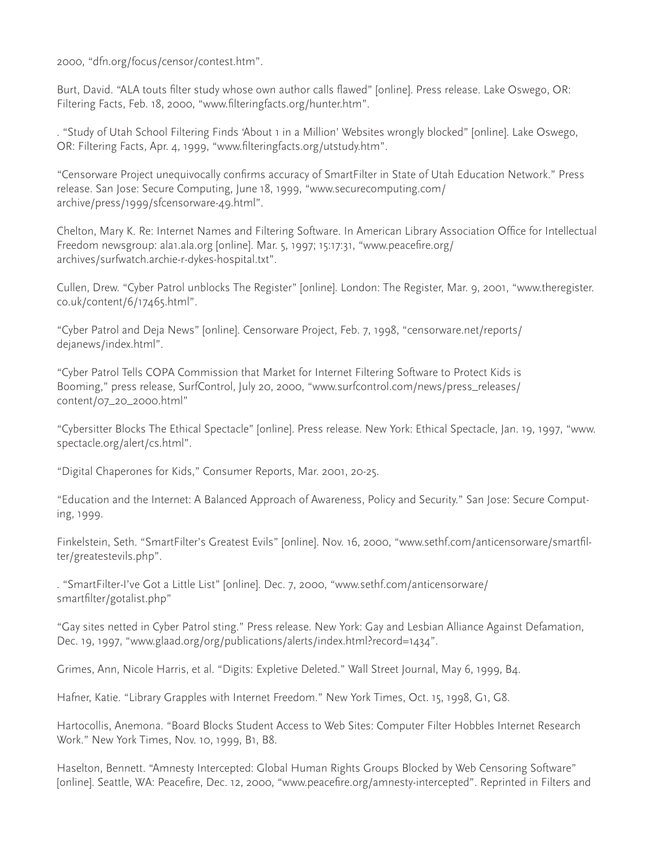2000, "dfn.org/focus/censor/contest.htm".

Burt, David. "ALA touts filter study whose own author calls flawed" [online]. Press release. Lake Oswego, OR: Filtering Facts, Feb. 18, 2000, "www.filteringfacts.org/hunter.htm".

. "Study of Utah School Filtering Finds 'About 1 in a Million' Websites wrongly blocked" [online]. Lake Oswego, OR: Filtering Facts, Apr. 4, 1999, "www.filteringfacts.org/utstudy.htm".

"Censorware Project unequivocally confirms accuracy of SmartFilter in State of Utah Education Network." Press release. San Jose: Secure Computing, June 18, 1999, "www.securecomputing.com/ archive/press/1999/sfcensorware-49.html".

Chelton, Mary K. Re: Internet Names and Filtering Software. In American Library Association Office for Intellectual Freedom newsgroup: ala1.ala.org [online]. Mar. 5, 1997; 15:17:31, "www.peacefire.org/ archives/surfwatch.archie-r-dykes-hospital.txt".

Cullen, Drew. "Cyber Patrol unblocks The Register" [online]. London: The Register, Mar. 9, 2001, "www.theregister. co.uk/content/6/17465.html".

"Cyber Patrol and Deja News" [online]. Censorware Project, Feb. 7, 1998, "censorware.net/reports/ dejanews/index.html".

"Cyber Patrol Tells COPA Commission that Market for Internet Filtering Software to Protect Kids is Booming," press release, SurfControl, July 20, 2000, "www.surfcontrol.com/news/press\_releases/ content/07\_20\_2000.html"

"Cybersitter Blocks The Ethical Spectacle" [online]. Press release. New York: Ethical Spectacle, Jan. 19, 1997, "www. spectacle.org/alert/cs.html".

"Digital Chaperones for Kids," Consumer Reports, Mar. 2001, 20-25.

"Education and the Internet: A Balanced Approach of Awareness, Policy and Security." San Jose: Secure Computing, 1999.

Finkelstein, Seth. "SmartFilter's Greatest Evils" [online]. Nov. 16, 2000, "www.sethf.com/anticensorware/smartfilter/greatestevils.php".

. "SmartFilter-I've Got a Little List" [online]. Dec. 7, 2000, "www.sethf.com/anticensorware/ smartfilter/gotalist.php"

"Gay sites netted in Cyber Patrol sting." Press release. New York: Gay and Lesbian Alliance Against Defamation, Dec. 19, 1997, "www.glaad.org/org/publications/alerts/index.html?record=1434".

Grimes, Ann, Nicole Harris, et al. "Digits: Expletive Deleted." Wall Street Journal, May 6, 1999, B4.

Hafner, Katie. "Library Grapples with Internet Freedom." New York Times, Oct. 15, 1998, G1, G8.

Hartocollis, Anemona. "Board Blocks Student Access to Web Sites: Computer Filter Hobbles Internet Research Work." New York Times, Nov. 10, 1999, B1, B8.

Haselton, Bennett. "Amnesty Intercepted: Global Human Rights Groups Blocked by Web Censoring Software" [online]. Seattle, WA: Peacefire, Dec. 12, 2000, "www.peacefire.org/amnesty-intercepted". Reprinted in Filters and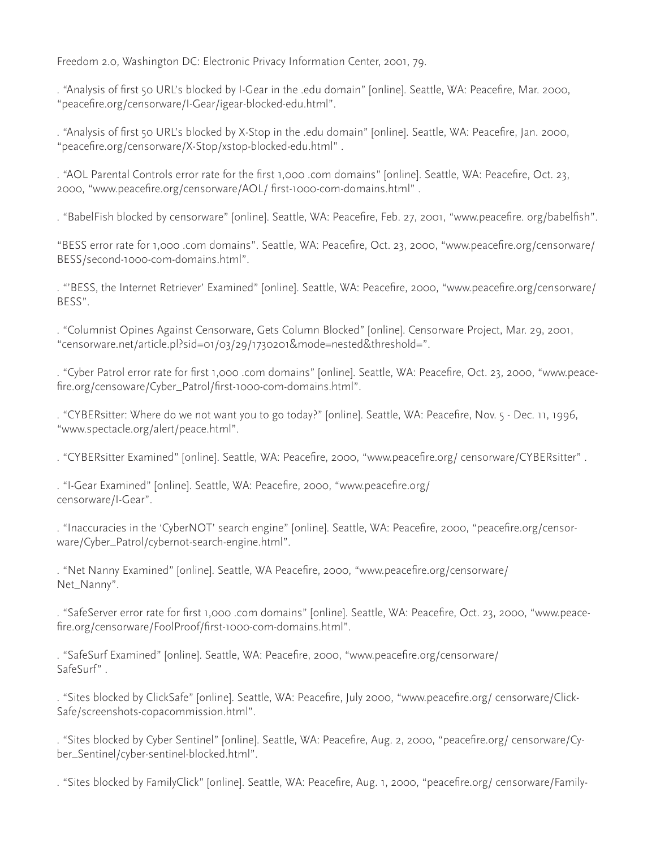Freedom 2.0, Washington DC: Electronic Privacy Information Center, 2001, 79.

. "Analysis of first 50 URL's blocked by I-Gear in the .edu domain" [online]. Seattle, WA: Peacefire, Mar. 2000, "peacefire.org/censorware/I-Gear/igear-blocked-edu.html".

. "Analysis of first 50 URL's blocked by X-Stop in the .edu domain" [online]. Seattle, WA: Peacefire, Jan. 2000, "peacefire.org/censorware/X-Stop/xstop-blocked-edu.html" .

. "AOL Parental Controls error rate for the first 1,000 .com domains" [online]. Seattle, WA: Peacefire, Oct. 23, 2000, "www.peacefire.org/censorware/AOL/ first-1000-com-domains.html" .

. "BabelFish blocked by censorware" [online]. Seattle, WA: Peacefire, Feb. 27, 2001, "www.peacefire. org/babelfish".

"BESS error rate for 1,000 .com domains". Seattle, WA: Peacefire, Oct. 23, 2000, "www.peacefire.org/censorware/ BESS/second-1000-com-domains.html".

. "'BESS, the Internet Retriever' Examined" [online]. Seattle, WA: Peacefire, 2000, "www.peacefire.org/censorware/ BESS".

. "Columnist Opines Against Censorware, Gets Column Blocked" [online]. Censorware Project, Mar. 29, 2001, "censorware.net/article.pl?sid=01/03/29/1730201&mode=nested&threshold=".

. "Cyber Patrol error rate for first 1,000 .com domains" [online]. Seattle, WA: Peacefire, Oct. 23, 2000, "www.peacefire.org/censoware/Cyber\_Patrol/first-1000-com-domains.html".

. "CYBERsitter: Where do we not want you to go today?" [online]. Seattle, WA: Peacefire, Nov. 5 - Dec. 11, 1996, "www.spectacle.org/alert/peace.html".

. "CYBERsitter Examined" [online]. Seattle, WA: Peacefire, 2000, "www.peacefire.org/ censorware/CYBERsitter" .

. "I-Gear Examined" [online]. Seattle, WA: Peacefire, 2000, "www.peacefire.org/ censorware/I-Gear".

. "Inaccuracies in the 'CyberNOT' search engine" [online]. Seattle, WA: Peacefire, 2000, "peacefire.org/censorware/Cyber\_Patrol/cybernot-search-engine.html".

. "Net Nanny Examined" [online]. Seattle, WA Peacefire, 2000, "www.peacefire.org/censorware/ Net\_Nanny".

. "SafeServer error rate for first 1,000 .com domains" [online]. Seattle, WA: Peacefire, Oct. 23, 2000, "www.peacefire.org/censorware/FoolProof/first-1000-com-domains.html".

. "SafeSurf Examined" [online]. Seattle, WA: Peacefire, 2000, "www.peacefire.org/censorware/ SafeSurf" .

. "Sites blocked by ClickSafe" [online]. Seattle, WA: Peacefire, July 2000, "www.peacefire.org/ censorware/Click-Safe/screenshots-copacommission.html".

. "Sites blocked by Cyber Sentinel" [online]. Seattle, WA: Peacefire, Aug. 2, 2000, "peacefire.org/ censorware/Cyber\_Sentinel/cyber-sentinel-blocked.html".

. "Sites blocked by FamilyClick" [online]. Seattle, WA: Peacefire, Aug. 1, 2000, "peacefire.org/ censorware/Family-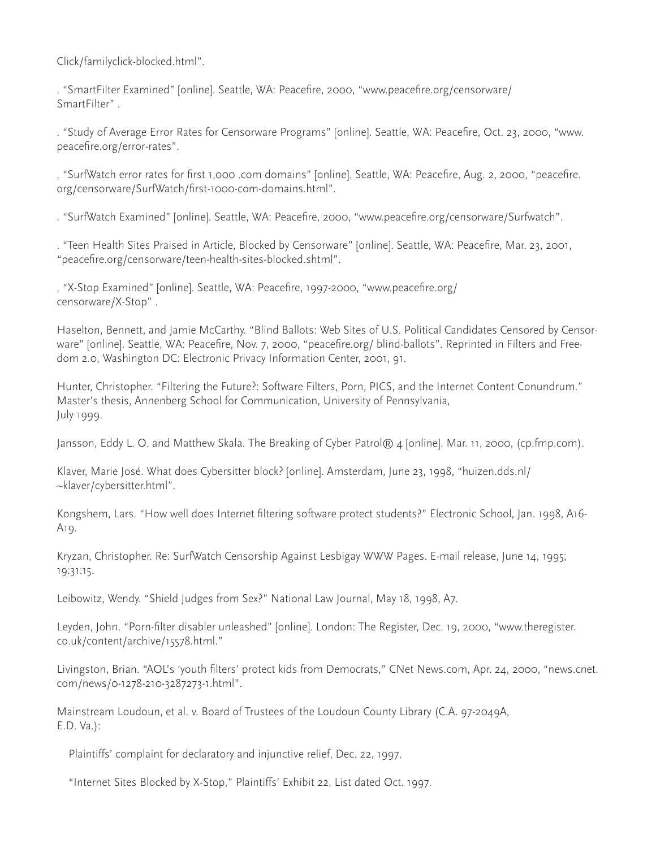Click/familyclick-blocked.html".

. "SmartFilter Examined" [online]. Seattle, WA: Peacefire, 2000, "www.peacefire.org/censorware/ SmartFilter" .

. "Study of Average Error Rates for Censorware Programs" [online]. Seattle, WA: Peacefire, Oct. 23, 2000, "www. peacefire.org/error-rates".

. "SurfWatch error rates for first 1,000 .com domains" [online]. Seattle, WA: Peacefire, Aug. 2, 2000, "peacefire. org/censorware/SurfWatch/first-1000-com-domains.html".

. "SurfWatch Examined" [online]. Seattle, WA: Peacefire, 2000, "www.peacefire.org/censorware/Surfwatch".

. "Teen Health Sites Praised in Article, Blocked by Censorware" [online]. Seattle, WA: Peacefire, Mar. 23, 2001, "peacefire.org/censorware/teen-health-sites-blocked.shtml".

. "X-Stop Examined" [online]. Seattle, WA: Peacefire, 1997-2000, "www.peacefire.org/ censorware/X-Stop" .

Haselton, Bennett, and Jamie McCarthy. "Blind Ballots: Web Sites of U.S. Political Candidates Censored by Censorware" [online]. Seattle, WA: Peacefire, Nov. 7, 2000, "peacefire.org/ blind-ballots". Reprinted in Filters and Freedom 2.0, Washington DC: Electronic Privacy Information Center, 2001, 91.

Hunter, Christopher. "Filtering the Future?: Software Filters, Porn, PICS, and the Internet Content Conundrum." Master's thesis, Annenberg School for Communication, University of Pennsylvania, July 1999.

Jansson, Eddy L. O. and Matthew Skala. The Breaking of Cyber Patrol® 4 [online]. Mar. 11, 2000, (cp.fmp.com).

Klaver, Marie José. What does Cybersitter block? [online]. Amsterdam, June 23, 1998, "huizen.dds.nl/ ~klaver/cybersitter.html".

Kongshem, Lars. "How well does Internet filtering software protect students?" Electronic School, Jan. 1998, A16- A19.

Kryzan, Christopher. Re: SurfWatch Censorship Against Lesbigay WWW Pages. E-mail release, June 14, 1995; 19:31:15.

Leibowitz, Wendy. "Shield Judges from Sex?" National Law Journal, May 18, 1998, A7.

Leyden, John. "Porn-filter disabler unleashed" [online]. London: The Register, Dec. 19, 2000, "www.theregister. co.uk/content/archive/15578.html."

Livingston, Brian. "AOL's 'youth filters' protect kids from Democrats," CNet News.com, Apr. 24, 2000, "news.cnet. com/news/0-1278-210-3287273-1.html".

Mainstream Loudoun, et al. v. Board of Trustees of the Loudoun County Library (C.A. 97-2049A, E.D. Va.):

Plaintiffs' complaint for declaratory and injunctive relief, Dec. 22, 1997.

"Internet Sites Blocked by X-Stop," Plaintiffs' Exhibit 22, List dated Oct. 1997.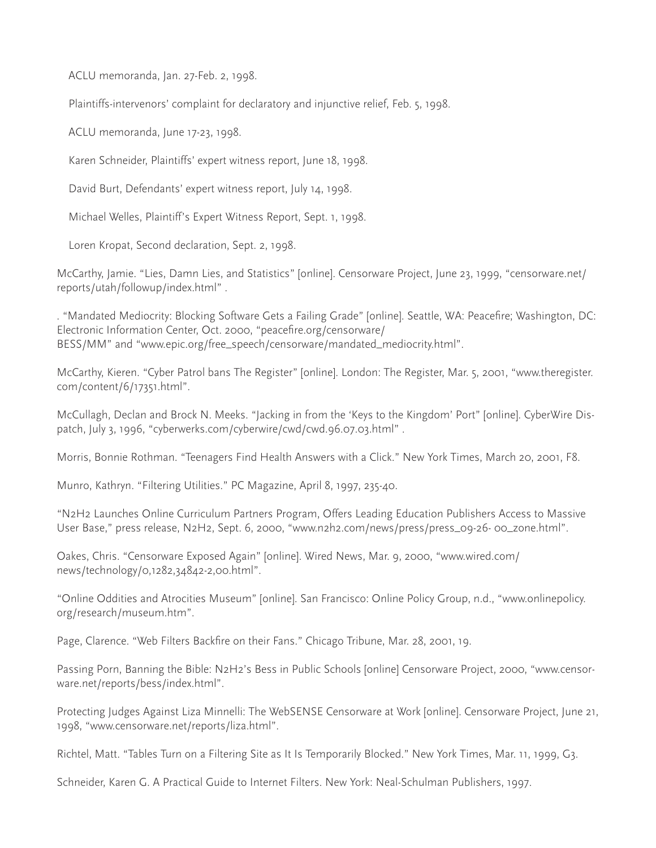ACLU memoranda, Jan. 27-Feb. 2, 1998.

Plaintiffs-intervenors' complaint for declaratory and injunctive relief, Feb. 5, 1998.

ACLU memoranda, June 17-23, 1998.

Karen Schneider, Plaintiffs' expert witness report, June 18, 1998.

David Burt, Defendants' expert witness report, July 14, 1998.

Michael Welles, Plaintiff's Expert Witness Report, Sept. 1, 1998.

Loren Kropat, Second declaration, Sept. 2, 1998.

McCarthy, Jamie. "Lies, Damn Lies, and Statistics" [online]. Censorware Project, June 23, 1999, "censorware.net/ reports/utah/followup/index.html" .

. "Mandated Mediocrity: Blocking Software Gets a Failing Grade" [online]. Seattle, WA: Peacefire; Washington, DC: Electronic Information Center, Oct. 2000, "peacefire.org/censorware/ BESS/MM" and "www.epic.org/free\_speech/censorware/mandated\_mediocrity.html".

McCarthy, Kieren. "Cyber Patrol bans The Register" [online]. London: The Register, Mar. 5, 2001, "www.theregister. com/content/6/17351.html".

McCullagh, Declan and Brock N. Meeks. "Jacking in from the 'Keys to the Kingdom' Port" [online]. CyberWire Dispatch, July 3, 1996, "cyberwerks.com/cyberwire/cwd/cwd.96.07.03.html" .

Morris, Bonnie Rothman. "Teenagers Find Health Answers with a Click." New York Times, March 20, 2001, F8.

Munro, Kathryn. "Filtering Utilities." PC Magazine, April 8, 1997, 235-40.

"N2H2 Launches Online Curriculum Partners Program, Offers Leading Education Publishers Access to Massive User Base," press release, N2H2, Sept. 6, 2000, "www.n2h2.com/news/press/press\_09-26- 00\_zone.html".

Oakes, Chris. "Censorware Exposed Again" [online]. Wired News, Mar. 9, 2000, "www.wired.com/ news/technology/0,1282,34842-2,00.html".

"Online Oddities and Atrocities Museum" [online]. San Francisco: Online Policy Group, n.d., "www.onlinepolicy. org/research/museum.htm".

Page, Clarence. "Web Filters Backfire on their Fans." Chicago Tribune, Mar. 28, 2001, 19.

Passing Porn, Banning the Bible: N2H2's Bess in Public Schools [online] Censorware Project, 2000, "www.censorware.net/reports/bess/index.html".

Protecting Judges Against Liza Minnelli: The WebSENSE Censorware at Work [online]. Censorware Project, June 21, 1998, "www.censorware.net/reports/liza.html".

Richtel, Matt. "Tables Turn on a Filtering Site as It Is Temporarily Blocked." New York Times, Mar. 11, 1999, G3.

Schneider, Karen G. A Practical Guide to Internet Filters. New York: Neal-Schulman Publishers, 1997.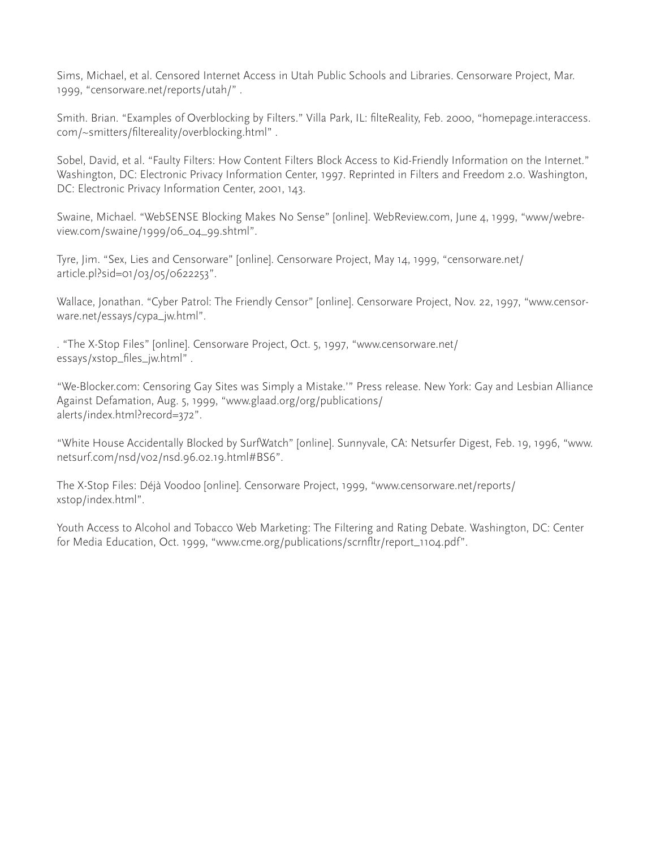Sims, Michael, et al. Censored Internet Access in Utah Public Schools and Libraries. Censorware Project, Mar. 1999, "censorware.net/reports/utah/" .

Smith. Brian. "Examples of Overblocking by Filters." Villa Park, IL: filteReality, Feb. 2000, "homepage.interaccess. com/~smitters/filtereality/overblocking.html" .

Sobel, David, et al. "Faulty Filters: How Content Filters Block Access to Kid-Friendly Information on the Internet." Washington, DC: Electronic Privacy Information Center, 1997. Reprinted in Filters and Freedom 2.0. Washington, DC: Electronic Privacy Information Center, 2001, 143.

Swaine, Michael. "WebSENSE Blocking Makes No Sense" [online]. WebReview.com, June 4, 1999, "www/webreview.com/swaine/1999/06\_04\_99.shtml".

Tyre, Jim. "Sex, Lies and Censorware" [online]. Censorware Project, May 14, 1999, "censorware.net/ article.pl?sid=01/03/05/0622253".

Wallace, Jonathan. "Cyber Patrol: The Friendly Censor" [online]. Censorware Project, Nov. 22, 1997, "www.censorware.net/essays/cypa\_jw.html".

. "The X-Stop Files" [online]. Censorware Project, Oct. 5, 1997, "www.censorware.net/ essays/xstop\_files\_jw.html" .

"We-Blocker.com: Censoring Gay Sites was Simply a Mistake.'" Press release. New York: Gay and Lesbian Alliance Against Defamation, Aug. 5, 1999, "www.glaad.org/org/publications/ alerts/index.html?record=372".

"White House Accidentally Blocked by SurfWatch" [online]. Sunnyvale, CA: Netsurfer Digest, Feb. 19, 1996, "www. netsurf.com/nsd/v02/nsd.96.02.19.html#BS6".

The X-Stop Files: Déjà Voodoo [online]. Censorware Project, 1999, "www.censorware.net/reports/ xstop/index.html".

Youth Access to Alcohol and Tobacco Web Marketing: The Filtering and Rating Debate. Washington, DC: Center for Media Education, Oct. 1999, "www.cme.org/publications/scrnfltr/report\_1104.pdf".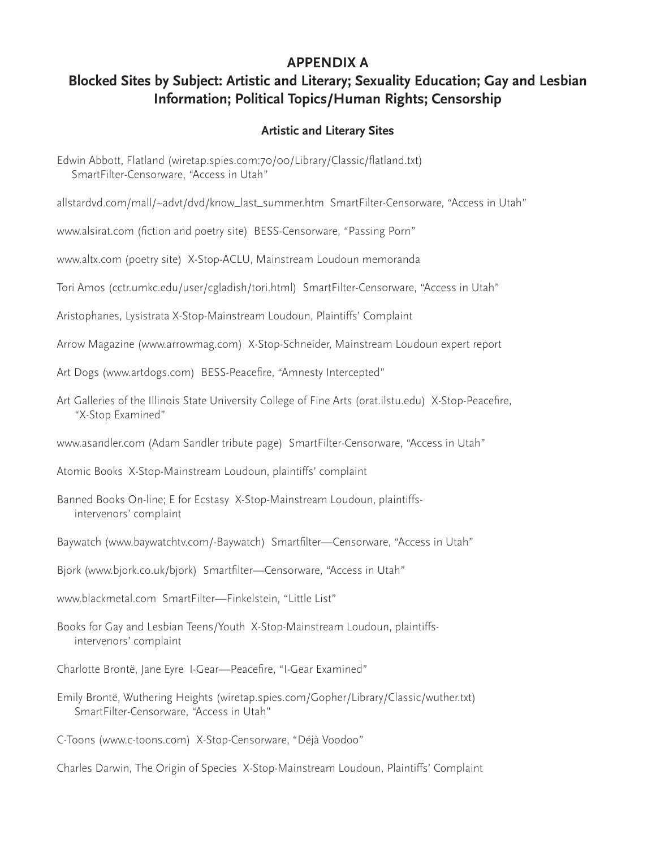## **APPENDIX A**

# **Blocked Sites by Subject: Artistic and Literary; Sexuality Education; Gay and Lesbian Information; Political Topics/Human Rights; Censorship**

### **Artistic and Literary Sites**

- Edwin Abbott, Flatland (wiretap.spies.com:70/00/Library/Classic/flatland.txt) SmartFilter-Censorware, "Access in Utah"
- allstardvd.com/mall/~advt/dvd/know\_last\_summer.htm SmartFilter-Censorware, "Access in Utah"

www.alsirat.com (fiction and poetry site) BESS-Censorware, "Passing Porn"

www.altx.com (poetry site) X-Stop-ACLU, Mainstream Loudoun memoranda

- Tori Amos (cctr.umkc.edu/user/cgladish/tori.html) SmartFilter-Censorware, "Access in Utah"
- Aristophanes, Lysistrata X-Stop-Mainstream Loudoun, Plaintiffs' Complaint
- Arrow Magazine (www.arrowmag.com) X-Stop-Schneider, Mainstream Loudoun expert report
- Art Dogs (www.artdogs.com) BESS-Peacefire, "Amnesty Intercepted"
- Art Galleries of the Illinois State University College of Fine Arts (orat.ilstu.edu) X-Stop-Peacefire, "X-Stop Examined"
- www.asandler.com (Adam Sandler tribute page) SmartFilter-Censorware, "Access in Utah"
- Atomic Books X-Stop-Mainstream Loudoun, plaintiffs' complaint
- Banned Books On-line; E for Ecstasy X-Stop-Mainstream Loudoun, plaintiffs intervenors' complaint
- Baywatch (www.baywatchtv.com/-Baywatch) Smartfilter—Censorware, "Access in Utah"
- Bjork (www.bjork.co.uk/bjork) Smartfilter—Censorware, "Access in Utah"
- www.blackmetal.com SmartFilter—Finkelstein, "Little List"
- Books for Gay and Lesbian Teens/Youth X-Stop-Mainstream Loudoun, plaintiffs intervenors' complaint
- Charlotte Brontë, Jane Eyre I-Gear—Peacefire, "I-Gear Examined"
- Emily Brontë, Wuthering Heights (wiretap.spies.com/Gopher/Library/Classic/wuther.txt) SmartFilter-Censorware, "Access in Utah"

C-Toons (www.c-toons.com) X-Stop-Censorware, "Déjà Voodoo"

Charles Darwin, The Origin of Species X-Stop-Mainstream Loudoun, Plaintiffs' Complaint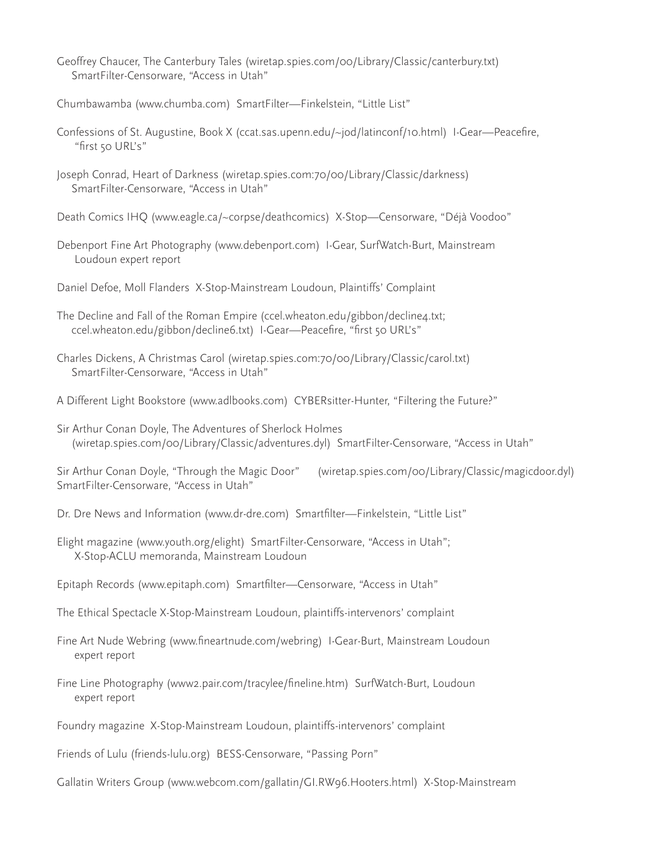- Geoffrey Chaucer, The Canterbury Tales (wiretap.spies.com/00/Library/Classic/canterbury.txt) SmartFilter-Censorware, "Access in Utah"
- Chumbawamba (www.chumba.com) SmartFilter—Finkelstein, "Little List"
- Confessions of St. Augustine, Book X (ccat.sas.upenn.edu/~jod/latinconf/10.html) I-Gear—Peacefire, "first 50 URL's"
- Joseph Conrad, Heart of Darkness (wiretap.spies.com:70/00/Library/Classic/darkness) SmartFilter-Censorware, "Access in Utah"
- Death Comics IHQ (www.eagle.ca/~corpse/deathcomics) X-Stop—Censorware, "Déjà Voodoo"
- Debenport Fine Art Photography (www.debenport.com) I-Gear, SurfWatch-Burt, Mainstream Loudoun expert report
- Daniel Defoe, Moll Flanders X-Stop-Mainstream Loudoun, Plaintiffs' Complaint
- The Decline and Fall of the Roman Empire (ccel.wheaton.edu/gibbon/decline4.txt; ccel.wheaton.edu/gibbon/decline6.txt) I-Gear—Peacefire, "first 50 URL's"
- Charles Dickens, A Christmas Carol (wiretap.spies.com:70/00/Library/Classic/carol.txt) SmartFilter-Censorware, "Access in Utah"
- A Different Light Bookstore (www.adlbooks.com) CYBERsitter-Hunter, "Filtering the Future?"
- Sir Arthur Conan Doyle, The Adventures of Sherlock Holmes (wiretap.spies.com/00/Library/Classic/adventures.dyl) SmartFilter-Censorware, "Access in Utah"

Sir Arthur Conan Doyle, "Through the Magic Door" (wiretap.spies.com/00/Library/Classic/magicdoor.dyl) SmartFilter-Censorware, "Access in Utah"

- Dr. Dre News and Information (www.dr-dre.com) Smartfilter—Finkelstein, "Little List"
- Elight magazine (www.youth.org/elight) SmartFilter-Censorware, "Access in Utah"; X-Stop-ACLU memoranda, Mainstream Loudoun
- Epitaph Records (www.epitaph.com) Smartfilter—Censorware, "Access in Utah"
- The Ethical Spectacle X-Stop-Mainstream Loudoun, plaintiffs-intervenors' complaint
- Fine Art Nude Webring (www.fineartnude.com/webring) I-Gear-Burt, Mainstream Loudoun expert report
- Fine Line Photography (www2.pair.com/tracylee/fineline.htm) SurfWatch-Burt, Loudoun expert report
- Foundry magazine X-Stop-Mainstream Loudoun, plaintiffs-intervenors' complaint
- Friends of Lulu (friends-lulu.org) BESS-Censorware, "Passing Porn"
- Gallatin Writers Group (www.webcom.com/gallatin/GI.RW96.Hooters.html) X-Stop-Mainstream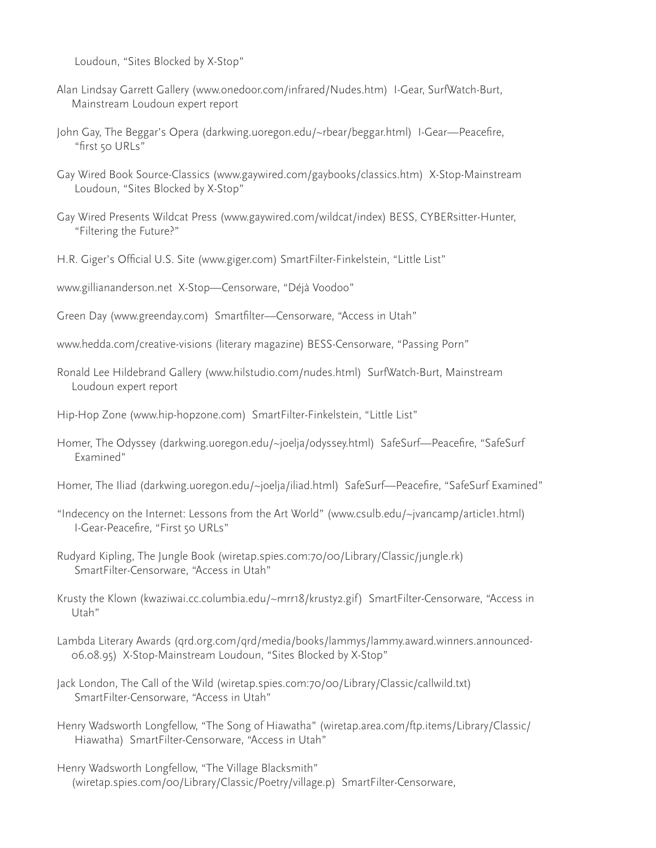Loudoun, "Sites Blocked by X-Stop"

- Alan Lindsay Garrett Gallery (www.onedoor.com/infrared/Nudes.htm) I-Gear, SurfWatch-Burt, Mainstream Loudoun expert report
- John Gay, The Beggar's Opera (darkwing.uoregon.edu/~rbear/beggar.html) I-Gear—Peacefire, "first 50 URLs"
- Gay Wired Book Source-Classics (www.gaywired.com/gaybooks/classics.htm) X-Stop-Mainstream Loudoun, "Sites Blocked by X-Stop"
- Gay Wired Presents Wildcat Press (www.gaywired.com/wildcat/index) BESS, CYBERsitter-Hunter, "Filtering the Future?"
- H.R. Giger's Official U.S. Site (www.giger.com) SmartFilter-Finkelstein, "Little List"
- www.gilliananderson.net X-Stop—Censorware, "Déjà Voodoo"
- Green Day (www.greenday.com) Smartfilter—Censorware, "Access in Utah"
- www.hedda.com/creative-visions (literary magazine) BESS-Censorware, "Passing Porn"
- Ronald Lee Hildebrand Gallery (www.hilstudio.com/nudes.html) SurfWatch-Burt, Mainstream Loudoun expert report
- Hip-Hop Zone (www.hip-hopzone.com) SmartFilter-Finkelstein, "Little List"
- Homer, The Odyssey (darkwing.uoregon.edu/~joelja/odyssey.html) SafeSurf—Peacefire, "SafeSurf Examined"
- Homer, The Iliad (darkwing.uoregon.edu/~joelja/iliad.html) SafeSurf—Peacefire, "SafeSurf Examined"
- "Indecency on the Internet: Lessons from the Art World" (www.csulb.edu/~jvancamp/article1.html) I-Gear-Peacefire, "First 50 URLs"
- Rudyard Kipling, The Jungle Book (wiretap.spies.com:70/00/Library/Classic/jungle.rk) SmartFilter-Censorware, "Access in Utah"
- Krusty the Klown (kwaziwai.cc.columbia.edu/~mrr18/krusty2.gif) SmartFilter-Censorware, "Access in Utah"
- Lambda Literary Awards (qrd.org.com/qrd/media/books/lammys/lammy.award.winners.announced- 06.08.95) X-Stop-Mainstream Loudoun, "Sites Blocked by X-Stop"
- Jack London, The Call of the Wild (wiretap.spies.com:70/00/Library/Classic/callwild.txt) SmartFilter-Censorware, "Access in Utah"
- Henry Wadsworth Longfellow, "The Song of Hiawatha" (wiretap.area.com/ftp.items/Library/Classic/ Hiawatha) SmartFilter-Censorware, "Access in Utah"
- Henry Wadsworth Longfellow, "The Village Blacksmith" (wiretap.spies.com/00/Library/Classic/Poetry/village.p) SmartFilter-Censorware,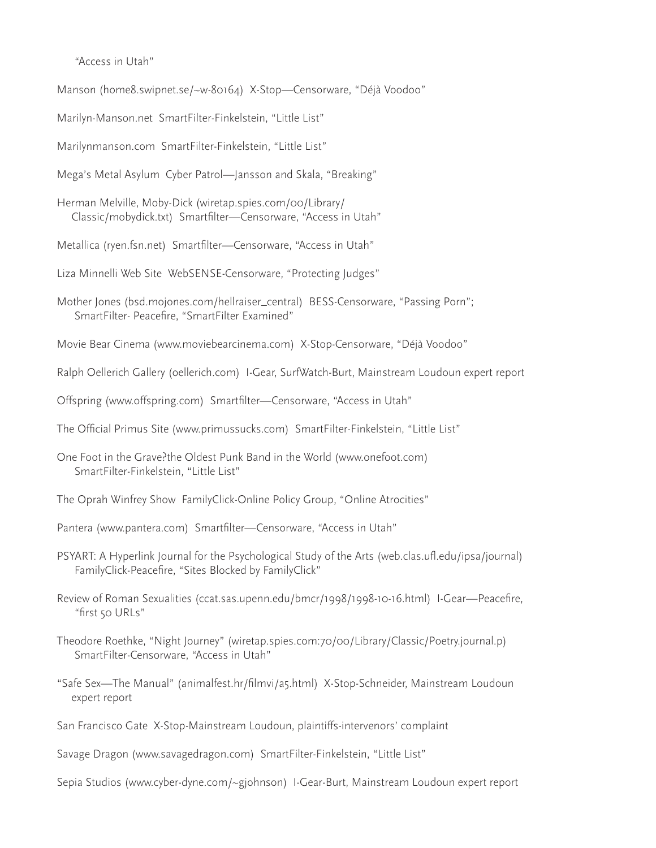"Access in Utah"

Manson (home8.swipnet.se/~w-80164) X-Stop—Censorware, "Déjà Voodoo"

Marilyn-Manson.net SmartFilter-Finkelstein, "Little List"

Marilynmanson.com SmartFilter-Finkelstein, "Little List"

Mega's Metal Asylum Cyber Patrol—Jansson and Skala, "Breaking"

Herman Melville, Moby-Dick (wiretap.spies.com/00/Library/ Classic/mobydick.txt) Smartfilter—Censorware, "Access in Utah"

Metallica (ryen.fsn.net) Smartfilter—Censorware, "Access in Utah"

Liza Minnelli Web Site WebSENSE-Censorware, "Protecting Judges"

- Mother Jones (bsd.mojones.com/hellraiser\_central) BESS-Censorware, "Passing Porn"; SmartFilter- Peacefire, "SmartFilter Examined"
- Movie Bear Cinema (www.moviebearcinema.com) X-Stop-Censorware, "Déjà Voodoo"
- Ralph Oellerich Gallery (oellerich.com) I-Gear, SurfWatch-Burt, Mainstream Loudoun expert report
- Offspring (www.offspring.com) Smartfilter—Censorware, "Access in Utah"
- The Official Primus Site (www.primussucks.com) SmartFilter-Finkelstein, "Little List"
- One Foot in the Grave?the Oldest Punk Band in the World (www.onefoot.com) SmartFilter-Finkelstein, "Little List"
- The Oprah Winfrey Show FamilyClick-Online Policy Group, "Online Atrocities"
- Pantera (www.pantera.com) Smartfilter—Censorware, "Access in Utah"
- PSYART: A Hyperlink Journal for the Psychological Study of the Arts (web.clas.ufl.edu/ipsa/journal) FamilyClick-Peacefire, "Sites Blocked by FamilyClick"
- Review of Roman Sexualities (ccat.sas.upenn.edu/bmcr/1998/1998-10-16.html) I-Gear—Peacefire, "first 50 URLs"
- Theodore Roethke, "Night Journey" (wiretap.spies.com:70/00/Library/Classic/Poetry.journal.p) SmartFilter-Censorware, "Access in Utah"
- "Safe Sex—The Manual" (animalfest.hr/filmvi/a5.html) X-Stop-Schneider, Mainstream Loudoun expert report
- San Francisco Gate X-Stop-Mainstream Loudoun, plaintiffs-intervenors' complaint

Savage Dragon (www.savagedragon.com) SmartFilter-Finkelstein, "Little List"

Sepia Studios (www.cyber-dyne.com/~gjohnson) I-Gear-Burt, Mainstream Loudoun expert report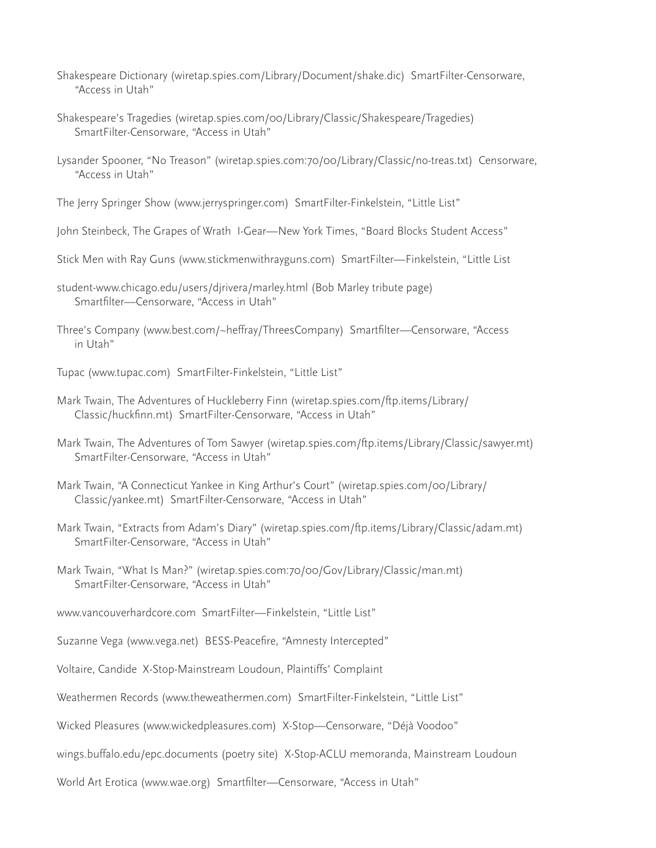- Shakespeare Dictionary (wiretap.spies.com/Library/Document/shake.dic) SmartFilter-Censorware, "Access in Utah"
- Shakespeare's Tragedies (wiretap.spies.com/00/Library/Classic/Shakespeare/Tragedies) SmartFilter-Censorware, "Access in Utah"
- Lysander Spooner, "No Treason" (wiretap.spies.com:70/00/Library/Classic/no-treas.txt) Censorware, "Access in Utah"

The Jerry Springer Show (www.jerryspringer.com) SmartFilter-Finkelstein, "Little List"

John Steinbeck, The Grapes of Wrath I-Gear—New York Times, "Board Blocks Student Access"

- Stick Men with Ray Guns (www.stickmenwithrayguns.com) SmartFilter—Finkelstein, "Little List
- student-www.chicago.edu/users/djrivera/marley.html (Bob Marley tribute page) Smartfilter—Censorware, "Access in Utah"
- Three's Company (www.best.com/~heffray/ThreesCompany) Smartfilter—Censorware, "Access in Utah"
- Tupac (www.tupac.com) SmartFilter-Finkelstein, "Little List"
- Mark Twain, The Adventures of Huckleberry Finn (wiretap.spies.com/ftp.items/Library/ Classic/huckfinn.mt) SmartFilter-Censorware, "Access in Utah"
- Mark Twain, The Adventures of Tom Sawyer (wiretap.spies.com/ftp.items/Library/Classic/sawyer.mt) SmartFilter-Censorware, "Access in Utah"
- Mark Twain, "A Connecticut Yankee in King Arthur's Court" (wiretap.spies.com/00/Library/ Classic/yankee.mt) SmartFilter-Censorware, "Access in Utah"
- Mark Twain, "Extracts from Adam's Diary" (wiretap.spies.com/ftp.items/Library/Classic/adam.mt) SmartFilter-Censorware, "Access in Utah"
- Mark Twain, "What Is Man?" (wiretap.spies.com:70/00/Gov/Library/Classic/man.mt) SmartFilter-Censorware, "Access in Utah"
- www.vancouverhardcore.com SmartFilter—Finkelstein, "Little List"
- Suzanne Vega (www.vega.net) BESS-Peacefire, "Amnesty Intercepted"
- Voltaire, Candide X-Stop-Mainstream Loudoun, Plaintiffs' Complaint
- Weathermen Records (www.theweathermen.com) SmartFilter-Finkelstein, "Little List"
- Wicked Pleasures (www.wickedpleasures.com) X-Stop—Censorware, "Déjà Voodoo"
- wings.buffalo.edu/epc.documents (poetry site) X-Stop-ACLU memoranda, Mainstream Loudoun
- World Art Erotica (www.wae.org) Smartfilter—Censorware, "Access in Utah"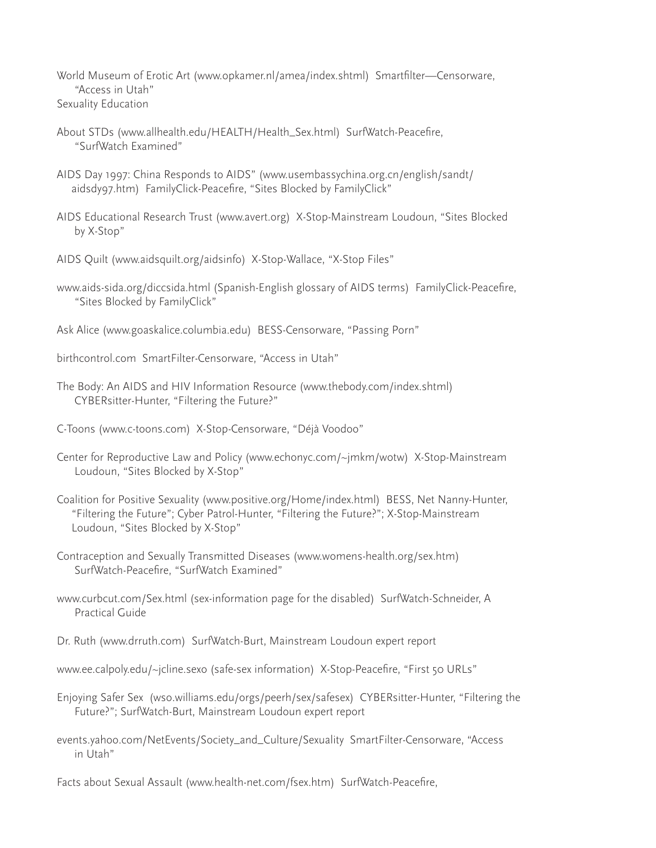World Museum of Erotic Art (www.opkamer.nl/amea/index.shtml) Smartfilter—Censorware, "Access in Utah" Sexuality Education

- About STDs (www.allhealth.edu/HEALTH/Health\_Sex.html) SurfWatch-Peacefire, "SurfWatch Examined"
- AIDS Day 1997: China Responds to AIDS" (www.usembassychina.org.cn/english/sandt/ aidsdy97.htm) FamilyClick-Peacefire, "Sites Blocked by FamilyClick"
- AIDS Educational Research Trust (www.avert.org) X-Stop-Mainstream Loudoun, "Sites Blocked by X-Stop"
- AIDS Quilt (www.aidsquilt.org/aidsinfo) X-Stop-Wallace, "X-Stop Files"
- www.aids-sida.org/diccsida.html (Spanish-English glossary of AIDS terms) FamilyClick-Peacefire, "Sites Blocked by FamilyClick"
- Ask Alice (www.goaskalice.columbia.edu) BESS-Censorware, "Passing Porn"
- birthcontrol.com SmartFilter-Censorware, "Access in Utah"
- The Body: An AIDS and HIV Information Resource (www.thebody.com/index.shtml) CYBERsitter-Hunter, "Filtering the Future?"
- C-Toons (www.c-toons.com) X-Stop-Censorware, "Déjà Voodoo"
- Center for Reproductive Law and Policy (www.echonyc.com/~jmkm/wotw) X-Stop-Mainstream Loudoun, "Sites Blocked by X-Stop"
- Coalition for Positive Sexuality (www.positive.org/Home/index.html) BESS, Net Nanny-Hunter, "Filtering the Future"; Cyber Patrol-Hunter, "Filtering the Future?"; X-Stop-Mainstream Loudoun, "Sites Blocked by X-Stop"
- Contraception and Sexually Transmitted Diseases (www.womens-health.org/sex.htm) SurfWatch-Peacefire, "SurfWatch Examined"
- www.curbcut.com/Sex.html (sex-information page for the disabled) SurfWatch-Schneider, A Practical Guide
- Dr. Ruth (www.drruth.com) SurfWatch-Burt, Mainstream Loudoun expert report
- www.ee.calpoly.edu/~jcline.sexo (safe-sex information) X-Stop-Peacefire, "First 50 URLs"
- Enjoying Safer Sex (wso.williams.edu/orgs/peerh/sex/safesex) CYBERsitter-Hunter, "Filtering the Future?"; SurfWatch-Burt, Mainstream Loudoun expert report
- events.yahoo.com/NetEvents/Society\_and\_Culture/Sexuality SmartFilter-Censorware, "Access in Utah"
- Facts about Sexual Assault (www.health-net.com/fsex.htm) SurfWatch-Peacefire,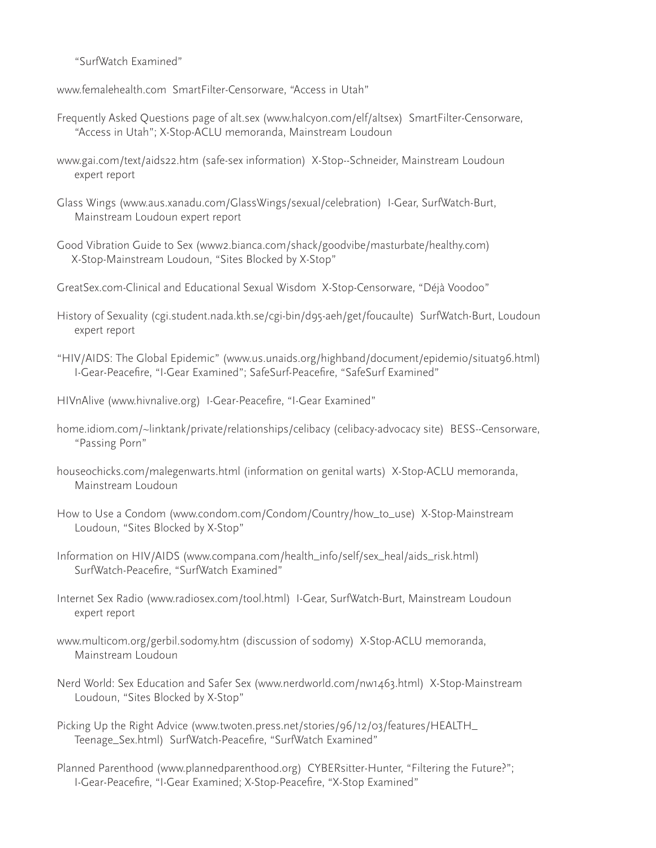"SurfWatch Examined"

www.femalehealth.com SmartFilter-Censorware, "Access in Utah"

- Frequently Asked Questions page of alt.sex (www.halcyon.com/elf/altsex) SmartFilter-Censorware, "Access in Utah"; X-Stop-ACLU memoranda, Mainstream Loudoun
- www.gai.com/text/aids22.htm (safe-sex information) X-Stop--Schneider, Mainstream Loudoun expert report
- Glass Wings (www.aus.xanadu.com/GlassWings/sexual/celebration) I-Gear, SurfWatch-Burt, Mainstream Loudoun expert report
- Good Vibration Guide to Sex (www2.bianca.com/shack/goodvibe/masturbate/healthy.com) X-Stop-Mainstream Loudoun, "Sites Blocked by X-Stop"
- GreatSex.com-Clinical and Educational Sexual Wisdom X-Stop-Censorware, "Déjà Voodoo"
- History of Sexuality (cgi.student.nada.kth.se/cgi-bin/d95-aeh/get/foucaulte) SurfWatch-Burt, Loudoun expert report
- "HIV/AIDS: The Global Epidemic" (www.us.unaids.org/highband/document/epidemio/situat96.html) I-Gear-Peacefire, "I-Gear Examined"; SafeSurf-Peacefire, "SafeSurf Examined"
- HIVnAlive (www.hivnalive.org) I-Gear-Peacefire, "I-Gear Examined"
- home.idiom.com/~linktank/private/relationships/celibacy (celibacy-advocacy site) BESS--Censorware, "Passing Porn"
- houseochicks.com/malegenwarts.html (information on genital warts) X-Stop-ACLU memoranda, Mainstream Loudoun
- How to Use a Condom (www.condom.com/Condom/Country/how\_to\_use) X-Stop-Mainstream Loudoun, "Sites Blocked by X-Stop"
- Information on HIV/AIDS (www.compana.com/health\_info/self/sex\_heal/aids\_risk.html) SurfWatch-Peacefire, "SurfWatch Examined"
- Internet Sex Radio (www.radiosex.com/tool.html) I-Gear, SurfWatch-Burt, Mainstream Loudoun expert report
- www.multicom.org/gerbil.sodomy.htm (discussion of sodomy) X-Stop-ACLU memoranda, Mainstream Loudoun
- Nerd World: Sex Education and Safer Sex (www.nerdworld.com/nw1463.html) X-Stop-Mainstream Loudoun, "Sites Blocked by X-Stop"
- Picking Up the Right Advice (www.twoten.press.net/stories/96/12/03/features/HEALTH\_ Teenage\_Sex.html) SurfWatch-Peacefire, "SurfWatch Examined"
- Planned Parenthood (www.plannedparenthood.org) CYBERsitter-Hunter, "Filtering the Future?"; I-Gear-Peacefire, "I-Gear Examined; X-Stop-Peacefire, "X-Stop Examined"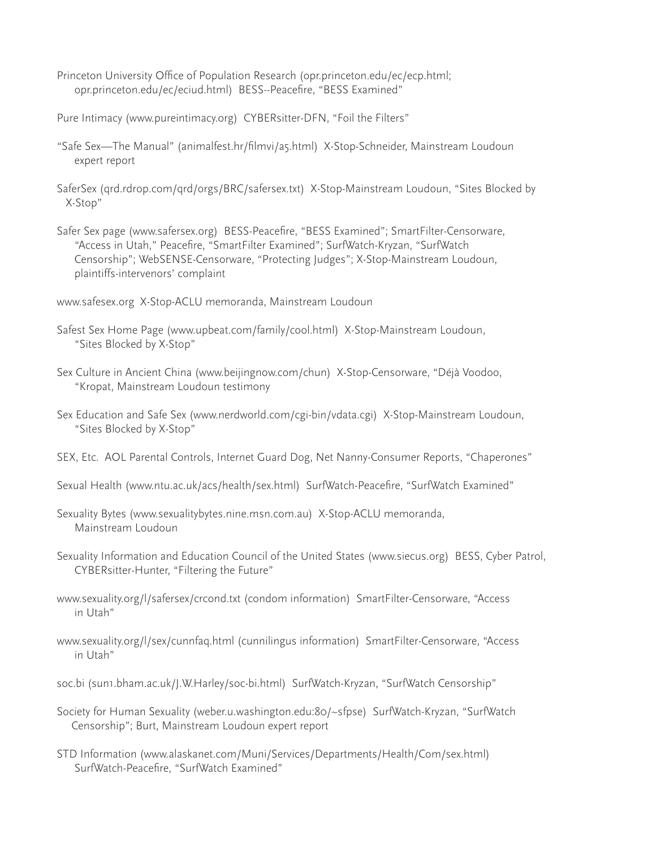- Princeton University Office of Population Research (opr.princeton.edu/ec/ecp.html; opr.princeton.edu/ec/eciud.html) BESS--Peacefire, "BESS Examined"
- Pure Intimacy (www.pureintimacy.org) CYBERsitter-DFN, "Foil the Filters"
- "Safe Sex—The Manual" (animalfest.hr/filmvi/a5.html) X-Stop-Schneider, Mainstream Loudoun expert report
- SaferSex (qrd.rdrop.com/qrd/orgs/BRC/safersex.txt) X-Stop-Mainstream Loudoun, "Sites Blocked by X-Stop"
- Safer Sex page (www.safersex.org) BESS-Peacefire, "BESS Examined"; SmartFilter-Censorware, "Access in Utah," Peacefire, "SmartFilter Examined"; SurfWatch-Kryzan, "SurfWatch Censorship"; WebSENSE-Censorware, "Protecting Judges"; X-Stop-Mainstream Loudoun, plaintiffs-intervenors' complaint
- www.safesex.org X-Stop-ACLU memoranda, Mainstream Loudoun
- Safest Sex Home Page (www.upbeat.com/family/cool.html) X-Stop-Mainstream Loudoun, "Sites Blocked by X-Stop"
- Sex Culture in Ancient China (www.beijingnow.com/chun) X-Stop-Censorware, "Déjà Voodoo, "Kropat, Mainstream Loudoun testimony
- Sex Education and Safe Sex (www.nerdworld.com/cgi-bin/vdata.cgi) X-Stop-Mainstream Loudoun, "Sites Blocked by X-Stop"
- SEX, Etc. AOL Parental Controls, Internet Guard Dog, Net Nanny-Consumer Reports, "Chaperones"
- Sexual Health (www.ntu.ac.uk/acs/health/sex.html) SurfWatch-Peacefire, "SurfWatch Examined"
- Sexuality Bytes (www.sexualitybytes.nine.msn.com.au) X-Stop-ACLU memoranda, Mainstream Loudoun
- Sexuality Information and Education Council of the United States (www.siecus.org) BESS, Cyber Patrol, CYBERsitter-Hunter, "Filtering the Future"
- www.sexuality.org/l/safersex/crcond.txt (condom information) SmartFilter-Censorware, "Access in Utah"
- www.sexuality.org/l/sex/cunnfaq.html (cunnilingus information) SmartFilter-Censorware, "Access in Utah"
- soc.bi (sun1.bham.ac.uk/J.W.Harley/soc-bi.html) SurfWatch-Kryzan, "SurfWatch Censorship"
- Society for Human Sexuality (weber.u.washington.edu:80/~sfpse) SurfWatch-Kryzan, "SurfWatch Censorship"; Burt, Mainstream Loudoun expert report
- STD Information (www.alaskanet.com/Muni/Services/Departments/Health/Com/sex.html) SurfWatch-Peacefire, "SurfWatch Examined"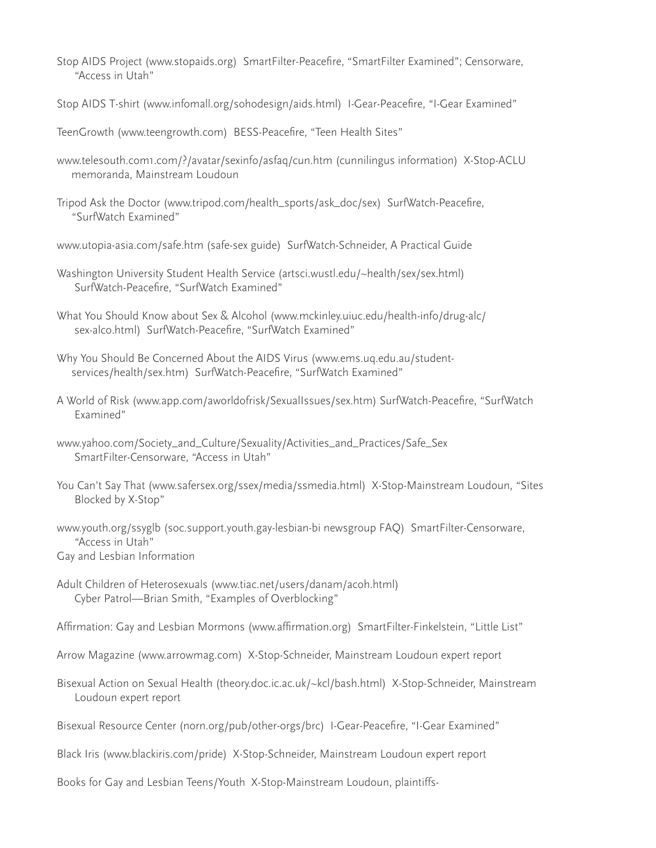- Stop AIDS Project (www.stopaids.org) SmartFilter-Peacefire, "SmartFilter Examined"; Censorware, "Access in Utah"
- Stop AIDS T-shirt (www.infomall.org/sohodesign/aids.html) I-Gear-Peacefire, "I-Gear Examined"
- TeenGrowth (www.teengrowth.com) BESS-Peacefire, "Teen Health Sites"
- www.telesouth.com1.com/?/avatar/sexinfo/asfaq/cun.htm (cunnilingus information) X-Stop-ACLU memoranda, Mainstream Loudoun
- Tripod Ask the Doctor (www.tripod.com/health\_sports/ask\_doc/sex) SurfWatch-Peacefire, "SurfWatch Examined"
- www.utopia-asia.com/safe.htm (safe-sex guide) SurfWatch-Schneider, A Practical Guide
- Washington University Student Health Service (artsci.wustl.edu/~health/sex/sex.html) SurfWatch-Peacefire, "SurfWatch Examined"
- What You Should Know about Sex & Alcohol (www.mckinley.uiuc.edu/health-info/drug-alc/ sex-alco.html) SurfWatch-Peacefire, "SurfWatch Examined"
- Why You Should Be Concerned About the AIDS Virus (www.ems.uq.edu.au/student services/health/sex.htm) SurfWatch-Peacefire, "SurfWatch Examined"
- A World of Risk (www.app.com/aworldofrisk/SexualIssues/sex.htm) SurfWatch-Peacefire, "SurfWatch Examined"
- www.yahoo.com/Society\_and\_Culture/Sexuality/Activities\_and\_Practices/Safe\_Sex SmartFilter-Censorware, "Access in Utah"
- You Can't Say That (www.safersex.org/ssex/media/ssmedia.html) X-Stop-Mainstream Loudoun, "Sites Blocked by X-Stop"
- www.youth.org/ssyglb (soc.support.youth.gay-lesbian-bi newsgroup FAQ) SmartFilter-Censorware, "Access in Utah" Gay and Lesbian Information
- Adult Children of Heterosexuals (www.tiac.net/users/danam/acoh.html) Cyber Patrol—Brian Smith, "Examples of Overblocking"
- Affirmation: Gay and Lesbian Mormons (www.affirmation.org) SmartFilter-Finkelstein, "Little List"
- Arrow Magazine (www.arrowmag.com) X-Stop-Schneider, Mainstream Loudoun expert report
- Bisexual Action on Sexual Health (theory.doc.ic.ac.uk/~kcl/bash.html) X-Stop-Schneider, Mainstream Loudoun expert report
- Bisexual Resource Center (norn.org/pub/other-orgs/brc) I-Gear-Peacefire, "I-Gear Examined"
- Black Iris (www.blackiris.com/pride) X-Stop-Schneider, Mainstream Loudoun expert report
- Books for Gay and Lesbian Teens/Youth X-Stop-Mainstream Loudoun, plaintiffs-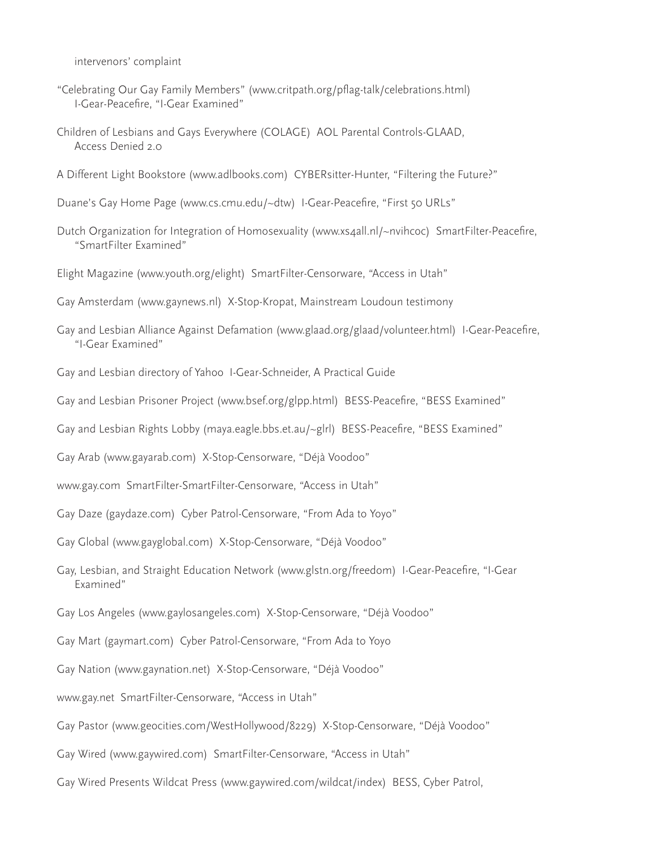intervenors' complaint

- "Celebrating Our Gay Family Members" (www.critpath.org/pflag-talk/celebrations.html) I-Gear-Peacefire, "I-Gear Examined"
- Children of Lesbians and Gays Everywhere (COLAGE) AOL Parental Controls-GLAAD, Access Denied 2.0
- A Different Light Bookstore (www.adlbooks.com) CYBERsitter-Hunter, "Filtering the Future?"
- Duane's Gay Home Page (www.cs.cmu.edu/~dtw) I-Gear-Peacefire, "First 50 URLs"
- Dutch Organization for Integration of Homosexuality (www.xs4all.nl/~nvihcoc) SmartFilter-Peacefire, "SmartFilter Examined"
- Elight Magazine (www.youth.org/elight) SmartFilter-Censorware, "Access in Utah"
- Gay Amsterdam (www.gaynews.nl) X-Stop-Kropat, Mainstream Loudoun testimony
- Gay and Lesbian Alliance Against Defamation (www.glaad.org/glaad/volunteer.html) I-Gear-Peacefire, "I-Gear Examined"
- Gay and Lesbian directory of Yahoo I-Gear-Schneider, A Practical Guide
- Gay and Lesbian Prisoner Project (www.bsef.org/glpp.html) BESS-Peacefire, "BESS Examined"
- Gay and Lesbian Rights Lobby (maya.eagle.bbs.et.au/~glrl) BESS-Peacefire, "BESS Examined"
- Gay Arab (www.gayarab.com) X-Stop-Censorware, "Déjà Voodoo"
- www.gay.com SmartFilter-SmartFilter-Censorware, "Access in Utah"
- Gay Daze (gaydaze.com) Cyber Patrol-Censorware, "From Ada to Yoyo"
- Gay Global (www.gayglobal.com) X-Stop-Censorware, "Déjà Voodoo"
- Gay, Lesbian, and Straight Education Network (www.glstn.org/freedom) I-Gear-Peacefire, "I-Gear Examined"
- Gay Los Angeles (www.gaylosangeles.com) X-Stop-Censorware, "Déjà Voodoo"
- Gay Mart (gaymart.com) Cyber Patrol-Censorware, "From Ada to Yoyo
- Gay Nation (www.gaynation.net) X-Stop-Censorware, "Déjà Voodoo"
- www.gay.net SmartFilter-Censorware, "Access in Utah"
- Gay Pastor (www.geocities.com/WestHollywood/8229) X-Stop-Censorware, "Déjà Voodoo"
- Gay Wired (www.gaywired.com) SmartFilter-Censorware, "Access in Utah"
- Gay Wired Presents Wildcat Press (www.gaywired.com/wildcat/index) BESS, Cyber Patrol,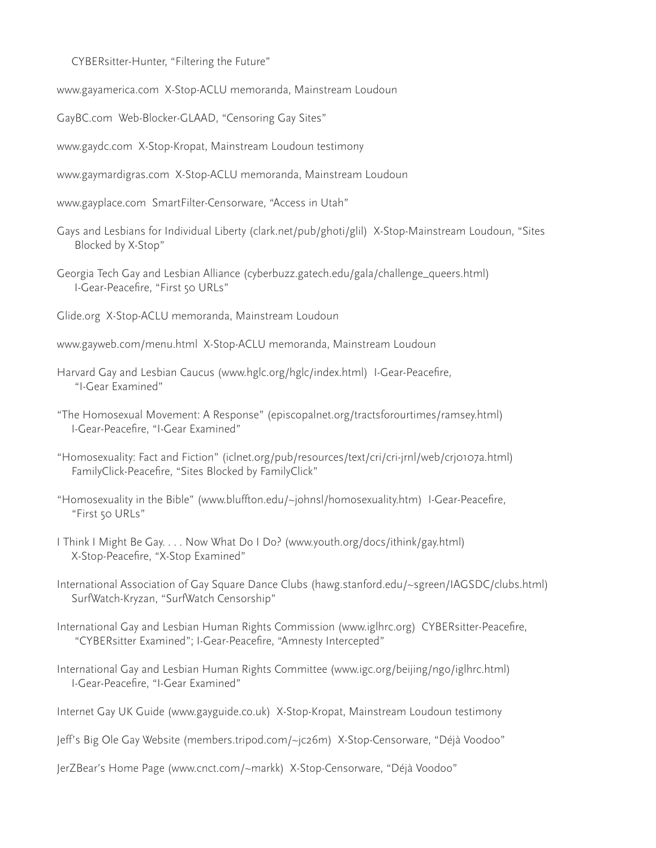CYBERsitter-Hunter, "Filtering the Future"

www.gayamerica.com X-Stop-ACLU memoranda, Mainstream Loudoun

GayBC.com Web-Blocker-GLAAD, "Censoring Gay Sites"

www.gaydc.com X-Stop-Kropat, Mainstream Loudoun testimony

www.gaymardigras.com X-Stop-ACLU memoranda, Mainstream Loudoun

www.gayplace.com SmartFilter-Censorware, "Access in Utah"

Gays and Lesbians for Individual Liberty (clark.net/pub/ghoti/glil) X-Stop-Mainstream Loudoun, "Sites Blocked by X-Stop"

Georgia Tech Gay and Lesbian Alliance (cyberbuzz.gatech.edu/gala/challenge\_queers.html) I-Gear-Peacefire, "First 50 URLs"

Glide.org X-Stop-ACLU memoranda, Mainstream Loudoun

www.gayweb.com/menu.html X-Stop-ACLU memoranda, Mainstream Loudoun

Harvard Gay and Lesbian Caucus (www.hglc.org/hglc/index.html) I-Gear-Peacefire, "I-Gear Examined"

"The Homosexual Movement: A Response" (episcopalnet.org/tractsforourtimes/ramsey.html) I-Gear-Peacefire, "I-Gear Examined"

"Homosexuality: Fact and Fiction" (iclnet.org/pub/resources/text/cri/cri-jrnl/web/crj0107a.html) FamilyClick-Peacefire, "Sites Blocked by FamilyClick"

"Homosexuality in the Bible" (www.bluffton.edu/~johnsl/homosexuality.htm) I-Gear-Peacefire, "First 50 URLs"

I Think I Might Be Gay. . . . Now What Do I Do? (www.youth.org/docs/ithink/gay.html) X-Stop-Peacefire, "X-Stop Examined"

International Association of Gay Square Dance Clubs (hawg.stanford.edu/~sgreen/IAGSDC/clubs.html) SurfWatch-Kryzan, "SurfWatch Censorship"

International Gay and Lesbian Human Rights Commission (www.iglhrc.org) CYBERsitter-Peacefire, "CYBERsitter Examined"; I-Gear-Peacefire, "Amnesty Intercepted"

International Gay and Lesbian Human Rights Committee (www.igc.org/beijing/ngo/iglhrc.html) I-Gear-Peacefire, "I-Gear Examined"

Internet Gay UK Guide (www.gayguide.co.uk) X-Stop-Kropat, Mainstream Loudoun testimony

Jeff's Big Ole Gay Website (members.tripod.com/~jc26m) X-Stop-Censorware, "Déjà Voodoo"

JerZBear's Home Page (www.cnct.com/~markk) X-Stop-Censorware, "Déjà Voodoo"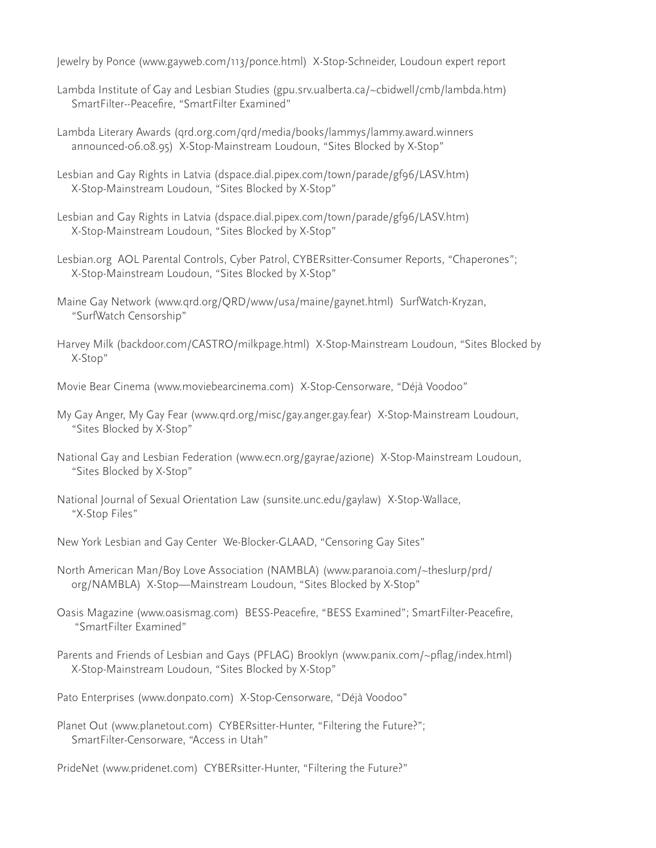Jewelry by Ponce (www.gayweb.com/113/ponce.html) X-Stop-Schneider, Loudoun expert report

- Lambda Institute of Gay and Lesbian Studies (gpu.srv.ualberta.ca/~cbidwell/cmb/lambda.htm) SmartFilter--Peacefire, "SmartFilter Examined"
- Lambda Literary Awards (qrd.org.com/qrd/media/books/lammys/lammy.award.winners announced-06.08.95) X-Stop-Mainstream Loudoun, "Sites Blocked by X-Stop"
- Lesbian and Gay Rights in Latvia (dspace.dial.pipex.com/town/parade/gf96/LASV.htm) X-Stop-Mainstream Loudoun, "Sites Blocked by X-Stop"
- Lesbian and Gay Rights in Latvia (dspace.dial.pipex.com/town/parade/gf96/LASV.htm) X-Stop-Mainstream Loudoun, "Sites Blocked by X-Stop"
- Lesbian.org AOL Parental Controls, Cyber Patrol, CYBERsitter-Consumer Reports, "Chaperones"; X-Stop-Mainstream Loudoun, "Sites Blocked by X-Stop"
- Maine Gay Network (www.qrd.org/QRD/www/usa/maine/gaynet.html) SurfWatch-Kryzan, "SurfWatch Censorship"
- Harvey Milk (backdoor.com/CASTRO/milkpage.html) X-Stop-Mainstream Loudoun, "Sites Blocked by X-Stop"
- Movie Bear Cinema (www.moviebearcinema.com) X-Stop-Censorware, "Déjà Voodoo"
- My Gay Anger, My Gay Fear (www.qrd.org/misc/gay.anger.gay.fear) X-Stop-Mainstream Loudoun, "Sites Blocked by X-Stop"
- National Gay and Lesbian Federation (www.ecn.org/gayrae/azione) X-Stop-Mainstream Loudoun, "Sites Blocked by X-Stop"
- National Journal of Sexual Orientation Law (sunsite.unc.edu/gaylaw) X-Stop-Wallace, "X-Stop Files"
- New York Lesbian and Gay Center We-Blocker-GLAAD, "Censoring Gay Sites"
- North American Man/Boy Love Association (NAMBLA) (www.paranoia.com/~theslurp/prd/ org/NAMBLA) X-Stop—Mainstream Loudoun, "Sites Blocked by X-Stop"
- Oasis Magazine (www.oasismag.com) BESS-Peacefire, "BESS Examined"; SmartFilter-Peacefire, "SmartFilter Examined"
- Parents and Friends of Lesbian and Gays (PFLAG) Brooklyn (www.panix.com/~pflag/index.html) X-Stop-Mainstream Loudoun, "Sites Blocked by X-Stop"
- Pato Enterprises (www.donpato.com) X-Stop-Censorware, "Déjà Voodoo"
- Planet Out (www.planetout.com) CYBERsitter-Hunter, "Filtering the Future?"; SmartFilter-Censorware, "Access in Utah"
- PrideNet (www.pridenet.com) CYBERsitter-Hunter, "Filtering the Future?"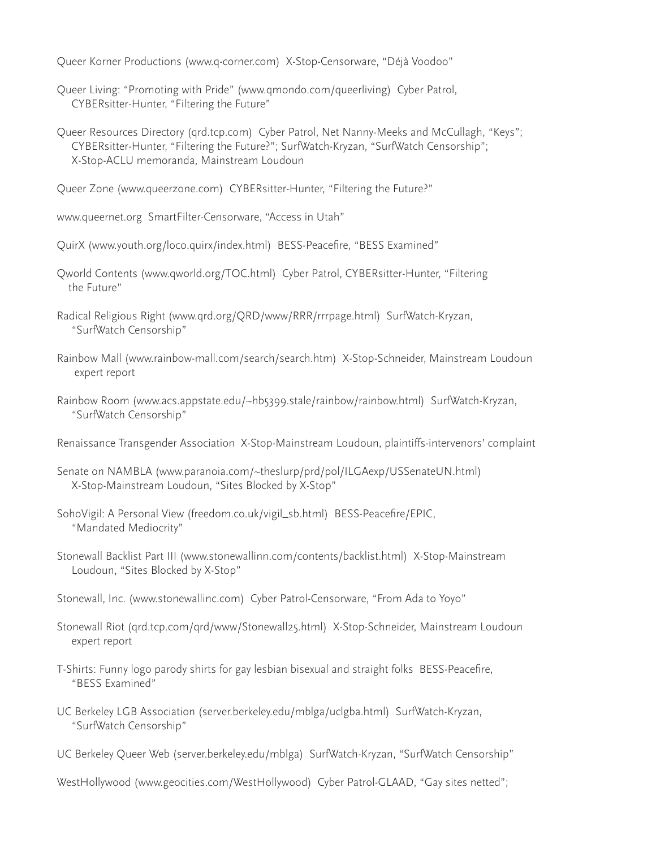Queer Korner Productions (www.q-corner.com) X-Stop-Censorware, "Déjà Voodoo"

- Queer Living: "Promoting with Pride" (www.qmondo.com/queerliving) Cyber Patrol, CYBERsitter-Hunter, "Filtering the Future"
- Queer Resources Directory (qrd.tcp.com) Cyber Patrol, Net Nanny-Meeks and McCullagh, "Keys"; CYBERsitter-Hunter, "Filtering the Future?"; SurfWatch-Kryzan, "SurfWatch Censorship"; X-Stop-ACLU memoranda, Mainstream Loudoun

Queer Zone (www.queerzone.com) CYBERsitter-Hunter, "Filtering the Future?"

www.queernet.org SmartFilter-Censorware, "Access in Utah"

QuirX (www.youth.org/loco.quirx/index.html) BESS-Peacefire, "BESS Examined"

- Qworld Contents (www.qworld.org/TOC.html) Cyber Patrol, CYBERsitter-Hunter, "Filtering the Future"
- Radical Religious Right (www.qrd.org/QRD/www/RRR/rrrpage.html) SurfWatch-Kryzan, "SurfWatch Censorship"
- Rainbow Mall (www.rainbow-mall.com/search/search.htm) X-Stop-Schneider, Mainstream Loudoun expert report
- Rainbow Room (www.acs.appstate.edu/~hb5399.stale/rainbow/rainbow.html) SurfWatch-Kryzan, "SurfWatch Censorship"
- Renaissance Transgender Association X-Stop-Mainstream Loudoun, plaintiffs-intervenors' complaint
- Senate on NAMBLA (www.paranoia.com/~theslurp/prd/pol/ILGAexp/USSenateUN.html) X-Stop-Mainstream Loudoun, "Sites Blocked by X-Stop"
- SohoVigil: A Personal View (freedom.co.uk/vigil\_sb.html) BESS-Peacefire/EPIC, "Mandated Mediocrity"
- Stonewall Backlist Part III (www.stonewallinn.com/contents/backlist.html) X-Stop-Mainstream Loudoun, "Sites Blocked by X-Stop"

Stonewall, Inc. (www.stonewallinc.com) Cyber Patrol-Censorware, "From Ada to Yoyo"

- Stonewall Riot (qrd.tcp.com/qrd/www/Stonewall25.html) X-Stop-Schneider, Mainstream Loudoun expert report
- T-Shirts: Funny logo parody shirts for gay lesbian bisexual and straight folks BESS-Peacefire, "BESS Examined"
- UC Berkeley LGB Association (server.berkeley.edu/mblga/uclgba.html) SurfWatch-Kryzan, "SurfWatch Censorship"
- UC Berkeley Queer Web (server.berkeley.edu/mblga) SurfWatch-Kryzan, "SurfWatch Censorship"
- WestHollywood (www.geocities.com/WestHollywood) Cyber Patrol-GLAAD, "Gay sites netted";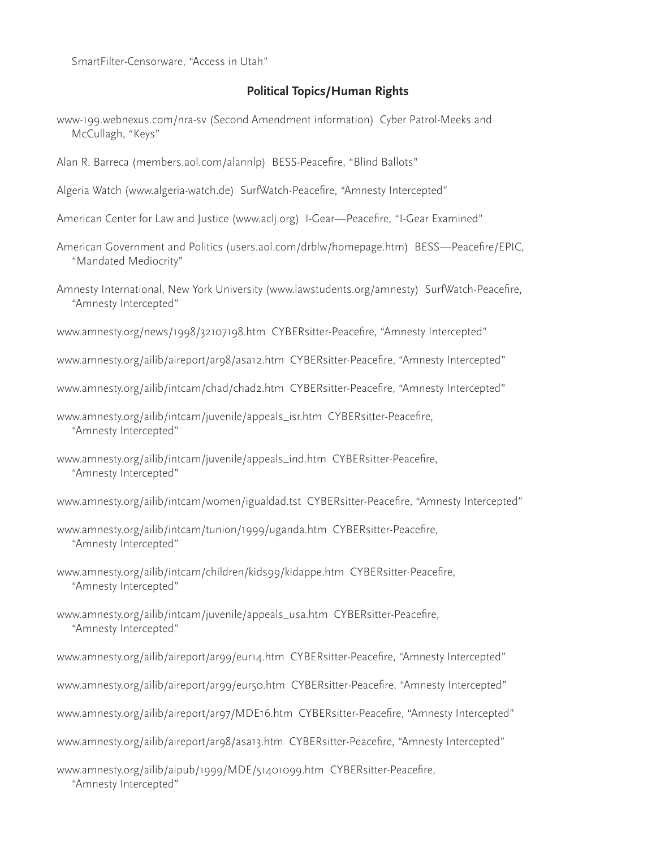SmartFilter-Censorware, "Access in Utah"

#### **Political Topics/Human Rights**

- www-199.webnexus.com/nra-sv (Second Amendment information) Cyber Patrol-Meeks and McCullagh, "Keys"
- Alan R. Barreca (members.aol.com/alannlp) BESS-Peacefire, "Blind Ballots"
- Algeria Watch (www.algeria-watch.de) SurfWatch-Peacefire, "Amnesty Intercepted"
- American Center for Law and Justice (www.aclj.org) I-Gear—Peacefire, "I-Gear Examined"
- American Government and Politics (users.aol.com/drblw/homepage.htm) BESS—Peacefire/EPIC, "Mandated Mediocrity"
- Amnesty International, New York University (www.lawstudents.org/amnesty) SurfWatch-Peacefire, "Amnesty Intercepted"

www.amnesty.org/news/1998/32107198.htm CYBERsitter-Peacefire, "Amnesty Intercepted"

- www.amnesty.org/ailib/aireport/ar98/asa12.htm CYBERsitter-Peacefire, "Amnesty Intercepted"
- www.amnesty.org/ailib/intcam/chad/chad2.htm CYBERsitter-Peacefire, "Amnesty Intercepted"
- www.amnesty.org/ailib/intcam/juvenile/appeals\_isr.htm CYBERsitter-Peacefire, "Amnesty Intercepted"
- www.amnesty.org/ailib/intcam/juvenile/appeals\_ind.htm CYBERsitter-Peacefire, "Amnesty Intercepted"
- www.amnesty.org/ailib/intcam/women/igualdad.tst CYBERsitter-Peacefire, "Amnesty Intercepted"
- www.amnesty.org/ailib/intcam/tunion/1999/uganda.htm CYBERsitter-Peacefire, "Amnesty Intercepted"
- www.amnesty.org/ailib/intcam/children/kids99/kidappe.htm CYBERsitter-Peacefire, "Amnesty Intercepted"
- www.amnesty.org/ailib/intcam/juvenile/appeals\_usa.htm CYBERsitter-Peacefire, "Amnesty Intercepted"
- www.amnesty.org/ailib/aireport/ar99/eur14.htm CYBERsitter-Peacefire, "Amnesty Intercepted"
- www.amnesty.org/ailib/aireport/ar99/eur50.htm CYBERsitter-Peacefire, "Amnesty Intercepted"
- www.amnesty.org/ailib/aireport/ar97/MDE16.htm CYBERsitter-Peacefire, "Amnesty Intercepted"
- www.amnesty.org/ailib/aireport/ar98/asa13.htm CYBERsitter-Peacefire, "Amnesty Intercepted"

www.amnesty.org/ailib/aipub/1999/MDE/51401099.htm CYBERsitter-Peacefire, "Amnesty Intercepted"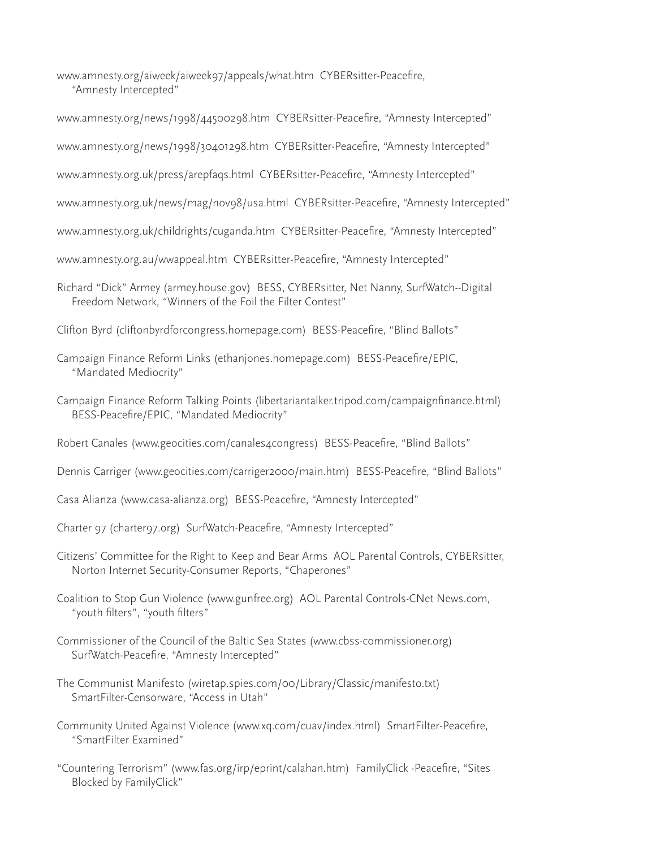www.amnesty.org/aiweek/aiweek97/appeals/what.htm CYBERsitter-Peacefire, "Amnesty Intercepted"

www.amnesty.org/news/1998/44500298.htm CYBERsitter-Peacefire, "Amnesty Intercepted"

www.amnesty.org/news/1998/30401298.htm CYBERsitter-Peacefire, "Amnesty Intercepted"

www.amnesty.org.uk/press/arepfaqs.html CYBERsitter-Peacefire, "Amnesty Intercepted"

www.amnesty.org.uk/news/mag/nov98/usa.html CYBERsitter-Peacefire, "Amnesty Intercepted"

www.amnesty.org.uk/childrights/cuganda.htm CYBERsitter-Peacefire, "Amnesty Intercepted"

www.amnesty.org.au/wwappeal.htm CYBERsitter-Peacefire, "Amnesty Intercepted"

- Richard "Dick" Armey (armey.house.gov) BESS, CYBERsitter, Net Nanny, SurfWatch--Digital Freedom Network, "Winners of the Foil the Filter Contest"
- Clifton Byrd (cliftonbyrdforcongress.homepage.com) BESS-Peacefire, "Blind Ballots"
- Campaign Finance Reform Links (ethanjones.homepage.com) BESS-Peacefire/EPIC, "Mandated Mediocrity"
- Campaign Finance Reform Talking Points (libertariantalker.tripod.com/campaignfinance.html) BESS-Peacefire/EPIC, "Mandated Mediocrity"
- Robert Canales (www.geocities.com/canales4congress) BESS-Peacefire, "Blind Ballots"
- Dennis Carriger (www.geocities.com/carriger2000/main.htm) BESS-Peacefire, "Blind Ballots"
- Casa Alianza (www.casa-alianza.org) BESS-Peacefire, "Amnesty Intercepted"
- Charter 97 (charter97.org) SurfWatch-Peacefire, "Amnesty Intercepted"
- Citizens' Committee for the Right to Keep and Bear Arms AOL Parental Controls, CYBERsitter, Norton Internet Security-Consumer Reports, "Chaperones"
- Coalition to Stop Gun Violence (www.gunfree.org) AOL Parental Controls-CNet News.com, "youth filters", "youth filters"
- Commissioner of the Council of the Baltic Sea States (www.cbss-commissioner.org) SurfWatch-Peacefire, "Amnesty Intercepted"
- The Communist Manifesto (wiretap.spies.com/00/Library/Classic/manifesto.txt) SmartFilter-Censorware, "Access in Utah"
- Community United Against Violence (www.xq.com/cuav/index.html) SmartFilter-Peacefire, "SmartFilter Examined"
- "Countering Terrorism" (www.fas.org/irp/eprint/calahan.htm) FamilyClick -Peacefire, "Sites Blocked by FamilyClick"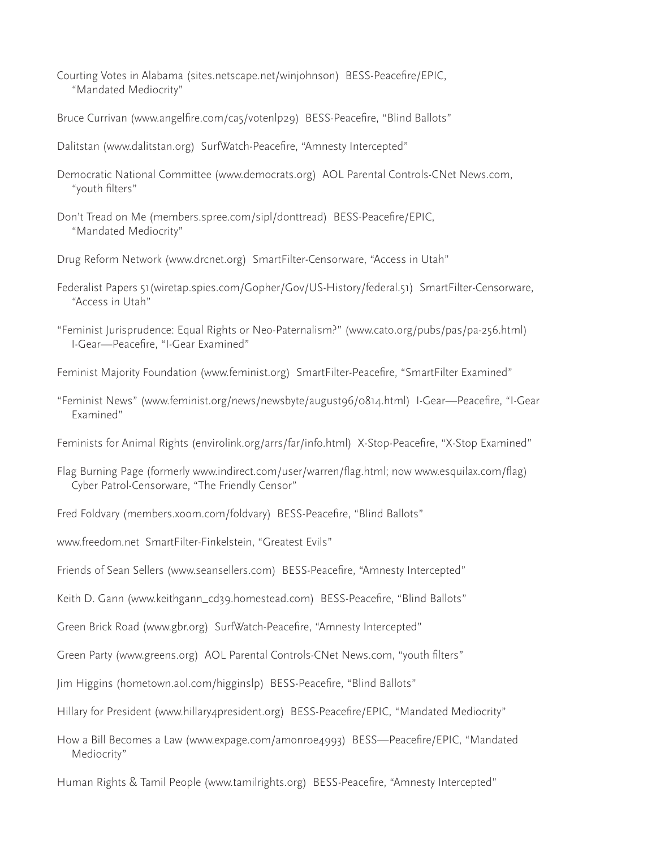- Courting Votes in Alabama (sites.netscape.net/winjohnson) BESS-Peacefire/EPIC, "Mandated Mediocrity"
- Bruce Currivan (www.angelfire.com/ca5/votenlp29) BESS-Peacefire, "Blind Ballots"
- Dalitstan (www.dalitstan.org) SurfWatch-Peacefire, "Amnesty Intercepted"
- Democratic National Committee (www.democrats.org) AOL Parental Controls-CNet News.com, "youth filters"
- Don't Tread on Me (members.spree.com/sipl/donttread) BESS-Peacefire/EPIC, "Mandated Mediocrity"
- Drug Reform Network (www.drcnet.org) SmartFilter-Censorware, "Access in Utah"
- Federalist Papers 51(wiretap.spies.com/Gopher/Gov/US-History/federal.51) SmartFilter-Censorware, "Access in Utah"
- "Feminist Jurisprudence: Equal Rights or Neo-Paternalism?" (www.cato.org/pubs/pas/pa-256.html) I-Gear—Peacefire, "I-Gear Examined"
- Feminist Majority Foundation (www.feminist.org) SmartFilter-Peacefire, "SmartFilter Examined"
- "Feminist News" (www.feminist.org/news/newsbyte/august96/0814.html) I-Gear—Peacefire, "I-Gear Examined"
- Feminists for Animal Rights (envirolink.org/arrs/far/info.html) X-Stop-Peacefire, "X-Stop Examined"
- Flag Burning Page (formerly www.indirect.com/user/warren/flag.html; now www.esquilax.com/flag) Cyber Patrol-Censorware, "The Friendly Censor"
- Fred Foldvary (members.xoom.com/foldvary) BESS-Peacefire, "Blind Ballots"
- www.freedom.net SmartFilter-Finkelstein, "Greatest Evils"
- Friends of Sean Sellers (www.seansellers.com) BESS-Peacefire, "Amnesty Intercepted"
- Keith D. Gann (www.keithgann\_cd39.homestead.com) BESS-Peacefire, "Blind Ballots"
- Green Brick Road (www.gbr.org) SurfWatch-Peacefire, "Amnesty Intercepted"
- Green Party (www.greens.org) AOL Parental Controls-CNet News.com, "youth filters"
- Jim Higgins (hometown.aol.com/higginslp) BESS-Peacefire, "Blind Ballots"
- Hillary for President (www.hillary4president.org) BESS-Peacefire/EPIC, "Mandated Mediocrity"
- How a Bill Becomes a Law (www.expage.com/amonroe4993) BESS—Peacefire/EPIC, "Mandated Mediocrity"
- Human Rights & Tamil People (www.tamilrights.org) BESS-Peacefire, "Amnesty Intercepted"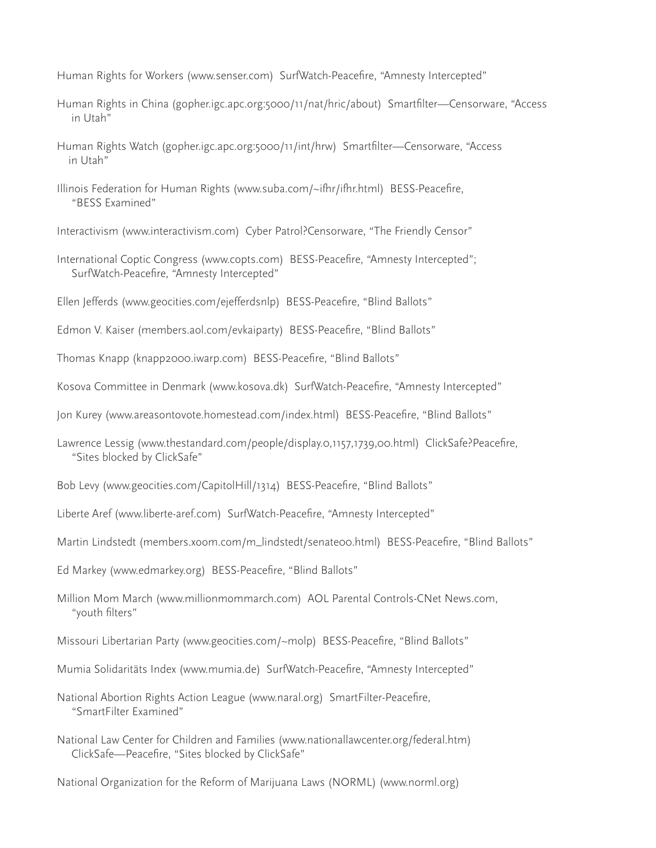Human Rights for Workers (www.senser.com) SurfWatch-Peacefire, "Amnesty Intercepted"

- Human Rights in China (gopher.igc.apc.org:5000/11/nat/hric/about) Smartfilter—Censorware, "Access in Utah"
- Human Rights Watch (gopher.igc.apc.org:5000/11/int/hrw) Smartfilter—Censorware, "Access in Utah"
- Illinois Federation for Human Rights (www.suba.com/~ifhr/ifhr.html) BESS-Peacefire, "BESS Examined"
- Interactivism (www.interactivism.com) Cyber Patrol?Censorware, "The Friendly Censor"
- International Coptic Congress (www.copts.com) BESS-Peacefire, "Amnesty Intercepted"; SurfWatch-Peacefire, "Amnesty Intercepted"
- Ellen Jefferds (www.geocities.com/ejefferdsnlp) BESS-Peacefire, "Blind Ballots"
- Edmon V. Kaiser (members.aol.com/evkaiparty) BESS-Peacefire, "Blind Ballots"
- Thomas Knapp (knapp2000.iwarp.com) BESS-Peacefire, "Blind Ballots"
- Kosova Committee in Denmark (www.kosova.dk) SurfWatch-Peacefire, "Amnesty Intercepted"
- Jon Kurey (www.areasontovote.homestead.com/index.html) BESS-Peacefire, "Blind Ballots"
- Lawrence Lessig (www.thestandard.com/people/display.o,1157,1739,00.html) ClickSafe?Peacefire, "Sites blocked by ClickSafe"
- Bob Levy (www.geocities.com/CapitolHill/1314) BESS-Peacefire, "Blind Ballots"
- Liberte Aref (www.liberte-aref.com) SurfWatch-Peacefire, "Amnesty Intercepted"
- Martin Lindstedt (members.xoom.com/m\_lindstedt/senate00.html) BESS-Peacefire, "Blind Ballots"
- Ed Markey (www.edmarkey.org) BESS-Peacefire, "Blind Ballots"
- Million Mom March (www.millionmommarch.com) AOL Parental Controls-CNet News.com, "youth filters"
- Missouri Libertarian Party (www.geocities.com/~molp) BESS-Peacefire, "Blind Ballots"
- Mumia Solidaritäts Index (www.mumia.de) SurfWatch-Peacefire, "Amnesty Intercepted"
- National Abortion Rights Action League (www.naral.org) SmartFilter-Peacefire, "SmartFilter Examined"
- National Law Center for Children and Families (www.nationallawcenter.org/federal.htm) ClickSafe—Peacefire, "Sites blocked by ClickSafe"
- National Organization for the Reform of Marijuana Laws (NORML) (www.norml.org)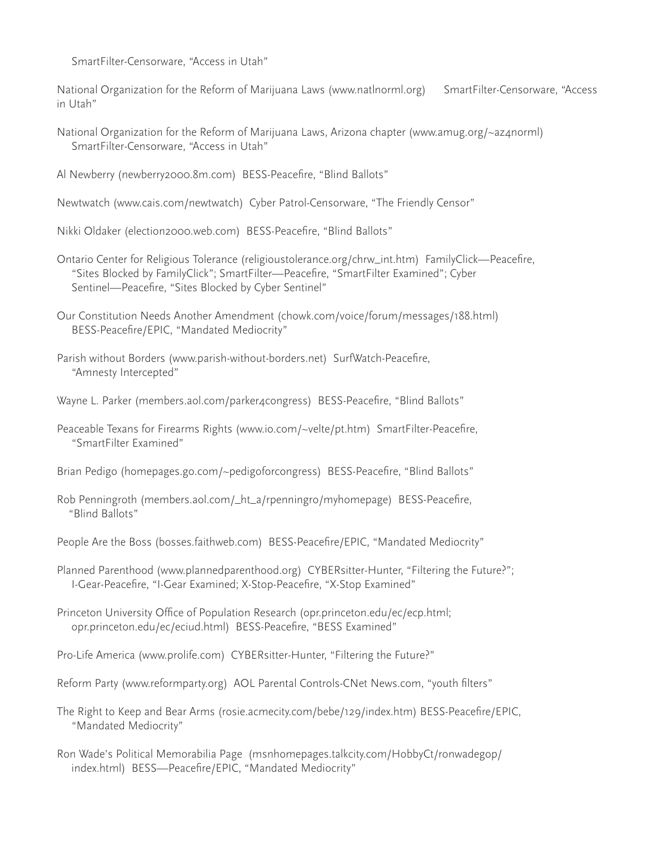SmartFilter-Censorware, "Access in Utah"

National Organization for the Reform of Marijuana Laws (www.natlnorml.org) SmartFilter-Censorware, "Access in Utah"

- National Organization for the Reform of Marijuana Laws, Arizona chapter (www.amug.org/~az4norml) SmartFilter-Censorware, "Access in Utah"
- Al Newberry (newberry2000.8m.com) BESS-Peacefire, "Blind Ballots"
- Newtwatch (www.cais.com/newtwatch) Cyber Patrol-Censorware, "The Friendly Censor"

Nikki Oldaker (election2000.web.com) BESS-Peacefire, "Blind Ballots"

- Ontario Center for Religious Tolerance (religioustolerance.org/chrw\_int.htm) FamilyClick—Peacefire, "Sites Blocked by FamilyClick"; SmartFilter—Peacefire, "SmartFilter Examined"; Cyber Sentinel—Peacefire, "Sites Blocked by Cyber Sentinel"
- Our Constitution Needs Another Amendment (chowk.com/voice/forum/messages/188.html) BESS-Peacefire/EPIC, "Mandated Mediocrity"
- Parish without Borders (www.parish-without-borders.net) SurfWatch-Peacefire, "Amnesty Intercepted"
- Wayne L. Parker (members.aol.com/parker4congress) BESS-Peacefire, "Blind Ballots"
- Peaceable Texans for Firearms Rights (www.io.com/~velte/pt.htm) SmartFilter-Peacefire, "SmartFilter Examined"
- Brian Pedigo (homepages.go.com/~pedigoforcongress) BESS-Peacefire, "Blind Ballots"
- Rob Penningroth (members.aol.com/\_ht\_a/rpenningro/myhomepage) BESS-Peacefire, "Blind Ballots"
- People Are the Boss (bosses.faithweb.com) BESS-Peacefire/EPIC, "Mandated Mediocrity"
- Planned Parenthood (www.plannedparenthood.org) CYBERsitter-Hunter, "Filtering the Future?"; I-Gear-Peacefire, "I-Gear Examined; X-Stop-Peacefire, "X-Stop Examined"
- Princeton University Office of Population Research (opr.princeton.edu/ec/ecp.html; opr.princeton.edu/ec/eciud.html) BESS-Peacefire, "BESS Examined"
- Pro-Life America (www.prolife.com) CYBERsitter-Hunter, "Filtering the Future?"
- Reform Party (www.reformparty.org) AOL Parental Controls-CNet News.com, "youth filters"
- The Right to Keep and Bear Arms (rosie.acmecity.com/bebe/129/index.htm) BESS-Peacefire/EPIC, "Mandated Mediocrity"
- Ron Wade's Political Memorabilia Page (msnhomepages.talkcity.com/HobbyCt/ronwadegop/ index.html) BESS—Peacefire/EPIC, "Mandated Mediocrity"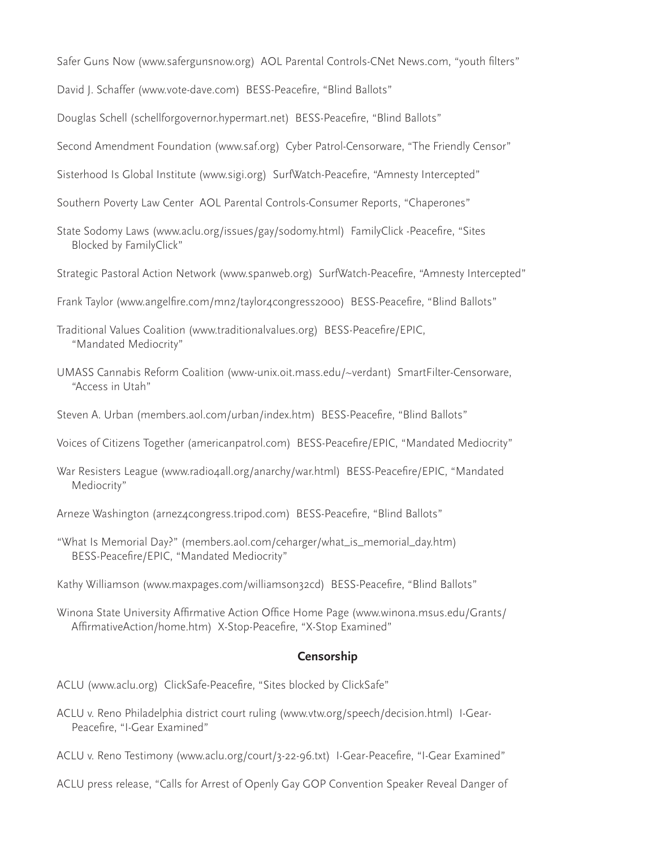- Safer Guns Now (www.safergunsnow.org) AOL Parental Controls-CNet News.com, "youth filters"
- David J. Schaffer (www.vote-dave.com) BESS-Peacefire, "Blind Ballots"
- Douglas Schell (schellforgovernor.hypermart.net) BESS-Peacefire, "Blind Ballots"
- Second Amendment Foundation (www.saf.org) Cyber Patrol-Censorware, "The Friendly Censor"
- Sisterhood Is Global Institute (www.sigi.org) SurfWatch-Peacefire, "Amnesty Intercepted"
- Southern Poverty Law Center AOL Parental Controls-Consumer Reports, "Chaperones"
- State Sodomy Laws (www.aclu.org/issues/gay/sodomy.html) FamilyClick -Peacefire, "Sites Blocked by FamilyClick"
- Strategic Pastoral Action Network (www.spanweb.org) SurfWatch-Peacefire, "Amnesty Intercepted"
- Frank Taylor (www.angelfire.com/mn2/taylor4congress2000) BESS-Peacefire, "Blind Ballots"
- Traditional Values Coalition (www.traditionalvalues.org) BESS-Peacefire/EPIC, "Mandated Mediocrity"
- UMASS Cannabis Reform Coalition (www-unix.oit.mass.edu/~verdant) SmartFilter-Censorware, "Access in Utah"
- Steven A. Urban (members.aol.com/urban/index.htm) BESS-Peacefire, "Blind Ballots"
- Voices of Citizens Together (americanpatrol.com) BESS-Peacefire/EPIC, "Mandated Mediocrity"
- War Resisters League (www.radio4all.org/anarchy/war.html) BESS-Peacefire/EPIC, "Mandated Mediocrity"
- Arneze Washington (arnez4congress.tripod.com) BESS-Peacefire, "Blind Ballots"
- "What Is Memorial Day?" (members.aol.com/ceharger/what\_is\_memorial\_day.htm) BESS-Peacefire/EPIC, "Mandated Mediocrity"
- Kathy Williamson (www.maxpages.com/williamson32cd) BESS-Peacefire, "Blind Ballots"
- Winona State University Affirmative Action Office Home Page (www.winona.msus.edu/Grants/ AffirmativeAction/home.htm) X-Stop-Peacefire, "X-Stop Examined"

#### **Censorship**

- ACLU (www.aclu.org) ClickSafe-Peacefire, "Sites blocked by ClickSafe"
- ACLU v. Reno Philadelphia district court ruling (www.vtw.org/speech/decision.html) I-Gear- Peacefire, "I-Gear Examined"
- ACLU v. Reno Testimony (www.aclu.org/court/3-22-96.txt) I-Gear-Peacefire, "I-Gear Examined"
- ACLU press release, "Calls for Arrest of Openly Gay GOP Convention Speaker Reveal Danger of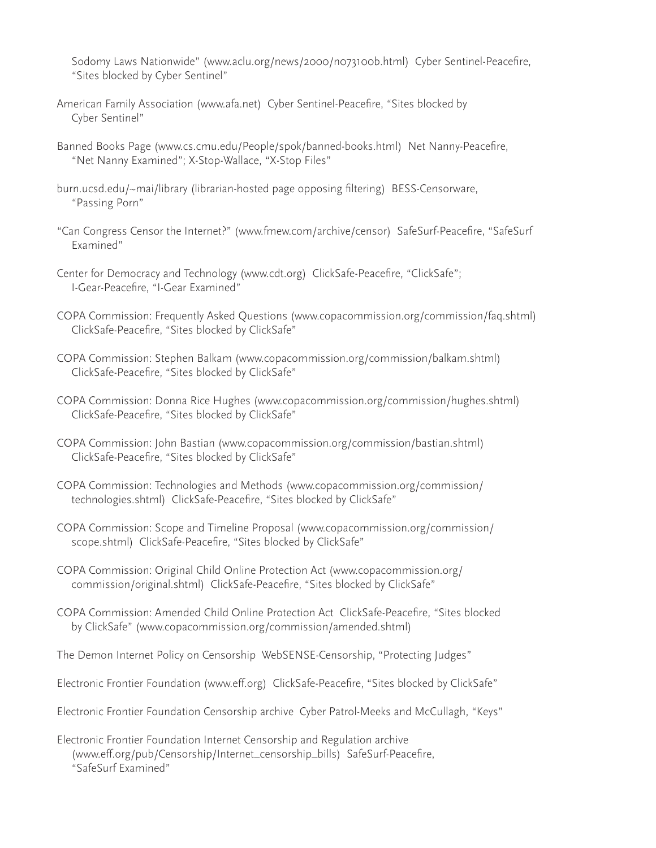Sodomy Laws Nationwide" (www.aclu.org/news/2000/n073100b.html) Cyber Sentinel-Peacefire, "Sites blocked by Cyber Sentinel"

- American Family Association (www.afa.net) Cyber Sentinel-Peacefire, "Sites blocked by Cyber Sentinel"
- Banned Books Page (www.cs.cmu.edu/People/spok/banned-books.html) Net Nanny-Peacefire, "Net Nanny Examined"; X-Stop-Wallace, "X-Stop Files"
- burn.ucsd.edu/~mai/library (librarian-hosted page opposing filtering) BESS-Censorware, "Passing Porn"
- "Can Congress Censor the Internet?" (www.fmew.com/archive/censor) SafeSurf-Peacefire, "SafeSurf Examined"
- Center for Democracy and Technology (www.cdt.org) ClickSafe-Peacefire, "ClickSafe"; I-Gear-Peacefire, "I-Gear Examined"
- COPA Commission: Frequently Asked Questions (www.copacommission.org/commission/faq.shtml) ClickSafe-Peacefire, "Sites blocked by ClickSafe"
- COPA Commission: Stephen Balkam (www.copacommission.org/commission/balkam.shtml) ClickSafe-Peacefire, "Sites blocked by ClickSafe"
- COPA Commission: Donna Rice Hughes (www.copacommission.org/commission/hughes.shtml) ClickSafe-Peacefire, "Sites blocked by ClickSafe"
- COPA Commission: John Bastian (www.copacommission.org/commission/bastian.shtml) ClickSafe-Peacefire, "Sites blocked by ClickSafe"
- COPA Commission: Technologies and Methods (www.copacommission.org/commission/ technologies.shtml) ClickSafe-Peacefire, "Sites blocked by ClickSafe"
- COPA Commission: Scope and Timeline Proposal (www.copacommission.org/commission/ scope.shtml) ClickSafe-Peacefire, "Sites blocked by ClickSafe"
- COPA Commission: Original Child Online Protection Act (www.copacommission.org/ commission/original.shtml) ClickSafe-Peacefire, "Sites blocked by ClickSafe"
- COPA Commission: Amended Child Online Protection Act ClickSafe-Peacefire, "Sites blocked by ClickSafe" (www.copacommission.org/commission/amended.shtml)
- The Demon Internet Policy on Censorship WebSENSE-Censorship, "Protecting Judges"
- Electronic Frontier Foundation (www.eff.org) ClickSafe-Peacefire, "Sites blocked by ClickSafe"
- Electronic Frontier Foundation Censorship archive Cyber Patrol-Meeks and McCullagh, "Keys"
- Electronic Frontier Foundation Internet Censorship and Regulation archive (www.eff.org/pub/Censorship/Internet\_censorship\_bills) SafeSurf-Peacefire, "SafeSurf Examined"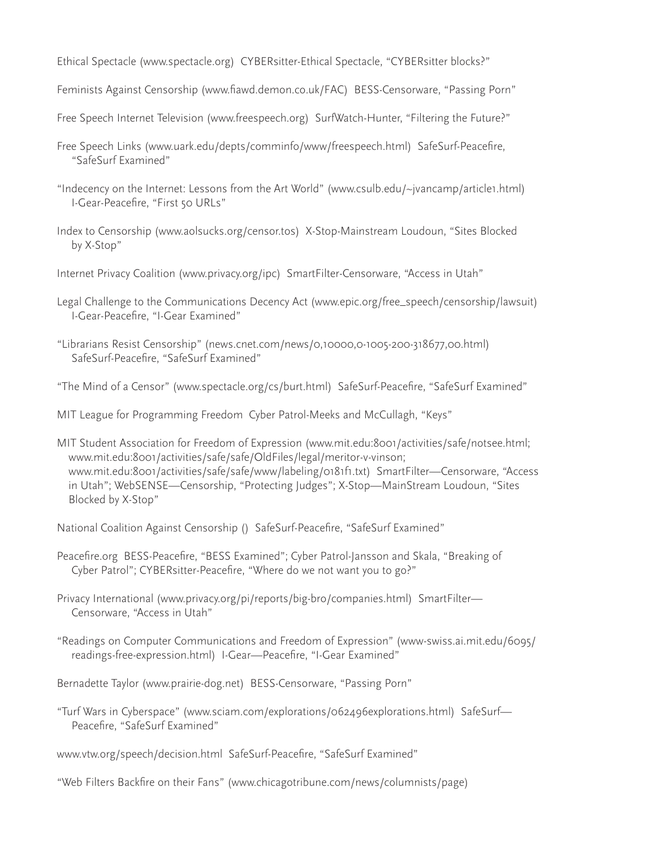Ethical Spectacle (www.spectacle.org) CYBERsitter-Ethical Spectacle, "CYBERsitter blocks?"

Feminists Against Censorship (www.fiawd.demon.co.uk/FAC) BESS-Censorware, "Passing Porn"

Free Speech Internet Television (www.freespeech.org) SurfWatch-Hunter, "Filtering the Future?"

- Free Speech Links (www.uark.edu/depts/comminfo/www/freespeech.html) SafeSurf-Peacefire, "SafeSurf Examined"
- "Indecency on the Internet: Lessons from the Art World" (www.csulb.edu/~jvancamp/article1.html) I-Gear-Peacefire, "First 50 URLs"
- Index to Censorship (www.aolsucks.org/censor.tos) X-Stop-Mainstream Loudoun, "Sites Blocked by X-Stop"
- Internet Privacy Coalition (www.privacy.org/ipc) SmartFilter-Censorware, "Access in Utah"
- Legal Challenge to the Communications Decency Act (www.epic.org/free\_speech/censorship/lawsuit) I-Gear-Peacefire, "I-Gear Examined"
- "Librarians Resist Censorship" (news.cnet.com/news/0,10000,0-1005-200-318677,00.html) SafeSurf-Peacefire, "SafeSurf Examined"

"The Mind of a Censor" (www.spectacle.org/cs/burt.html) SafeSurf-Peacefire, "SafeSurf Examined"

MIT League for Programming Freedom Cyber Patrol-Meeks and McCullagh, "Keys"

MIT Student Association for Freedom of Expression (www.mit.edu:8001/activities/safe/notsee.html; www.mit.edu:8001/activities/safe/safe/OldFiles/legal/meritor-v-vinson; www.mit.edu:8001/activities/safe/safe/www/labeling/0181f1.txt) SmartFilter—Censorware, "Access in Utah"; WebSENSE—Censorship, "Protecting Judges"; X-Stop—MainStream Loudoun, "Sites Blocked by X-Stop"

National Coalition Against Censorship () SafeSurf-Peacefire, "SafeSurf Examined"

Peacefire.org BESS-Peacefire, "BESS Examined"; Cyber Patrol-Jansson and Skala, "Breaking of Cyber Patrol"; CYBERsitter-Peacefire, "Where do we not want you to go?"

Privacy International (www.privacy.org/pi/reports/big-bro/companies.html) SmartFilter— Censorware, "Access in Utah"

"Readings on Computer Communications and Freedom of Expression" (www-swiss.ai.mit.edu/6095/ readings-free-expression.html) I-Gear—Peacefire, "I-Gear Examined"

Bernadette Taylor (www.prairie-dog.net) BESS-Censorware, "Passing Porn"

"Turf Wars in Cyberspace" (www.sciam.com/explorations/062496explorations.html) SafeSurf— Peacefire, "SafeSurf Examined"

www.vtw.org/speech/decision.html SafeSurf-Peacefire, "SafeSurf Examined"

"Web Filters Backfire on their Fans" (www.chicagotribune.com/news/columnists/page)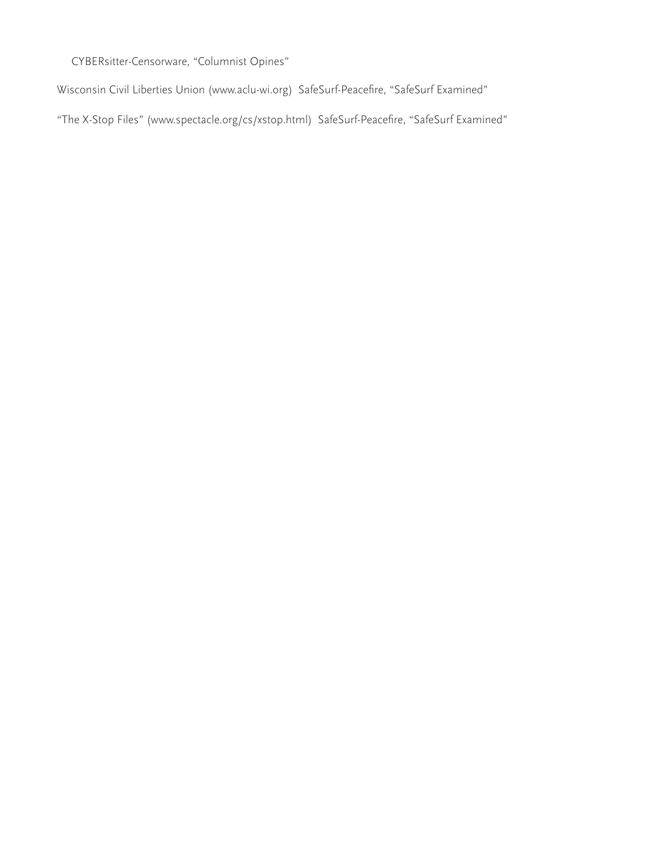CYBERsitter-Censorware, "Columnist Opines"

Wisconsin Civil Liberties Union (www.aclu-wi.org) SafeSurf-Peacefire, "SafeSurf Examined"

"The X-Stop Files" (www.spectacle.org/cs/xstop.html) SafeSurf-Peacefire, "SafeSurf Examined"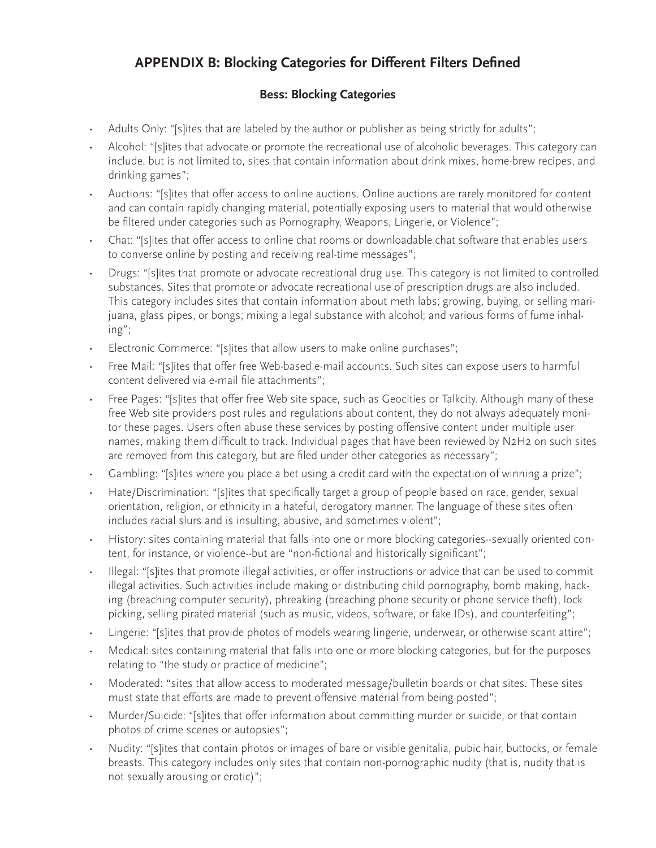# **APPENDIX B: Blocking Categories for Different Filters Defined**

## **Bess: Blocking Categories**

- Adults Only: "[s]ites that are labeled by the author or publisher as being strictly for adults";
- Alcohol: "[s]ites that advocate or promote the recreational use of alcoholic beverages. This category can include, but is not limited to, sites that contain information about drink mixes, home-brew recipes, and drinking games";
- Auctions: "[s]ites that offer access to online auctions. Online auctions are rarely monitored for content and can contain rapidly changing material, potentially exposing users to material that would otherwise be filtered under categories such as Pornography, Weapons, Lingerie, or Violence";
- Chat: "[s]ites that offer access to online chat rooms or downloadable chat software that enables users to converse online by posting and receiving real-time messages";
- Drugs: "[s]ites that promote or advocate recreational drug use. This category is not limited to controlled substances. Sites that promote or advocate recreational use of prescription drugs are also included. This category includes sites that contain information about meth labs; growing, buying, or selling marijuana, glass pipes, or bongs; mixing a legal substance with alcohol; and various forms of fume inhaling";
- Electronic Commerce: "[s]ites that allow users to make online purchases";
- Free Mail: "[s]ites that offer free Web-based e-mail accounts. Such sites can expose users to harmful content delivered via e-mail file attachments";
- Free Pages: "[s]ites that offer free Web site space, such as Geocities or Talkcity. Although many of these free Web site providers post rules and regulations about content, they do not always adequately monitor these pages. Users often abuse these services by posting offensive content under multiple user names, making them difficult to track. Individual pages that have been reviewed by N2H2 on such sites are removed from this category, but are filed under other categories as necessary";
- Gambling: "[s]ites where you place a bet using a credit card with the expectation of winning a prize";
- Hate/Discrimination: "[s]ites that specifically target a group of people based on race, gender, sexual orientation, religion, or ethnicity in a hateful, derogatory manner. The language of these sites often includes racial slurs and is insulting, abusive, and sometimes violent";
- History: sites containing material that falls into one or more blocking categories--sexually oriented content, for instance, or violence--but are "non-fictional and historically significant";
- Illegal: "[s]ites that promote illegal activities, or offer instructions or advice that can be used to commit illegal activities. Such activities include making or distributing child pornography, bomb making, hacking (breaching computer security), phreaking (breaching phone security or phone service theft), lock picking, selling pirated material (such as music, videos, software, or fake IDs), and counterfeiting";
- Lingerie: "[s]ites that provide photos of models wearing lingerie, underwear, or otherwise scant attire";
- Medical: sites containing material that falls into one or more blocking categories, but for the purposes relating to "the study or practice of medicine";
- Moderated: "sites that allow access to moderated message/bulletin boards or chat sites. These sites must state that efforts are made to prevent offensive material from being posted";
- Murder/Suicide: "[s]ites that offer information about committing murder or suicide, or that contain photos of crime scenes or autopsies";
- Nudity: "[s]ites that contain photos or images of bare or visible genitalia, pubic hair, buttocks, or female breasts. This category includes only sites that contain non-pornographic nudity (that is, nudity that is not sexually arousing or erotic)";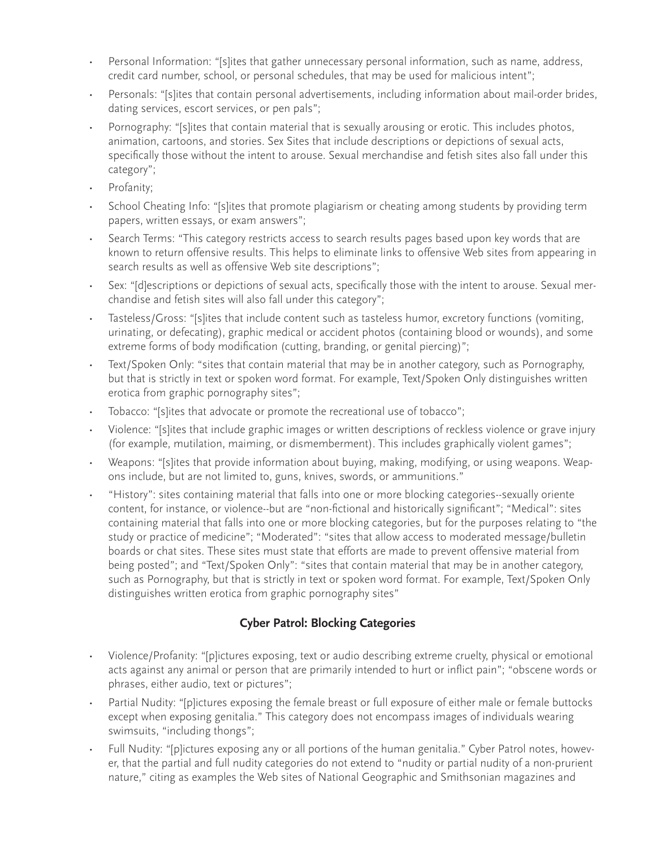- Personal Information: "[s]ites that gather unnecessary personal information, such as name, address, credit card number, school, or personal schedules, that may be used for malicious intent";
- Personals: "[s]ites that contain personal advertisements, including information about mail-order brides, dating services, escort services, or pen pals";
- Pornography: "[s]ites that contain material that is sexually arousing or erotic. This includes photos, animation, cartoons, and stories. Sex Sites that include descriptions or depictions of sexual acts, specifically those without the intent to arouse. Sexual merchandise and fetish sites also fall under this category";
- Profanity;
- School Cheating Info: "[s]ites that promote plagiarism or cheating among students by providing term papers, written essays, or exam answers";
- Search Terms: "This category restricts access to search results pages based upon key words that are known to return offensive results. This helps to eliminate links to offensive Web sites from appearing in search results as well as offensive Web site descriptions";
- Sex: "[d]escriptions or depictions of sexual acts, specifically those with the intent to arouse. Sexual merchandise and fetish sites will also fall under this category";
- Tasteless/Gross: "[s]ites that include content such as tasteless humor, excretory functions (vomiting, urinating, or defecating), graphic medical or accident photos (containing blood or wounds), and some extreme forms of body modification (cutting, branding, or genital piercing)";
- Text/Spoken Only: "sites that contain material that may be in another category, such as Pornography, but that is strictly in text or spoken word format. For example, Text/Spoken Only distinguishes written erotica from graphic pornography sites";
- Tobacco: "[s]ites that advocate or promote the recreational use of tobacco";
- Violence: "[s]ites that include graphic images or written descriptions of reckless violence or grave injury (for example, mutilation, maiming, or dismemberment). This includes graphically violent games";
- Weapons: "[s]ites that provide information about buying, making, modifying, or using weapons. Weapons include, but are not limited to, guns, knives, swords, or ammunitions."
- "History": sites containing material that falls into one or more blocking categories--sexually oriente content, for instance, or violence--but are "non-fictional and historically significant"; "Medical": sites containing material that falls into one or more blocking categories, but for the purposes relating to "the study or practice of medicine"; "Moderated": "sites that allow access to moderated message/bulletin boards or chat sites. These sites must state that efforts are made to prevent offensive material from being posted"; and "Text/Spoken Only": "sites that contain material that may be in another category, such as Pornography, but that is strictly in text or spoken word format. For example, Text/Spoken Only distinguishes written erotica from graphic pornography sites"

## **Cyber Patrol: Blocking Categories**

- Violence/Profanity: "[p]ictures exposing, text or audio describing extreme cruelty, physical or emotional acts against any animal or person that are primarily intended to hurt or inflict pain"; "obscene words or phrases, either audio, text or pictures";
- Partial Nudity: "[p]ictures exposing the female breast or full exposure of either male or female buttocks except when exposing genitalia." This category does not encompass images of individuals wearing swimsuits, "including thongs";
- Full Nudity: "[p]ictures exposing any or all portions of the human genitalia." Cyber Patrol notes, however, that the partial and full nudity categories do not extend to "nudity or partial nudity of a non-prurient nature," citing as examples the Web sites of National Geographic and Smithsonian magazines and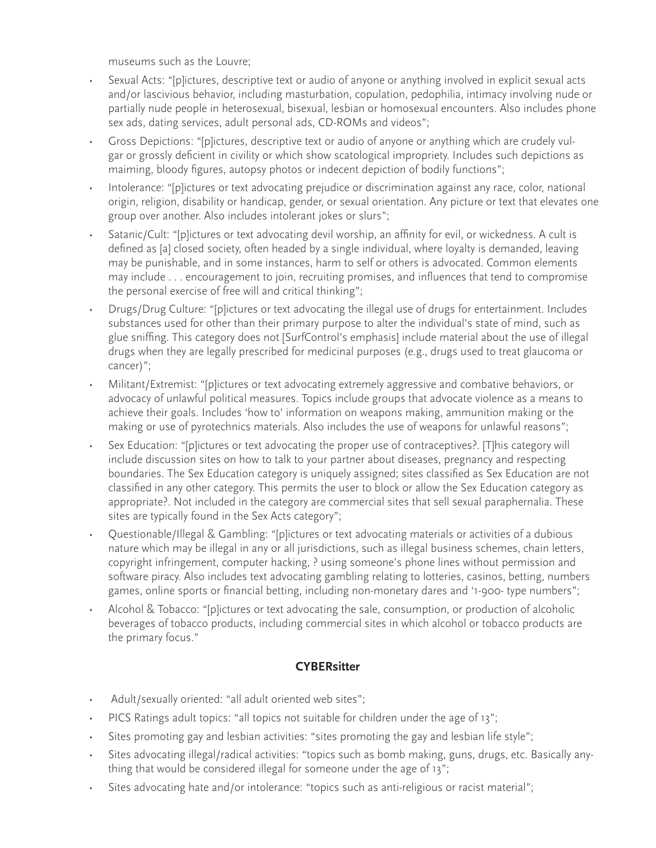museums such as the Louvre;

- Sexual Acts: "[p]ictures, descriptive text or audio of anyone or anything involved in explicit sexual acts and/or lascivious behavior, including masturbation, copulation, pedophilia, intimacy involving nude or partially nude people in heterosexual, bisexual, lesbian or homosexual encounters. Also includes phone sex ads, dating services, adult personal ads, CD-ROMs and videos";
- Gross Depictions: "[p]ictures, descriptive text or audio of anyone or anything which are crudely vulgar or grossly deficient in civility or which show scatological impropriety. Includes such depictions as maiming, bloody figures, autopsy photos or indecent depiction of bodily functions";
- Intolerance: "[p]ictures or text advocating prejudice or discrimination against any race, color, national origin, religion, disability or handicap, gender, or sexual orientation. Any picture or text that elevates one group over another. Also includes intolerant jokes or slurs";
- Satanic/Cult: "[p]ictures or text advocating devil worship, an affinity for evil, or wickedness. A cult is defined as [a] closed society, often headed by a single individual, where loyalty is demanded, leaving may be punishable, and in some instances, harm to self or others is advocated. Common elements may include . . . encouragement to join, recruiting promises, and influences that tend to compromise the personal exercise of free will and critical thinking";
- Drugs/Drug Culture: "[p]ictures or text advocating the illegal use of drugs for entertainment. Includes substances used for other than their primary purpose to alter the individual's state of mind, such as glue sniffing. This category does not [SurfControl's emphasis] include material about the use of illegal drugs when they are legally prescribed for medicinal purposes (e.g., drugs used to treat glaucoma or cancer)";
- Militant/Extremist: "[p]ictures or text advocating extremely aggressive and combative behaviors, or advocacy of unlawful political measures. Topics include groups that advocate violence as a means to achieve their goals. Includes 'how to' information on weapons making, ammunition making or the making or use of pyrotechnics materials. Also includes the use of weapons for unlawful reasons";
- Sex Education: "[p]ictures or text advocating the proper use of contraceptives?. [T]his category will include discussion sites on how to talk to your partner about diseases, pregnancy and respecting boundaries. The Sex Education category is uniquely assigned; sites classified as Sex Education are not classified in any other category. This permits the user to block or allow the Sex Education category as appropriate?. Not included in the category are commercial sites that sell sexual paraphernalia. These sites are typically found in the Sex Acts category";
- Questionable/Illegal & Gambling: "[p]ictures or text advocating materials or activities of a dubious nature which may be illegal in any or all jurisdictions, such as illegal business schemes, chain letters, copyright infringement, computer hacking, ? using someone's phone lines without permission and software piracy. Also includes text advocating gambling relating to lotteries, casinos, betting, numbers games, online sports or financial betting, including non-monetary dares and '1-900- type numbers";
- Alcohol & Tobacco: "[p]ictures or text advocating the sale, consumption, or production of alcoholic beverages of tobacco products, including commercial sites in which alcohol or tobacco products are the primary focus."

## **CYBERsitter**

- Adult/sexually oriented: "all adult oriented web sites";
- PICS Ratings adult topics: "all topics not suitable for children under the age of 13";
- Sites promoting gay and lesbian activities: "sites promoting the gay and lesbian life style";
- Sites advocating illegal/radical activities: "topics such as bomb making, guns, drugs, etc. Basically anything that would be considered illegal for someone under the age of 13";
- Sites advocating hate and/or intolerance: "topics such as anti-religious or racist material";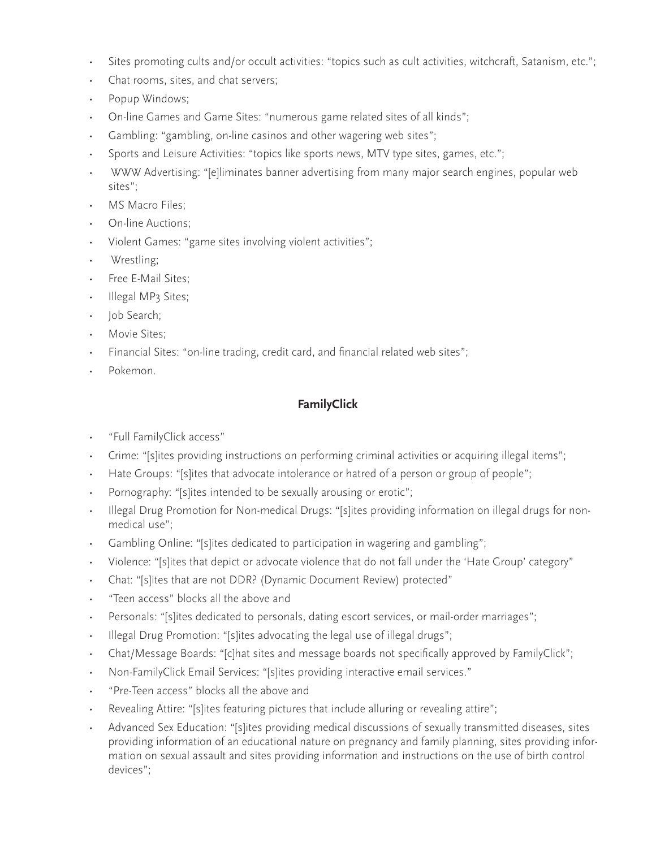- Sites promoting cults and/or occult activities: "topics such as cult activities, witchcraft, Satanism, etc.";
- Chat rooms, sites, and chat servers;
- Popup Windows;
- On-line Games and Game Sites: "numerous game related sites of all kinds";
- Gambling: "gambling, on-line casinos and other wagering web sites";
- Sports and Leisure Activities: "topics like sports news, MTV type sites, games, etc.";
- WWW Advertising: "[e]liminates banner advertising from many major search engines, popular web sites";
- MS Macro Files:
- On-line Auctions;
- Violent Games: "game sites involving violent activities";
- Wrestling;
- Free E-Mail Sites;
- Illegal MP3 Sites;
- Job Search;
- Movie Sites:
- Financial Sites: "on-line trading, credit card, and financial related web sites";
- Pokemon.

## **FamilyClick**

- "Full FamilyClick access"
- Crime: "[s]ites providing instructions on performing criminal activities or acquiring illegal items";
- Hate Groups: "[s]ites that advocate intolerance or hatred of a person or group of people";
- Pornography: "[s]ites intended to be sexually arousing or erotic";
- Illegal Drug Promotion for Non-medical Drugs: "[s]ites providing information on illegal drugs for nonmedical use";
- Gambling Online: "[s]ites dedicated to participation in wagering and gambling";
- Violence: "[s]ites that depict or advocate violence that do not fall under the 'Hate Group' category"
- Chat: "[s]ites that are not DDR? (Dynamic Document Review) protected"
- "Teen access" blocks all the above and
- Personals: "[s]ites dedicated to personals, dating escort services, or mail-order marriages";
- Illegal Drug Promotion: "[s]ites advocating the legal use of illegal drugs";
- Chat/Message Boards: "[c]hat sites and message boards not specifically approved by FamilyClick";
- Non-FamilyClick Email Services: "[s]ites providing interactive email services."
- "Pre-Teen access" blocks all the above and
- Revealing Attire: "[s]ites featuring pictures that include alluring or revealing attire";
- Advanced Sex Education: "[s]ites providing medical discussions of sexually transmitted diseases, sites providing information of an educational nature on pregnancy and family planning, sites providing information on sexual assault and sites providing information and instructions on the use of birth control devices";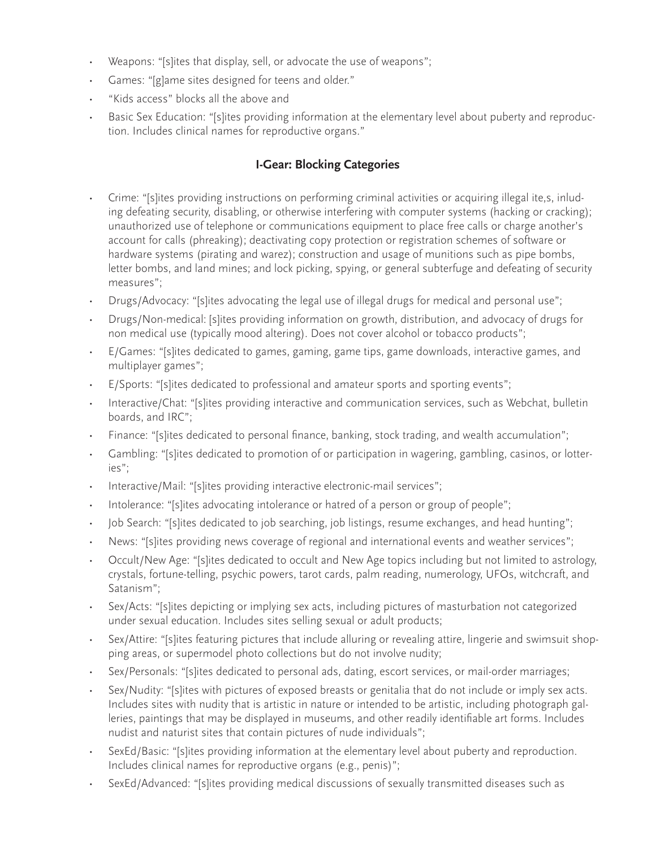- Weapons: "[s]ites that display, sell, or advocate the use of weapons";
- Games: "[g]ame sites designed for teens and older."
- "Kids access" blocks all the above and
- Basic Sex Education: "[s]ites providing information at the elementary level about puberty and reproduction. Includes clinical names for reproductive organs."

## **I-Gear: Blocking Categories**

- Crime: "[s]ites providing instructions on performing criminal activities or acquiring illegal ite,s, inluding defeating security, disabling, or otherwise interfering with computer systems (hacking or cracking); unauthorized use of telephone or communications equipment to place free calls or charge another's account for calls (phreaking); deactivating copy protection or registration schemes of software or hardware systems (pirating and warez); construction and usage of munitions such as pipe bombs, letter bombs, and land mines; and lock picking, spying, or general subterfuge and defeating of security measures";
- Drugs/Advocacy: "[s]ites advocating the legal use of illegal drugs for medical and personal use";
- Drugs/Non-medical: [s]ites providing information on growth, distribution, and advocacy of drugs for non medical use (typically mood altering). Does not cover alcohol or tobacco products";
- E/Games: "[s]ites dedicated to games, gaming, game tips, game downloads, interactive games, and multiplayer games";
- E/Sports: "[s]ites dedicated to professional and amateur sports and sporting events";
- Interactive/Chat: "[s]ites providing interactive and communication services, such as Webchat, bulletin boards, and IRC";
- Finance: "[s]ites dedicated to personal finance, banking, stock trading, and wealth accumulation";
- Gambling: "[s]ites dedicated to promotion of or participation in wagering, gambling, casinos, or lotteries";
- Interactive/Mail: "[s]ites providing interactive electronic-mail services";
- Intolerance: "[s]ites advocating intolerance or hatred of a person or group of people";
- Job Search: "[s]ites dedicated to job searching, job listings, resume exchanges, and head hunting";
- News: "[s]ites providing news coverage of regional and international events and weather services";
- Occult/New Age: "[s]ites dedicated to occult and New Age topics including but not limited to astrology, crystals, fortune-telling, psychic powers, tarot cards, palm reading, numerology, UFOs, witchcraft, and Satanism";
- Sex/Acts: "[s]ites depicting or implying sex acts, including pictures of masturbation not categorized under sexual education. Includes sites selling sexual or adult products;
- Sex/Attire: "[s]ites featuring pictures that include alluring or revealing attire, lingerie and swimsuit shopping areas, or supermodel photo collections but do not involve nudity;
- Sex/Personals: "[s]ites dedicated to personal ads, dating, escort services, or mail-order marriages;
- Sex/Nudity: "[s]ites with pictures of exposed breasts or genitalia that do not include or imply sex acts. Includes sites with nudity that is artistic in nature or intended to be artistic, including photograph galleries, paintings that may be displayed in museums, and other readily identifiable art forms. Includes nudist and naturist sites that contain pictures of nude individuals";
- SexEd/Basic: "[s]ites providing information at the elementary level about puberty and reproduction. Includes clinical names for reproductive organs (e.g., penis)";
- SexEd/Advanced: "[s]ites providing medical discussions of sexually transmitted diseases such as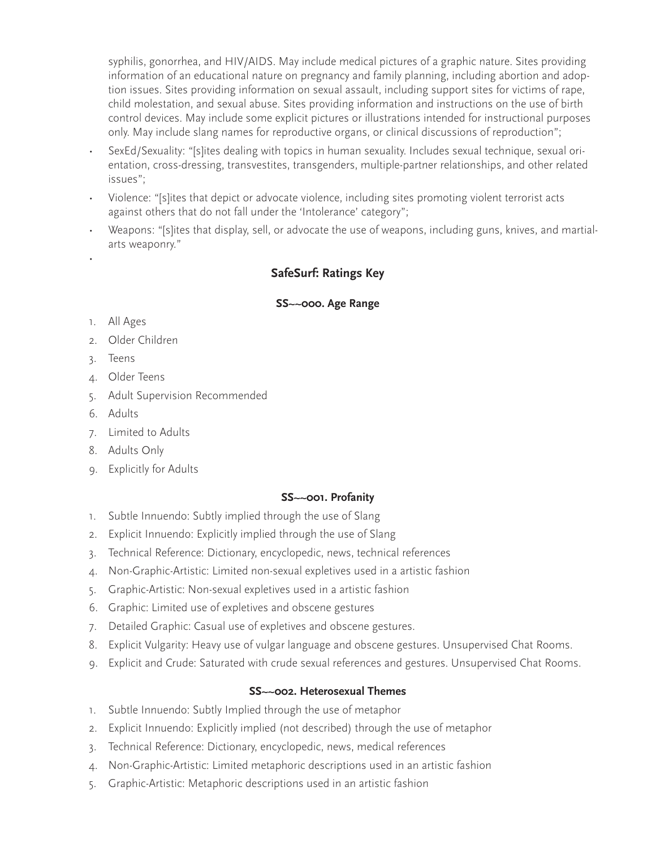syphilis, gonorrhea, and HIV/AIDS. May include medical pictures of a graphic nature. Sites providing information of an educational nature on pregnancy and family planning, including abortion and adoption issues. Sites providing information on sexual assault, including support sites for victims of rape, child molestation, and sexual abuse. Sites providing information and instructions on the use of birth control devices. May include some explicit pictures or illustrations intended for instructional purposes only. May include slang names for reproductive organs, or clinical discussions of reproduction";

- SexEd/Sexuality: "[s]ites dealing with topics in human sexuality. Includes sexual technique, sexual orientation, cross-dressing, transvestites, transgenders, multiple-partner relationships, and other related issues";
- Violence: "[s]ites that depict or advocate violence, including sites promoting violent terrorist acts against others that do not fall under the 'Intolerance' category";
- Weapons: "[s]ites that display, sell, or advocate the use of weapons, including guns, knives, and martialarts weaponry."

## **SafeSurf: Ratings Key**

#### **SS~~000. Age Range**

1. All Ages

•

- 2. Older Children
- 3. Teens
- 4. Older Teens
- 5. Adult Supervision Recommended
- 6. Adults
- 7. Limited to Adults
- 8. Adults Only
- 9. Explicitly for Adults

#### **SS~~001. Profanity**

- 1. Subtle Innuendo: Subtly implied through the use of Slang
- 2. Explicit Innuendo: Explicitly implied through the use of Slang
- 3. Technical Reference: Dictionary, encyclopedic, news, technical references
- 4. Non-Graphic-Artistic: Limited non-sexual expletives used in a artistic fashion
- 5. Graphic-Artistic: Non-sexual expletives used in a artistic fashion
- 6. Graphic: Limited use of expletives and obscene gestures
- 7. Detailed Graphic: Casual use of expletives and obscene gestures.
- 8. Explicit Vulgarity: Heavy use of vulgar language and obscene gestures. Unsupervised Chat Rooms.
- 9. Explicit and Crude: Saturated with crude sexual references and gestures. Unsupervised Chat Rooms.

#### **SS~~002. Heterosexual Themes**

- 1. Subtle Innuendo: Subtly Implied through the use of metaphor
- 2. Explicit Innuendo: Explicitly implied (not described) through the use of metaphor
- 3. Technical Reference: Dictionary, encyclopedic, news, medical references
- 4. Non-Graphic-Artistic: Limited metaphoric descriptions used in an artistic fashion
- 5. Graphic-Artistic: Metaphoric descriptions used in an artistic fashion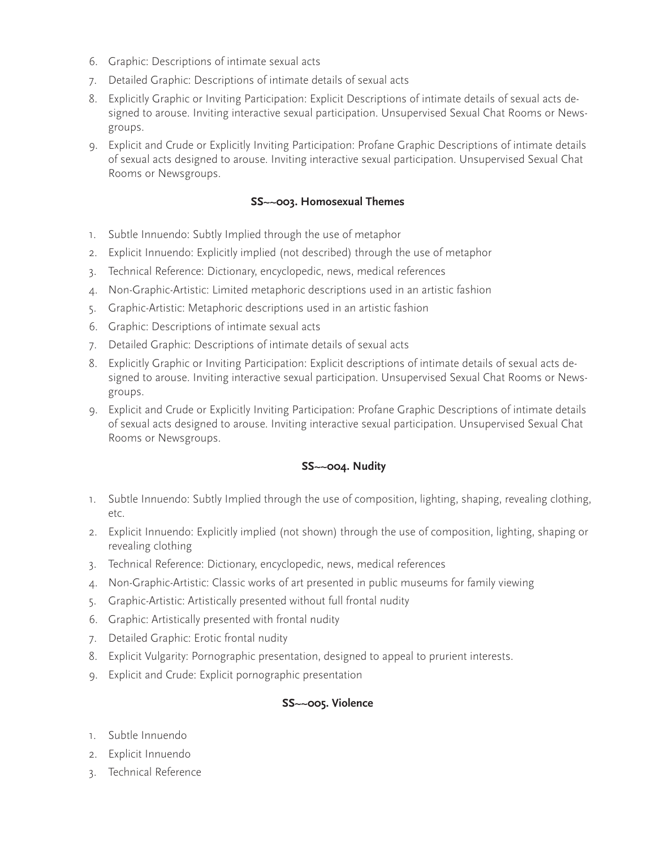- 6. Graphic: Descriptions of intimate sexual acts
- 7. Detailed Graphic: Descriptions of intimate details of sexual acts
- 8. Explicitly Graphic or Inviting Participation: Explicit Descriptions of intimate details of sexual acts designed to arouse. Inviting interactive sexual participation. Unsupervised Sexual Chat Rooms or Newsgroups.
- 9. Explicit and Crude or Explicitly Inviting Participation: Profane Graphic Descriptions of intimate details of sexual acts designed to arouse. Inviting interactive sexual participation. Unsupervised Sexual Chat Rooms or Newsgroups.

#### **SS~~003. Homosexual Themes**

- 1. Subtle Innuendo: Subtly Implied through the use of metaphor
- 2. Explicit Innuendo: Explicitly implied (not described) through the use of metaphor
- 3. Technical Reference: Dictionary, encyclopedic, news, medical references
- 4. Non-Graphic-Artistic: Limited metaphoric descriptions used in an artistic fashion
- 5. Graphic-Artistic: Metaphoric descriptions used in an artistic fashion
- 6. Graphic: Descriptions of intimate sexual acts
- 7. Detailed Graphic: Descriptions of intimate details of sexual acts
- 8. Explicitly Graphic or Inviting Participation: Explicit descriptions of intimate details of sexual acts designed to arouse. Inviting interactive sexual participation. Unsupervised Sexual Chat Rooms or Newsgroups.
- 9. Explicit and Crude or Explicitly Inviting Participation: Profane Graphic Descriptions of intimate details of sexual acts designed to arouse. Inviting interactive sexual participation. Unsupervised Sexual Chat Rooms or Newsgroups.

#### **SS~~004. Nudity**

- 1. Subtle Innuendo: Subtly Implied through the use of composition, lighting, shaping, revealing clothing, etc.
- 2. Explicit Innuendo: Explicitly implied (not shown) through the use of composition, lighting, shaping or revealing clothing
- 3. Technical Reference: Dictionary, encyclopedic, news, medical references
- 4. Non-Graphic-Artistic: Classic works of art presented in public museums for family viewing
- 5. Graphic-Artistic: Artistically presented without full frontal nudity
- 6. Graphic: Artistically presented with frontal nudity
- 7. Detailed Graphic: Erotic frontal nudity
- 8. Explicit Vulgarity: Pornographic presentation, designed to appeal to prurient interests.
- 9. Explicit and Crude: Explicit pornographic presentation

### **SS~~005. Violence**

- 1. Subtle Innuendo
- 2. Explicit Innuendo
- 3. Technical Reference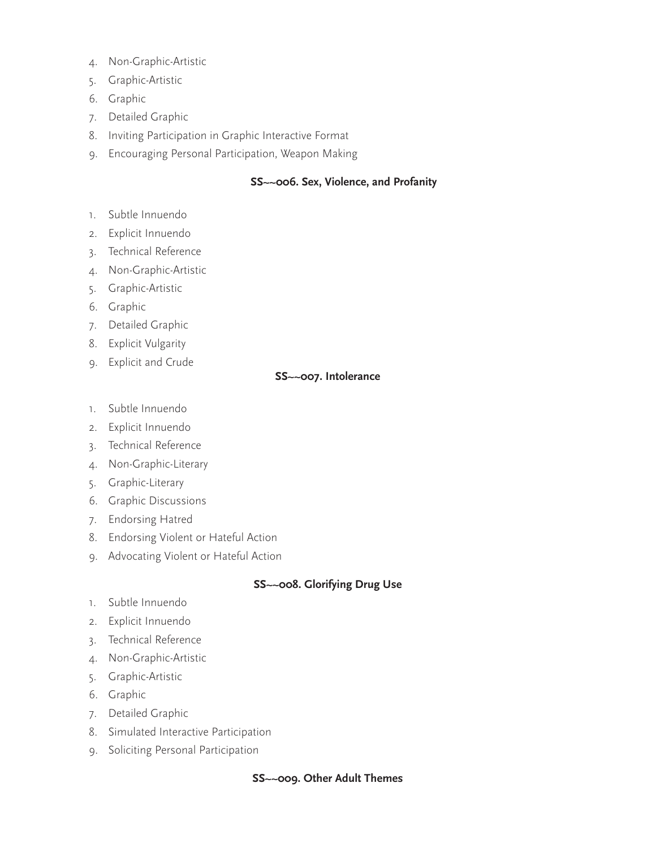- 4. Non-Graphic-Artistic
- 5. Graphic-Artistic
- 6. Graphic
- 7. Detailed Graphic
- 8. Inviting Participation in Graphic Interactive Format
- 9. Encouraging Personal Participation, Weapon Making

#### **SS~~006. Sex, Violence, and Profanity**

- 1. Subtle Innuendo
- 2. Explicit Innuendo
- 3. Technical Reference
- 4. Non-Graphic-Artistic
- 5. Graphic-Artistic
- 6. Graphic
- 7. Detailed Graphic
- 8. Explicit Vulgarity
- 9. Explicit and Crude

#### **SS~~007. Intolerance**

- 1. Subtle Innuendo
- 2. Explicit Innuendo
- 3. Technical Reference
- 4. Non-Graphic-Literary
- 5. Graphic-Literary
- 6. Graphic Discussions
- 7. Endorsing Hatred
- 8. Endorsing Violent or Hateful Action
- 9. Advocating Violent or Hateful Action

### **SS~~008. Glorifying Drug Use**

- 1. Subtle Innuendo
- 2. Explicit Innuendo
- 3. Technical Reference
- 4. Non-Graphic-Artistic
- 5. Graphic-Artistic
- 6. Graphic
- 7. Detailed Graphic
- 8. Simulated Interactive Participation
- 9. Soliciting Personal Participation

#### **SS~~009. Other Adult Themes**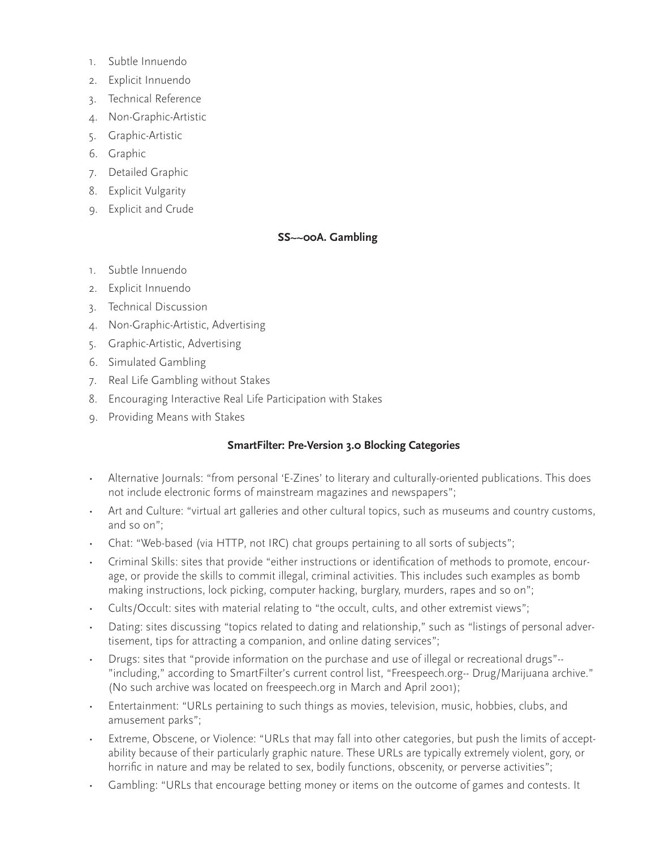- 1. Subtle Innuendo
- 2. Explicit Innuendo
- 3. Technical Reference
- 4. Non-Graphic-Artistic
- 5. Graphic-Artistic
- 6. Graphic
- 7. Detailed Graphic
- 8. Explicit Vulgarity
- 9. Explicit and Crude

# **SS~~00A. Gambling**

- 1. Subtle Innuendo
- 2. Explicit Innuendo
- 3. Technical Discussion
- 4. Non-Graphic-Artistic, Advertising
- 5. Graphic-Artistic, Advertising
- 6. Simulated Gambling
- 7. Real Life Gambling without Stakes
- 8. Encouraging Interactive Real Life Participation with Stakes
- 9. Providing Means with Stakes

# **SmartFilter: Pre-Version 3.0 Blocking Categories**

- Alternative Journals: "from personal 'E-Zines' to literary and culturally-oriented publications. This does not include electronic forms of mainstream magazines and newspapers";
- Art and Culture: "virtual art galleries and other cultural topics, such as museums and country customs, and so on";
- Chat: "Web-based (via HTTP, not IRC) chat groups pertaining to all sorts of subjects";
- Criminal Skills: sites that provide "either instructions or identification of methods to promote, encourage, or provide the skills to commit illegal, criminal activities. This includes such examples as bomb making instructions, lock picking, computer hacking, burglary, murders, rapes and so on";
- Cults/Occult: sites with material relating to "the occult, cults, and other extremist views";
- Dating: sites discussing "topics related to dating and relationship," such as "listings of personal advertisement, tips for attracting a companion, and online dating services";
- Drugs: sites that "provide information on the purchase and use of illegal or recreational drugs"-- "including," according to SmartFilter's current control list, "Freespeech.org-- Drug/Marijuana archive." (No such archive was located on freespeech.org in March and April 2001);
- Entertainment: "URLs pertaining to such things as movies, television, music, hobbies, clubs, and amusement parks";
- Extreme, Obscene, or Violence: "URLs that may fall into other categories, but push the limits of acceptability because of their particularly graphic nature. These URLs are typically extremely violent, gory, or horrific in nature and may be related to sex, bodily functions, obscenity, or perverse activities";
- Gambling: "URLs that encourage betting money or items on the outcome of games and contests. It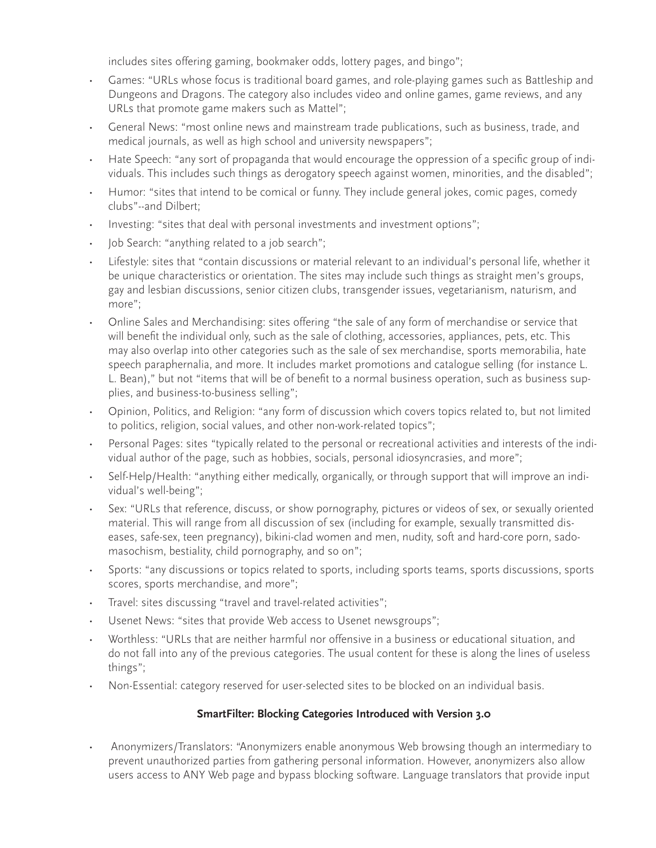includes sites offering gaming, bookmaker odds, lottery pages, and bingo";

- Games: "URLs whose focus is traditional board games, and role-playing games such as Battleship and Dungeons and Dragons. The category also includes video and online games, game reviews, and any URLs that promote game makers such as Mattel";
- General News: "most online news and mainstream trade publications, such as business, trade, and medical journals, as well as high school and university newspapers";
- Hate Speech: "any sort of propaganda that would encourage the oppression of a specific group of individuals. This includes such things as derogatory speech against women, minorities, and the disabled";
- Humor: "sites that intend to be comical or funny. They include general jokes, comic pages, comedy clubs"--and Dilbert;
- Investing: "sites that deal with personal investments and investment options";
- Job Search: "anything related to a job search";
- Lifestyle: sites that "contain discussions or material relevant to an individual's personal life, whether it be unique characteristics or orientation. The sites may include such things as straight men's groups, gay and lesbian discussions, senior citizen clubs, transgender issues, vegetarianism, naturism, and more";
- Online Sales and Merchandising: sites offering "the sale of any form of merchandise or service that will benefit the individual only, such as the sale of clothing, accessories, appliances, pets, etc. This may also overlap into other categories such as the sale of sex merchandise, sports memorabilia, hate speech paraphernalia, and more. It includes market promotions and catalogue selling (for instance L. L. Bean)," but not "items that will be of benefit to a normal business operation, such as business supplies, and business-to-business selling";
- Opinion, Politics, and Religion: "any form of discussion which covers topics related to, but not limited to politics, religion, social values, and other non-work-related topics";
- Personal Pages: sites "typically related to the personal or recreational activities and interests of the individual author of the page, such as hobbies, socials, personal idiosyncrasies, and more";
- Self-Help/Health: "anything either medically, organically, or through support that will improve an individual's well-being";
- Sex: "URLs that reference, discuss, or show pornography, pictures or videos of sex, or sexually oriented material. This will range from all discussion of sex (including for example, sexually transmitted diseases, safe-sex, teen pregnancy), bikini-clad women and men, nudity, soft and hard-core porn, sadomasochism, bestiality, child pornography, and so on";
- Sports: "any discussions or topics related to sports, including sports teams, sports discussions, sports scores, sports merchandise, and more";
- Travel: sites discussing "travel and travel-related activities";
- Usenet News: "sites that provide Web access to Usenet newsgroups";
- Worthless: "URLs that are neither harmful nor offensive in a business or educational situation, and do not fall into any of the previous categories. The usual content for these is along the lines of useless things";
- Non-Essential: category reserved for user-selected sites to be blocked on an individual basis.

# **SmartFilter: Blocking Categories Introduced with Version 3.0**

• Anonymizers/Translators: "Anonymizers enable anonymous Web browsing though an intermediary to prevent unauthorized parties from gathering personal information. However, anonymizers also allow users access to ANY Web page and bypass blocking software. Language translators that provide input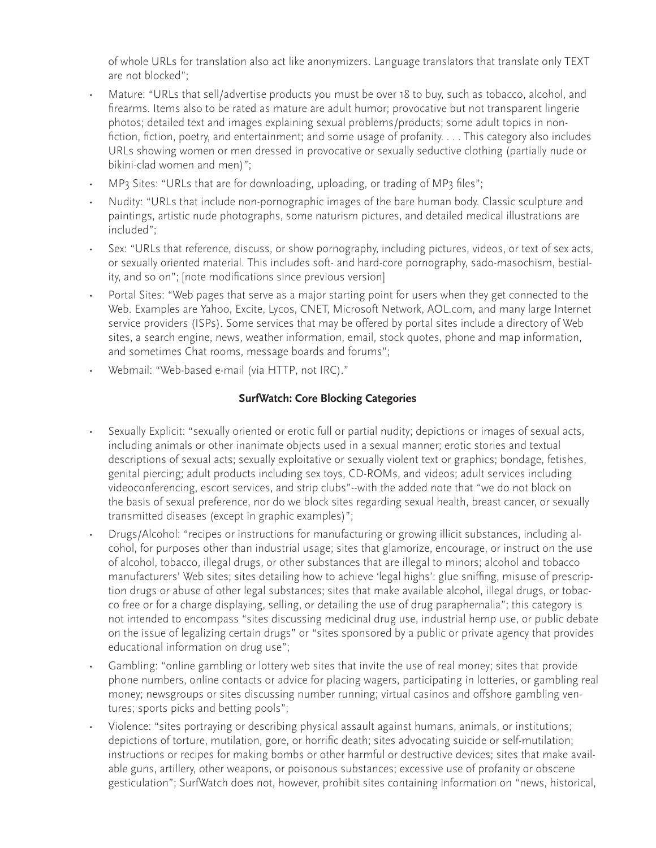of whole URLs for translation also act like anonymizers. Language translators that translate only TEXT are not blocked";

- Mature: "URLs that sell/advertise products you must be over 18 to buy, such as tobacco, alcohol, and firearms. Items also to be rated as mature are adult humor; provocative but not transparent lingerie photos; detailed text and images explaining sexual problems/products; some adult topics in nonfiction, fiction, poetry, and entertainment; and some usage of profanity. . . . This category also includes URLs showing women or men dressed in provocative or sexually seductive clothing (partially nude or bikini-clad women and men)";
- MP3 Sites: "URLs that are for downloading, uploading, or trading of MP3 files";
- Nudity: "URLs that include non-pornographic images of the bare human body. Classic sculpture and paintings, artistic nude photographs, some naturism pictures, and detailed medical illustrations are included";
- Sex: "URLs that reference, discuss, or show pornography, including pictures, videos, or text of sex acts, or sexually oriented material. This includes soft- and hard-core pornography, sado-masochism, bestiality, and so on"; [note modifications since previous version]
- Portal Sites: "Web pages that serve as a major starting point for users when they get connected to the Web. Examples are Yahoo, Excite, Lycos, CNET, Microsoft Network, AOL.com, and many large Internet service providers (ISPs). Some services that may be offered by portal sites include a directory of Web sites, a search engine, news, weather information, email, stock quotes, phone and map information, and sometimes Chat rooms, message boards and forums";
- Webmail: "Web-based e-mail (via HTTP, not IRC)."

# **SurfWatch: Core Blocking Categories**

- Sexually Explicit: "sexually oriented or erotic full or partial nudity; depictions or images of sexual acts, including animals or other inanimate objects used in a sexual manner; erotic stories and textual descriptions of sexual acts; sexually exploitative or sexually violent text or graphics; bondage, fetishes, genital piercing; adult products including sex toys, CD-ROMs, and videos; adult services including videoconferencing, escort services, and strip clubs"--with the added note that "we do not block on the basis of sexual preference, nor do we block sites regarding sexual health, breast cancer, or sexually transmitted diseases (except in graphic examples)";
- Drugs/Alcohol: "recipes or instructions for manufacturing or growing illicit substances, including alcohol, for purposes other than industrial usage; sites that glamorize, encourage, or instruct on the use of alcohol, tobacco, illegal drugs, or other substances that are illegal to minors; alcohol and tobacco manufacturers' Web sites; sites detailing how to achieve 'legal highs': glue sniffing, misuse of prescription drugs or abuse of other legal substances; sites that make available alcohol, illegal drugs, or tobacco free or for a charge displaying, selling, or detailing the use of drug paraphernalia"; this category is not intended to encompass "sites discussing medicinal drug use, industrial hemp use, or public debate on the issue of legalizing certain drugs" or "sites sponsored by a public or private agency that provides educational information on drug use";
- Gambling: "online gambling or lottery web sites that invite the use of real money; sites that provide phone numbers, online contacts or advice for placing wagers, participating in lotteries, or gambling real money; newsgroups or sites discussing number running; virtual casinos and offshore gambling ventures; sports picks and betting pools";
- Violence: "sites portraying or describing physical assault against humans, animals, or institutions; depictions of torture, mutilation, gore, or horrific death; sites advocating suicide or self-mutilation; instructions or recipes for making bombs or other harmful or destructive devices; sites that make available guns, artillery, other weapons, or poisonous substances; excessive use of profanity or obscene gesticulation"; SurfWatch does not, however, prohibit sites containing information on "news, historical,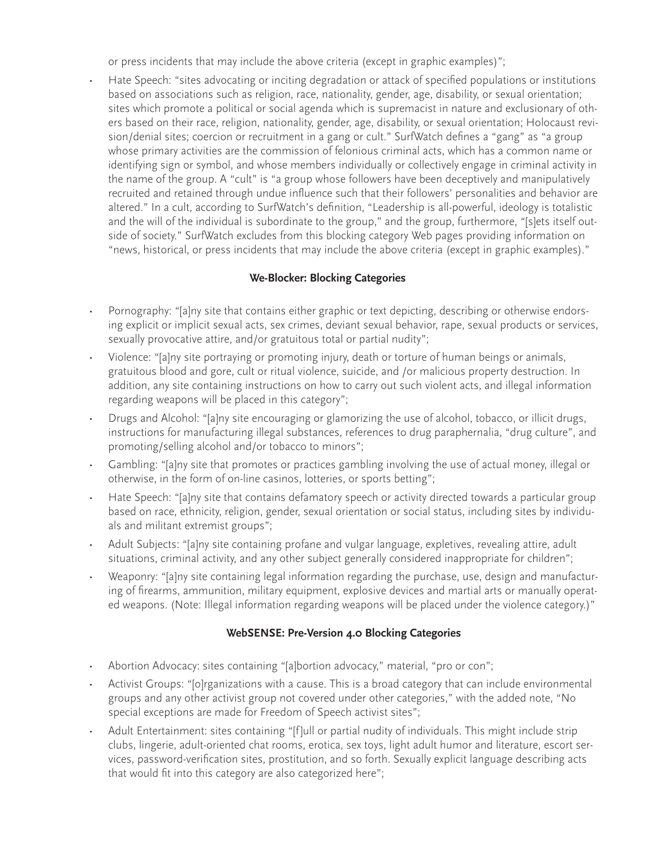or press incidents that may include the above criteria (except in graphic examples)";

• Hate Speech: "sites advocating or inciting degradation or attack of specified populations or institutions based on associations such as religion, race, nationality, gender, age, disability, or sexual orientation; sites which promote a political or social agenda which is supremacist in nature and exclusionary of others based on their race, religion, nationality, gender, age, disability, or sexual orientation; Holocaust revision/denial sites; coercion or recruitment in a gang or cult." SurfWatch defines a "gang" as "a group whose primary activities are the commission of felonious criminal acts, which has a common name or identifying sign or symbol, and whose members individually or collectively engage in criminal activity in the name of the group. A "cult" is "a group whose followers have been deceptively and manipulatively recruited and retained through undue influence such that their followers' personalities and behavior are altered." In a cult, according to SurfWatch's definition, "Leadership is all-powerful, ideology is totalistic and the will of the individual is subordinate to the group," and the group, furthermore, "[s]ets itself outside of society." SurfWatch excludes from this blocking category Web pages providing information on "news, historical, or press incidents that may include the above criteria (except in graphic examples)."

# **We-Blocker: Blocking Categories**

- Pornography: "[a]ny site that contains either graphic or text depicting, describing or otherwise endorsing explicit or implicit sexual acts, sex crimes, deviant sexual behavior, rape, sexual products or services, sexually provocative attire, and/or gratuitous total or partial nudity";
- Violence: "[a]ny site portraying or promoting injury, death or torture of human beings or animals, gratuitous blood and gore, cult or ritual violence, suicide, and /or malicious property destruction. In addition, any site containing instructions on how to carry out such violent acts, and illegal information regarding weapons will be placed in this category";
- Drugs and Alcohol: "[a]ny site encouraging or glamorizing the use of alcohol, tobacco, or illicit drugs, instructions for manufacturing illegal substances, references to drug paraphernalia, "drug culture", and promoting/selling alcohol and/or tobacco to minors";
- Gambling: "[a]ny site that promotes or practices gambling involving the use of actual money, illegal or otherwise, in the form of on-line casinos, lotteries, or sports betting";
- Hate Speech: "[a]ny site that contains defamatory speech or activity directed towards a particular group based on race, ethnicity, religion, gender, sexual orientation or social status, including sites by individuals and militant extremist groups";
- Adult Subjects: "[a]ny site containing profane and vulgar language, expletives, revealing attire, adult situations, criminal activity, and any other subject generally considered inappropriate for children";
- Weaponry: "[a]ny site containing legal information regarding the purchase, use, design and manufacturing of firearms, ammunition, military equipment, explosive devices and martial arts or manually operated weapons. (Note: Illegal information regarding weapons will be placed under the violence category.)"

# **WebSENSE: Pre-Version 4.0 Blocking Categories**

- Abortion Advocacy: sites containing "[a]bortion advocacy," material, "pro or con";
- Activist Groups: "[o]rganizations with a cause. This is a broad category that can include environmental groups and any other activist group not covered under other categories," with the added note, "No special exceptions are made for Freedom of Speech activist sites";
- Adult Entertainment: sites containing "[f]ull or partial nudity of individuals. This might include strip clubs, lingerie, adult-oriented chat rooms, erotica, sex toys, light adult humor and literature, escort services, password-verification sites, prostitution, and so forth. Sexually explicit language describing acts that would fit into this category are also categorized here";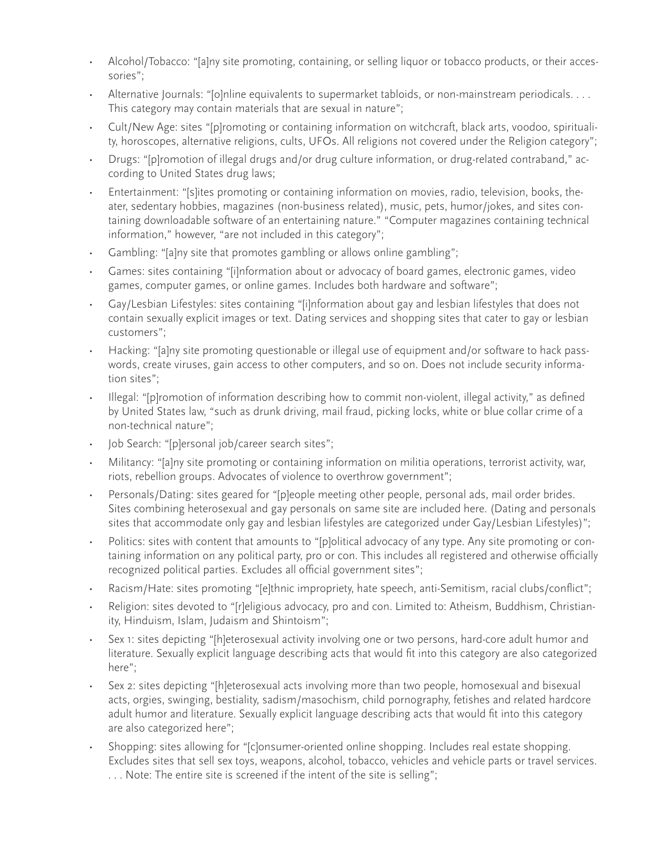- Alcohol/Tobacco: "[a]ny site promoting, containing, or selling liquor or tobacco products, or their accessories";
- Alternative Journals: "[o]nline equivalents to supermarket tabloids, or non-mainstream periodicals. . . . This category may contain materials that are sexual in nature";
- Cult/New Age: sites "[p]romoting or containing information on witchcraft, black arts, voodoo, spirituality, horoscopes, alternative religions, cults, UFOs. All religions not covered under the Religion category";
- Drugs: "[p]romotion of illegal drugs and/or drug culture information, or drug-related contraband," according to United States drug laws;
- Entertainment: "[s]ites promoting or containing information on movies, radio, television, books, theater, sedentary hobbies, magazines (non-business related), music, pets, humor/jokes, and sites containing downloadable software of an entertaining nature." "Computer magazines containing technical information," however, "are not included in this category";
- Gambling: "[a]ny site that promotes gambling or allows online gambling";
- Games: sites containing "[i]nformation about or advocacy of board games, electronic games, video games, computer games, or online games. Includes both hardware and software";
- Gay/Lesbian Lifestyles: sites containing "[i]nformation about gay and lesbian lifestyles that does not contain sexually explicit images or text. Dating services and shopping sites that cater to gay or lesbian customers";
- Hacking: "[a]ny site promoting questionable or illegal use of equipment and/or software to hack passwords, create viruses, gain access to other computers, and so on. Does not include security information sites";
- Illegal: "[p]romotion of information describing how to commit non-violent, illegal activity," as defined by United States law, "such as drunk driving, mail fraud, picking locks, white or blue collar crime of a non-technical nature";
- Job Search: "[p]ersonal job/career search sites";
- Militancy: "[a]ny site promoting or containing information on militia operations, terrorist activity, war, riots, rebellion groups. Advocates of violence to overthrow government";
- Personals/Dating: sites geared for "[p]eople meeting other people, personal ads, mail order brides. Sites combining heterosexual and gay personals on same site are included here. (Dating and personals sites that accommodate only gay and lesbian lifestyles are categorized under Gay/Lesbian Lifestyles)";
- Politics: sites with content that amounts to "[p]olitical advocacy of any type. Any site promoting or containing information on any political party, pro or con. This includes all registered and otherwise officially recognized political parties. Excludes all official government sites";
- Racism/Hate: sites promoting "[e]thnic impropriety, hate speech, anti-Semitism, racial clubs/conflict";
- Religion: sites devoted to "[r]eligious advocacy, pro and con. Limited to: Atheism, Buddhism, Christianity, Hinduism, Islam, Judaism and Shintoism";
- Sex 1: sites depicting "[h]eterosexual activity involving one or two persons, hard-core adult humor and literature. Sexually explicit language describing acts that would fit into this category are also categorized here";
- Sex 2: sites depicting "[h]eterosexual acts involving more than two people, homosexual and bisexual acts, orgies, swinging, bestiality, sadism/masochism, child pornography, fetishes and related hardcore adult humor and literature. Sexually explicit language describing acts that would fit into this category are also categorized here";
- Shopping: sites allowing for "[c]onsumer-oriented online shopping. Includes real estate shopping. Excludes sites that sell sex toys, weapons, alcohol, tobacco, vehicles and vehicle parts or travel services. . . . Note: The entire site is screened if the intent of the site is selling";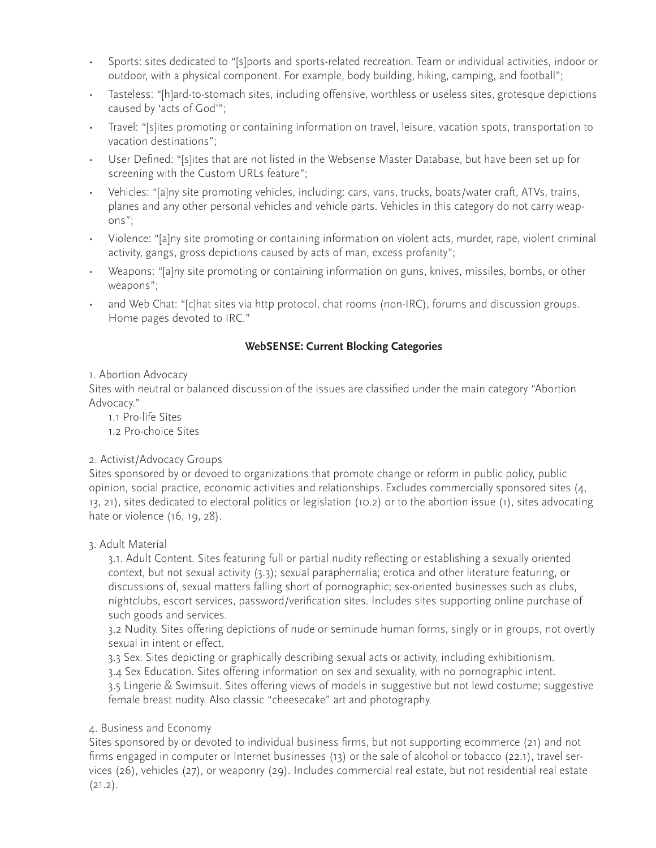- Sports: sites dedicated to "[s]ports and sports-related recreation. Team or individual activities, indoor or outdoor, with a physical component. For example, body building, hiking, camping, and football";
- Tasteless: "[h]ard-to-stomach sites, including offensive, worthless or useless sites, grotesque depictions caused by 'acts of God'";
- Travel: "[s]ites promoting or containing information on travel, leisure, vacation spots, transportation to vacation destinations";
- User Defined: "[s]ites that are not listed in the Websense Master Database, but have been set up for screening with the Custom URLs feature";
- Vehicles: "[a]ny site promoting vehicles, including: cars, vans, trucks, boats/water craft, ATVs, trains, planes and any other personal vehicles and vehicle parts. Vehicles in this category do not carry weapons";
- Violence: "[a]ny site promoting or containing information on violent acts, murder, rape, violent criminal activity, gangs, gross depictions caused by acts of man, excess profanity";
- Weapons: "[a]ny site promoting or containing information on guns, knives, missiles, bombs, or other weapons";
- and Web Chat: "[c]hat sites via http protocol, chat rooms (non-IRC), forums and discussion groups. Home pages devoted to IRC."

# **WebSENSE: Current Blocking Categories**

# 1. Abortion Advocacy

Sites with neutral or balanced discussion of the issues are classified under the main category "Abortion Advocacy."

- 1.1 Pro-life Sites
- 1.2 Pro-choice Sites

# 2. Activist/Advocacy Groups

Sites sponsored by or devoed to organizations that promote change or reform in public policy, public opinion, social practice, economic activities and relationships. Excludes commercially sponsored sites (4, 13, 21), sites dedicated to electoral politics or legislation (10.2) or to the abortion issue (1), sites advocating hate or violence (16, 19, 28).

# 3. Adult Material

3.1. Adult Content. Sites featuring full or partial nudity reflecting or establishing a sexually oriented context, but not sexual activity (3.3); sexual paraphernalia; erotica and other literature featuring, or discussions of, sexual matters falling short of pornographic; sex-oriented businesses such as clubs, nightclubs, escort services, password/verification sites. Includes sites supporting online purchase of such goods and services.

3.2 Nudity. Sites offering depictions of nude or seminude human forms, singly or in groups, not overtly sexual in intent or effect.

3.3 Sex. Sites depicting or graphically describing sexual acts or activity, including exhibitionism.

3.4 Sex Education. Sites offering information on sex and sexuality, with no pornographic intent.

3.5 Lingerie & Swimsuit. Sites offering views of models in suggestive but not lewd costume; suggestive female breast nudity. Also classic "cheesecake" art and photography.

# 4. Business and Economy

Sites sponsored by or devoted to individual business firms, but not supporting ecommerce (21) and not firms engaged in computer or Internet businesses (13) or the sale of alcohol or tobacco (22.1), travel services (26), vehicles (27), or weaponry (29). Includes commercial real estate, but not residential real estate  $(21.2).$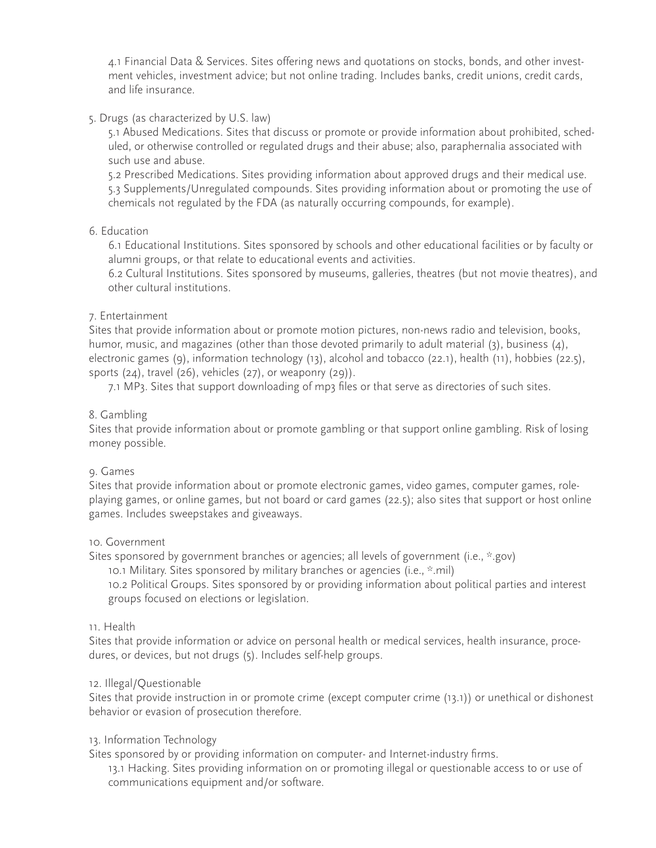4.1 Financial Data & Services. Sites offering news and quotations on stocks, bonds, and other investment vehicles, investment advice; but not online trading. Includes banks, credit unions, credit cards, and life insurance.

## 5. Drugs (as characterized by U.S. law)

5.1 Abused Medications. Sites that discuss or promote or provide information about prohibited, scheduled, or otherwise controlled or regulated drugs and their abuse; also, paraphernalia associated with such use and abuse.

5.2 Prescribed Medications. Sites providing information about approved drugs and their medical use. 5.3 Supplements/Unregulated compounds. Sites providing information about or promoting the use of chemicals not regulated by the FDA (as naturally occurring compounds, for example).

## 6. Education

6.1 Educational Institutions. Sites sponsored by schools and other educational facilities or by faculty or alumni groups, or that relate to educational events and activities.

6.2 Cultural Institutions. Sites sponsored by museums, galleries, theatres (but not movie theatres), and other cultural institutions.

## 7. Entertainment

Sites that provide information about or promote motion pictures, non-news radio and television, books, humor, music, and magazines (other than those devoted primarily to adult material (3), business (4), electronic games (9), information technology (13), alcohol and tobacco (22.1), health (11), hobbies (22.5), sports  $(24)$ , travel  $(26)$ , vehicles  $(27)$ , or weaponry  $(29)$ ).

7.1 MP3. Sites that support downloading of mp3 files or that serve as directories of such sites.

## 8. Gambling

Sites that provide information about or promote gambling or that support online gambling. Risk of losing money possible.

#### 9. Games

Sites that provide information about or promote electronic games, video games, computer games, roleplaying games, or online games, but not board or card games (22.5); also sites that support or host online games. Includes sweepstakes and giveaways.

#### 10. Government

Sites sponsored by government branches or agencies; all levels of government (i.e., \*.gov)

10.1 Military. Sites sponsored by military branches or agencies (i.e., \*.mil)

10.2 Political Groups. Sites sponsored by or providing information about political parties and interest groups focused on elections or legislation.

#### 11. Health

Sites that provide information or advice on personal health or medical services, health insurance, procedures, or devices, but not drugs (5). Includes self-help groups.

#### 12. Illegal/Questionable

Sites that provide instruction in or promote crime (except computer crime (13.1)) or unethical or dishonest behavior or evasion of prosecution therefore.

## 13. Information Technology

Sites sponsored by or providing information on computer- and Internet-industry firms.

13.1 Hacking. Sites providing information on or promoting illegal or questionable access to or use of communications equipment and/or software.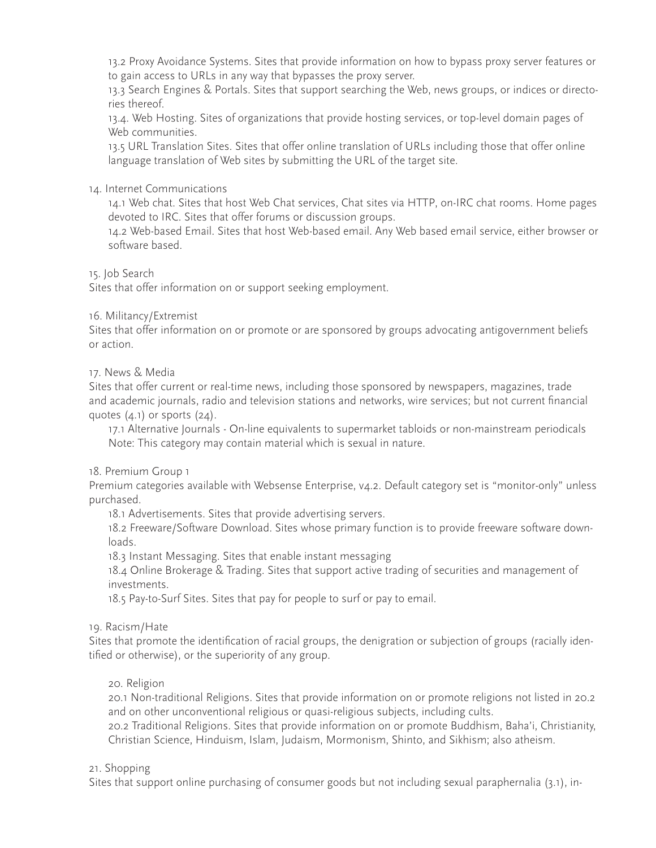13.2 Proxy Avoidance Systems. Sites that provide information on how to bypass proxy server features or to gain access to URLs in any way that bypasses the proxy server.

13.3 Search Engines & Portals. Sites that support searching the Web, news groups, or indices or directories thereof.

13.4. Web Hosting. Sites of organizations that provide hosting services, or top-level domain pages of Web communities.

13.5 URL Translation Sites. Sites that offer online translation of URLs including those that offer online language translation of Web sites by submitting the URL of the target site.

# 14. Internet Communications

14.1 Web chat. Sites that host Web Chat services, Chat sites via HTTP, on-IRC chat rooms. Home pages devoted to IRC. Sites that offer forums or discussion groups.

14.2 Web-based Email. Sites that host Web-based email. Any Web based email service, either browser or software based.

15. Job Search

Sites that offer information on or support seeking employment.

## 16. Militancy/Extremist

Sites that offer information on or promote or are sponsored by groups advocating antigovernment beliefs or action.

## 17. News & Media

Sites that offer current or real-time news, including those sponsored by newspapers, magazines, trade and academic journals, radio and television stations and networks, wire services; but not current financial quotes  $(4.1)$  or sports  $(24)$ .

17.1 Alternative Journals - On-line equivalents to supermarket tabloids or non-mainstream periodicals Note: This category may contain material which is sexual in nature.

#### 18. Premium Group 1

Premium categories available with Websense Enterprise, v4.2. Default category set is "monitor-only" unless purchased.

18.1 Advertisements. Sites that provide advertising servers.

18.2 Freeware/Software Download. Sites whose primary function is to provide freeware software downloads.

18.3 Instant Messaging. Sites that enable instant messaging

18.4 Online Brokerage & Trading. Sites that support active trading of securities and management of investments.

18.5 Pay-to-Surf Sites. Sites that pay for people to surf or pay to email.

#### 19. Racism/Hate

Sites that promote the identification of racial groups, the denigration or subjection of groups (racially identified or otherwise), or the superiority of any group.

20. Religion

20.1 Non-traditional Religions. Sites that provide information on or promote religions not listed in 20.2 and on other unconventional religious or quasi-religious subjects, including cults.

20.2 Traditional Religions. Sites that provide information on or promote Buddhism, Baha'i, Christianity, Christian Science, Hinduism, Islam, Judaism, Mormonism, Shinto, and Sikhism; also atheism.

#### 21. Shopping

Sites that support online purchasing of consumer goods but not including sexual paraphernalia (3.1), in-